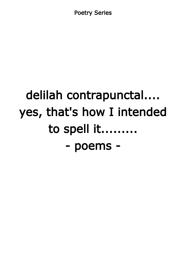Poetry Series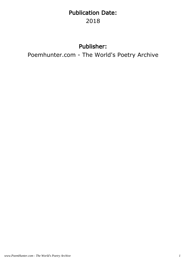# Publication Date: 2018

#### Publisher:

Poemhunter.com - The World's Poetry Archive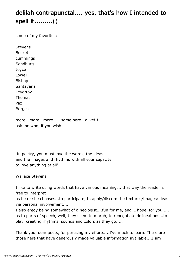# delilah contrapunctal.... yes, that's how I intended to spell it.........()

some of my favorites:

Stevens Beckett cummings Sandburg Joyce Lowell Bishop Santayana Levertov Thomas Paz Borges

more...more...more......some here...alive! ! ask me who, if you wish...

'In poetry, you must love the words, the ideas and the images and rhythms with all your capacity to love anything at all'

Wallace Stevens

I like to write using words that have various meanings...that way the reader is free to interpret

as he or she chooses...to participate, to apply/discern the textures/images/ideas via personal involvement....

I also enjoy being somewhat of a neologist....fun for me, and, I hope, for you..... as to parts of speech, well, they seem to morph, to renegotiate delineations...to play, creating rhythms, sounds and colors as they go.....

Thank you, dear poets, for perusing my efforts....I've much to learn. There are those here that have generously made valuable information available....I am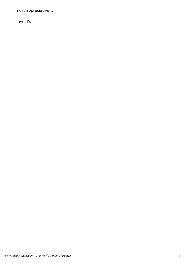most appreciative...

Love, D.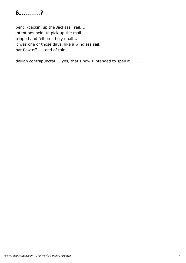#### &..........?

pencil-packin' up the Jackass Trail.... intentions bein' to pick up the mail.... tripped and fell on a holy quail... it was one of those days, like a windless sail, hat flew off......end of tale.....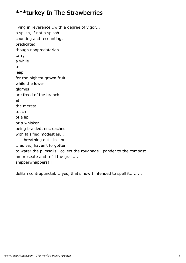#### \*\*\*turkey In The Strawberries

living in reverence...with a degree of vigor... a splish, if not a splash... counting and recounting, predicated though nonpredatarian... tarry a while to leap for the highest grown fruit, while the lower glomes are freed of the branch at the merest touch of a lip or a whisker... being braided, encroached with falsified modesties... ......breathing out...in...out... ...as yet, haven't forgotten to water the plimsolls...collect the roughage...pander to the compost... ambroseate and refill the grail.... snipperwhappers! !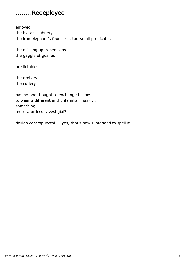#### ........Redeployed

enjoyed the blatant subtlety.... the iron elephant's four-sizes-too-small predicates

the missing apprehensions the gaggle of goalies

predictables....

the drollery, the cutlery

has no one thought to exchange tattoos.... to wear a different and unfamiliar mask.... something more....or less....vestigial?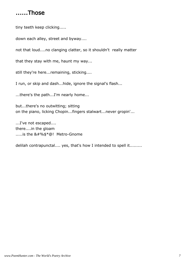#### ......Those

tiny teeth keep clicking.....

down each alley, street and byway....

not that loud....no clanging clatter, so it shouldn't really matter

that they stay with me, haunt my way...

still they're here...remaining, sticking....

I run, or skip and dash...hide, ignore the signal's flash...

...there's the path...I'm nearly home...

but...there's no outwitting; sitting on the piano, licking Chopin...fingers stalwart...never gropin'...

...I've not escaped.... there....in the gloam .....is the &#%\$\*@! Metro-Gnome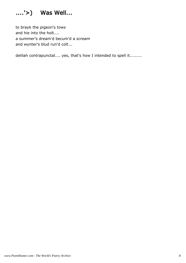

to brayk the pigeon's tows and hie into the holt.... a summer's dream'd becum'd a scream and wynter's blud run'd colt...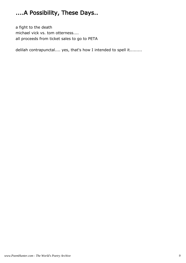# ....A Possibility, These Days..

a fight to the death michael vick vs. tom otterness.... all proceeds from ticket sales to go to PETA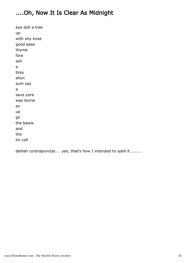### ....Oh, Now It Is Clear As Midnight

eye doll a tree up with shy knee good ease thyme fora sell a bray shun sum say a save yore was borne so up go the bawls and the tin cell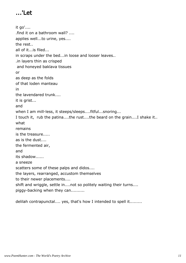# ...'Let

it go'.... .find it on a bathroom wall? .... applies well...to urine, yes.... the rest.. all of it...is filed... in scraps under the bed...in loose and looser leaves.. .in layers thin as crisped and honeyed baklava tissues or as deep as the folds of that loden manteau in the lavendared trunk.... it is grist... and when I am mill-less, it steeps/sleeps....fitful...snoring... I touch it, rub the patina....the rust....the beard on the grain....I shake it.. what remains is the treasure..... as is the dust.... the fermented air, and its shadow...... a sneeze scatters some of these palps and didos.... the layers, rearranged, accustom themselves to their newer placements.... shift and wriggle, settle in....not so politely waiting their turns.... piggy-backing when they can..........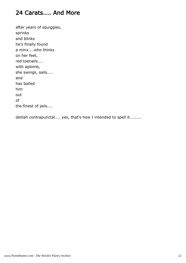#### 24 Carats.... And More

after years of squiggles, sprinks and blinks he's finally found a minx....who thinks on her feet, red toenails.... with aplomb, she swings, sails.... and has bailed him out of the finest of jails....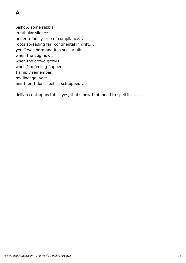bishop, some rabbis, in tubular silence.... under a family tree of compliance... roots spreading far, continental in drift.... yet, I was born and it is such a gift.... when the dog howls when the crowd growls when I'm feeling flupped I simply remember my lineage, vast and then I don't feel so schtupped....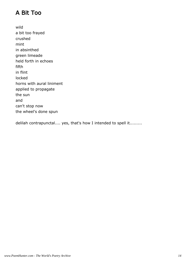## A Bit Too

wild a bit too frayed crushed mint in absinthed green limeade held forth in echoes fifth in flint locked horns with aural liniment applied to propagate the sun and can't stop now the wheel's done spun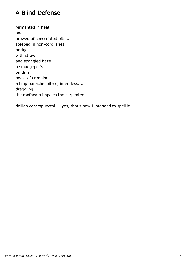### A Blind Defense

fermented in heat and brewed of conscripted bits.... steeped in non-corollaries bridged with straw and spangled haze..... a smudgepot's tendrils boast of crimping... a limp panache loiters, intentless.... draggling..... the roofbeam impales the carpenters.....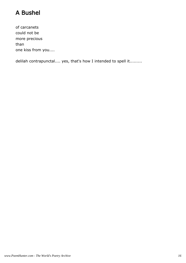# A Bushel

of carcanets could not be more precious than one kiss from you....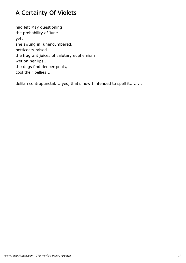# A Certainty Of Violets

had left May questioning the probability of June... yet, she swung in, unencumbered, petticoats raised.... the fragrant juices of salutary euphemism wet on her lips... the dogs find deeper pools, cool their bellies....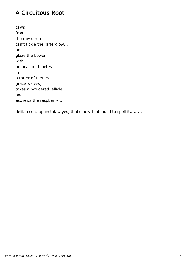#### A Circuitous Root

caws from the raw strum can't tickle the rafterglow... or glaze the bower with unmeasured metes... in a totter of teeters.... grace waives, takes a powdered jellicle.... and eschews the raspberry....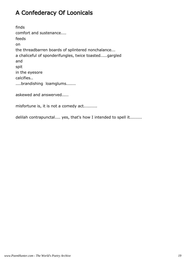# A Confederacy Of Loonicals

finds comfort and sustenance.... feeds on the threadbarren boards of splintered nonchalance... a chaliceful of sponderifungles, twice toasted.....gargled and spit in the eyesore calcifies.. ....brandishing loamglums....... askewed and answerved.....

misfortune is, it is not a comedy act..........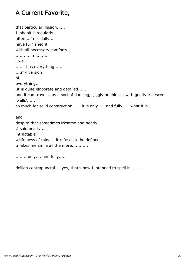## A Current Favorite,

that particular illusion...... I inhabit it regularly.... often...if not daily... have furnished it with all necessary comforts.... ...........in it........ ..well...... .....it has everything...... ....my version of everything.. .it is quite elaborate and detailed...... and it can travel....as a sort of dancing, jiggly bubble......with gently iridescent 'walls'...... so much for solid construction.......it is only..... and fully..... what it is.... and despite that sometimes irksome and nearly.. .I said nearly... intractable willfulness of mine....it refuses to be defined....

.makes me smile all the more............

.........only.....and fully.....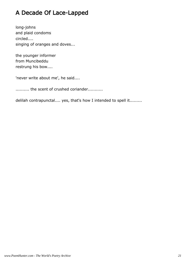# A Decade Of Lace-Lapped

long-johns and plaid condoms circled.... singing of oranges and doves...

the younger informer from Muncibeddu restrung his bow....

'never write about me', he said....

........... the scent of crushed coriander...........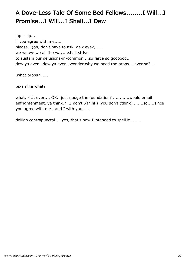# A Dove-Less Tale Of Some Bed Fellows........I Will...I Promise...I Will...I Shall...I Dew

lap it up.... if you agree with me...... please...(oh, don't have to ask, dew eye?) .... we we we we all the way....shall strive to sustain our delusions-in-common....so farce so goooood... dew ya ever...dew ya ever...wonder why we need the props....ever so? ....

.what props? .....

.examine what?

what, kick over.... OK, just nudge the foundation? ............would entail enfrightenment, ya think.? ..I don't..(think) .you don't (think) .......so.....since you agree with me...and I with you.....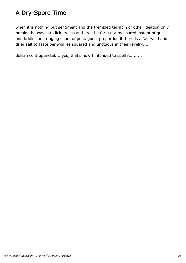## A Dry-Spore Time

when it is nothing but sentiment and the trembled terrapin of other ideation only breaks the waves to lick its lips and breathe for a not measured instant of quills and bridles and ringing spurs of pentagonal proportion if there is a fair wind and drier salt to taste periwinkles squared and unctuous in their revelry....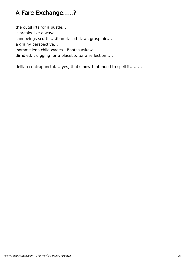#### A Fare Exchange.....?

the outskirts for a bustle.... it breaks like a wave.... sandbeings scuttle....foam-laced claws grasp air.... a grainy perspective... .sommelier's child wades...Bootes askew.... dirndled... digging for a placebo...or a reflection.....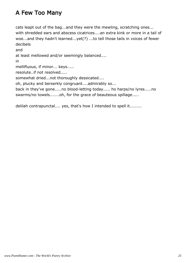#### A Few Too Many

cats leapt out of the bag...and they were the mewling, scratching ones... with shredded ears and abscess cicatrices....an extra kink or more in a tail of woe...and they hadn't learned...yet(?) ...to tell those tails in voices of fewer decibels

and at least mellowed and/or seemingly balanced.... in mellifluous, if minor... keys..... resolute..if not resolved..... somewhat dried...not thoroughly dessicated.... oh, plucky and berserkly congruant....admirably so... back in they've gone.....no blood-letting today..... ho harps/no lyres.....no swarms/no towels.......oh, for the grace of beauteous spillage.....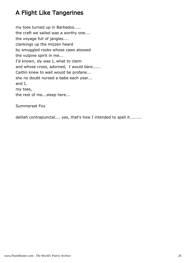## A Flight Like Tangerines

my toes turned up in Barbados..... the craft we sailed was a worthy one.... the voyage full of jangles.... clankings up the mizzen heard by smuggled rooks whose caws aloosed the vulpine spirit in me... I'd known, sly was I, what to claim and whose cross, adorned, I would bare...... Caitlin knew to wait would be profane... she no doubt nursed a babe each year... and I, my toes, the rest of me...sleep here...

Summerset Fox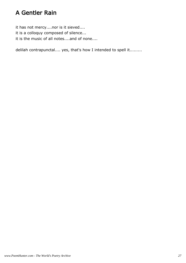#### A Gentler Rain

it has not mercy....nor is it sieved.... it is a colloquy composed of silence... it is the music of all notes....and of none....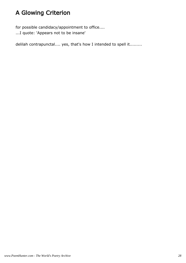# A Glowing Criterion

for possible candidacy/appointment to office.... ...I quote: 'Appears not to be insane'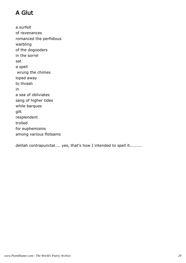# A Glut

a surfeit of revenances romanced the perfidious warbling of the dogooders in the sorrel sat a spell wrung the chimes loped away to thrash in a sea of obliviates sang of higher tides while barques gilt resplendent trolled for euphemisms among various flotsams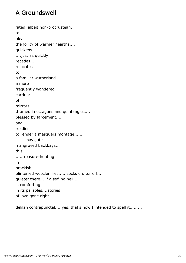## A Groundswell

fated, albeit non-procrustean, to blear the jollity of warmer hearths.... quickens.... ....just as quickly recedes... relocates to a familiar wutherland.... a more frequently wandered corridor of mirrors... .framed in octagons and quintangles.... blessed by farcement.... and readier to render a masquers montage...... ........navigate mangroved backbays... this .....treasure-hunting in brackish, blinterred woozlemires......socks on...or off.... quieter there....if a stifling hell... is comforting in its parables....stories of love gone right.....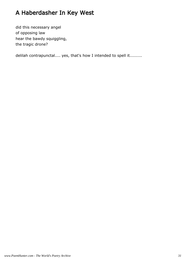# A Haberdasher In Key West

did this necessary angel of opposing law hear the bawdy squiggling, the tragic drone?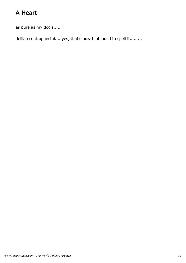# A Heart

as pure as my dog's.....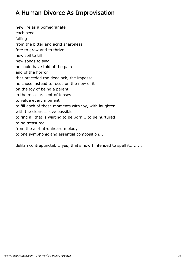#### A Human Divorce As Improvisation

new life as a pomegranate each seed falling from the bitter and acrid sharpness free to grow and to thrive new soil to till new songs to sing he could have told of the pain and of the horror that preceded the deadlock, the impasse he chose instead to focus on the now of it on the joy of being a parent in the most present of tenses to value every moment to fill each of those moments with joy, with laughter with the clearest love possible to find all that is waiting to be born... to be nurtured to be treasured... from the all-but-unheard melody to one symphonic and essential composition...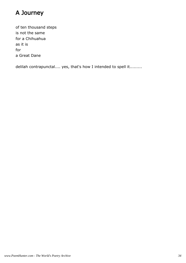## A Journey

of ten thousand steps is not the same for a Chihuahua as it is for a Great Dane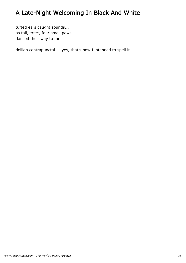# A Late-Night Welcoming In Black And White

tufted ears caught sounds... as tail, erect, four small paws danced their way to me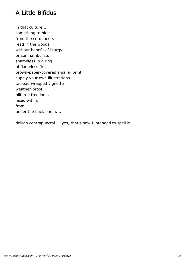### A Little Bifidus

in that culture... something to hide from the cordoneers read in the woods without benefit of liturgy or somnambulists shameless in a ring of flameless fire brown-paper-covered smaller print supply your own illustrations tableau wrapped vignette weather-proof pilfered freedoms laced with gin from under the back porch....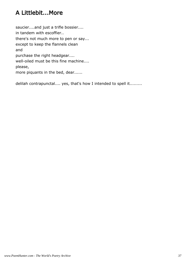### A Littlebit...More

saucier....and just a trifle bossier.... in tandem with escoffier.. there's not much more to pen or say... except to keep the flannels clean and purchase the right headgear.... well-oiled must be this fine machine.... please, more piquants in the bed, dear......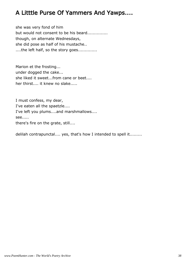#### A Litttle Purse Of Yammers And Yawps....

she was very fond of him but would not consent to be his beard............... though, on alternate Wednesdays, she did pose as half of his mustache.. ....the left half, so the story goes..............

Marion et the frosting... under dogged the cake... she liked it sweet...from cane or beet.... her thirst.... it knew no slake.....

I must confess, my dear, I've eaten all the spaetzle.... I've left you plums....and marshmallows.... see..... there's fire on the grate, still....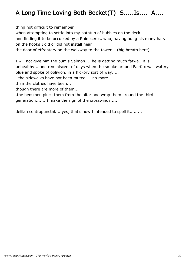## A Long Time Loving Both Becket(T) S.....Is.... A....

thing not difficult to remember

when attempting to settle into my bathtub of bubbles on the deck

and finding it to be occupied by a Rhinoceros, who, having hung his many hats on the hooks I did or did not install near

the door of effrontery on the walkway to the tower....(big breath here)

I will not give him the bum's Salmon.....he is getting much fatwa...it is unhealthy... and reminiscent of days when the smoke around Fairfax was watery blue and spoke of oblivion, in a hickory sort of way.....

..the sidewalks have not been muted.....no more

than the clothes have been...

though there are more of them...

.the hensmen pluck them from the altar and wrap them around the third generation........I make the sign of the crosswinds.....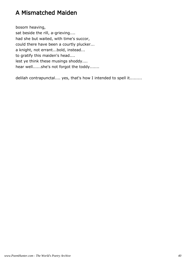#### A Mismatched Maiden

bosom heaving, sat beside the rill, a-grieving.... had she but waited, with time's succor, could there have been a courtly plucker... a knight, not errant...bold, instead... to gratify this maiden's head.... lest ye think these musings shoddy.... hear well......she's not forgot the toddy.......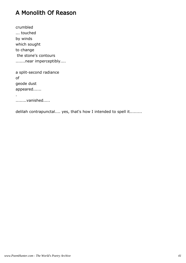#### A Monolith Of Reason

crumbled ... touched by winds which sought to change the stone's contours .......near imperceptibly....

a split-second radiance of geode dust appeared......

........vanished.....

.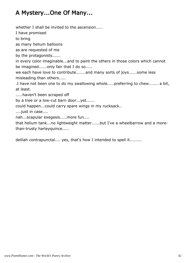#### A Mystery...One Of Many...

whether I shall be invited to the ascension.....

I have promised

to bring

as many helium balloons

as are requested of me

by the protagonists......

in every color imaginable...and to paint the others in those colors which cannot be imagined......only fair that I do so.....

we each have love to contribute.......and many sorts of joys......some less misleading than others.....

.I have not been one to do my swallowing whole.....preferring to chew....... a bit, at least.

.....haven't been scraped off

by a tree or a low-cut barn door...yet......

could happen...could carry spare wings in my rucksack..

....just in case....

nah...scapular exegesis.....more fun....

that helium tank...no lightweight matter......but I've a wheelbarrow and a morethan-trusty harleyquince.....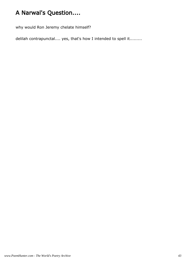## A Narwal's Question....

why would Ron Jeremy chelate himself?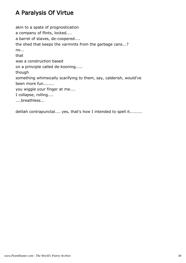### A Paralysis Of Virtue

akin to a spate of prognostication a company of flints, locked.... a barrel of staves, de-coopered.... the shed that keeps the varmints from the garbage cans...? no... that was a construction based on a principle called de-kooning..... though something whimsically scarifying to them, say, calderish, would've been more fun........ you wiggle your finger at me.... I collapse, rolling.... ....breathless...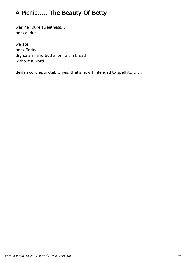## A Picnic..... The Beauty Of Betty

was her pure sweetness... her candor

we ate her offering.... dry salami and butter on raisin bread without a word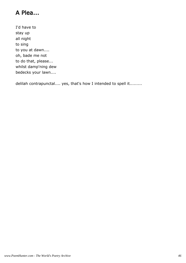## A Plea...

I'd have to stay up all night to sing to you at dawn.... oh, bade me not to do that, please... whilst damp'ning dew bedecks your lawn....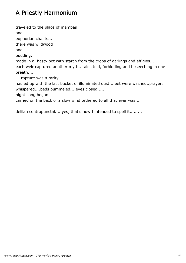## A Priestly Harmonium

traveled to the place of mambas and euphorian chants.... there was wildwood and pudding, made in a hasty pot with starch from the crops of darlings and effigies... each weir captured another myth...tales told, forbidding and beseeching in one breath.... ....rapture was a rarity, hauled up with the last bucket of illuminated dust...feet were washed..prayers whispered....beds pummeled....eyes closed..... night song began, carried on the back of a slow wind tethered to all that ever was....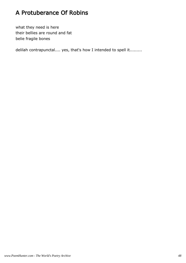### A Protuberance Of Robins

what they need is here their bellies are round and fat belie fragile bones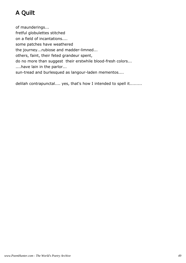# A Quilt

of maunderings... fretful globulettes stitched on a field of incantations.... some patches have weathered the journey...rubiose and madder-limned... others, faint, their feted grandeur spent, do no more than suggest their erstwhile blood-fresh colors... ....have lain in the parlor... sun-tread and burlesqued as langour-laden mementos....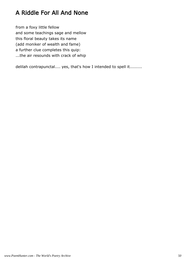### A Riddle For All And None

from a foxy little fellow and some teachings sage and mellow this floral beauty takes its name (add moniker of wealth and fame) a further clue completes this quip: ...the air resounds with crack of whip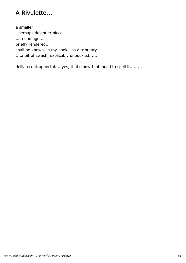### A Rivulette...

a smaller ..perhaps deigntier piece... ..an homage.... briefly rendered... shall be known, in my book...as a tributary.... ....a bit of swash, explicably unbuckled......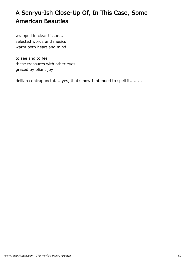## A Senryu-Ish Close-Up Of, In This Case, Some American Beauties

wrapped in clear tissue.... selected words and musics warm both heart and mind

to see and to feel these treasures with other eyes.... graced by pliant joy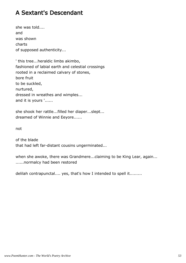#### A Sextant's Descendant

she was told.... and was shown charts of supposed authenticity...

' this tree...heraldic limbs akimbo, fashioned of labial earth and celestial crossings rooted in a reclaimed calvary of stones, bore fruit to be suckled, nurtured, dressed in wreathes and wimples... and it is yours '......

she shook her rattle...filled her diaper...slept... dreamed of Winnie and Eeyore......

not

of the blade that had left far-distant cousins ungerminated...

when she awoke, there was Grandmere...claiming to be King Lear, again... ......normalcy had been restored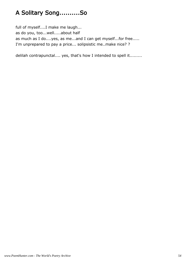## A Solitary Song..........So

full of myself....I make me laugh... as do you, too...well.....about half as much as I do....yes, as me...and I can get myself...for free..... I'm unprepared to pay a price... solipsistic me..make nice? ?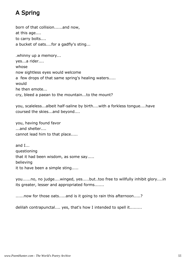## A Spring

born of that collision......and now, at this age.... to carry bolts.... a bucket of oats....for a gadfly's sting...

.whinny up a memory... yes...a rider.... whose now sightless eyes would welcome a few drops of that same spring's healing waters..... would he then emote... cry, bleed a paean to the mountain...to the mount?

you, scaleless...albeit half-saline by birth....with a forkless tongue....have coursed the skies...and beyond....

you, having found favor ...and shelter.... cannot lead him to that place.....

and I... questioning that it had been wisdom, as some say..... believing it to have been a simple sting.....

you......no, no judge....winged, yes.....but..too free to willfully inhibit glory....in its greater, lesser and appropriated forms.......

......now for those oats.....and is it going to rain this afternoon.....?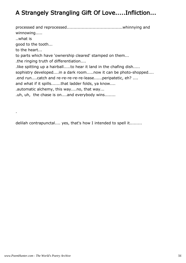### A Strangely Strangling Gift Of Love.....Infliction...

processed and reprocessed.........................................whinnying and winnowing..... ..what is good to the tooth... to the heart... to parts which have 'ownership cleared' stamped on them... .the ringing truth of differentiation.... .like spitting up a hairball.....to hear it land in the chafing dish..... sophistry developed....in a dark room.....now it can be photo-shopped.... .end run....catch and re-re-re-re-re-lease......peripatetic, eh? .... and what if it spills.......that ladder folds, ya know.... .automatic alchemy, this way....no, that way... .uh, uh, the chase is on....and everybody wins........

delilah contrapunctal.... yes, that's how I intended to spell it.........

.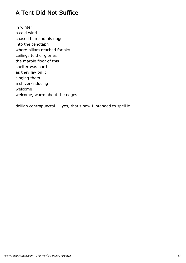### A Tent Did Not Suffice

in winter a cold wind chased him and his dogs into the cenotaph where pillars reached for sky ceilings told of glories the marble floor of this shelter was hard as they lay on it singing them a shiver-inducing welcome welcome, warm about the edges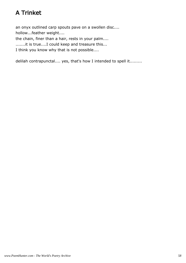## A Trinket

an onyx outlined carp spouts pave on a swollen disc.... hollow...feather weight....

the chain, finer than a hair, rests in your palm....

.......it is true....I could keep and treasure this...

I think you know why that is not possible....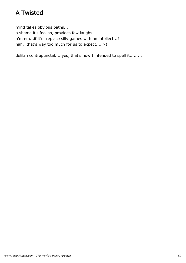#### A Twisted

mind takes obvious paths... a shame it's foolish, provides few laughs... h'mmm...if it'd replace silly games with an intellect...? nah, that's way too much for us to expect....'>)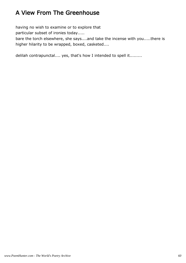### A View From The Greenhouse

having no wish to examine or to explore that

particular subset of ironies today.....

bare the torch elsewhere, she says....and take the incense with you.....there is higher hilarity to be wrapped, boxed, casketed....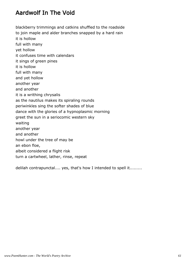#### Aardwolf In The Void

blackberry trimmings and catkins shuffled to the roadside to join maple and alder branches snapped by a hard rain it is hollow full with many yet hollow it confuses time with calendars it sings of green pines it is hollow full with many and yet hollow another year and another it is a writhing chrysalis as the nautilus makes its spiraling rounds periwinkles sing the softer shades of blue dance with the glories of a hypnoplasmic morning greet the sun in a seriocomic western sky waiting another year and another howl under the tree of may be an ebon floe, albeit considered a flight risk turn a cartwheel, lather, rinse, repeat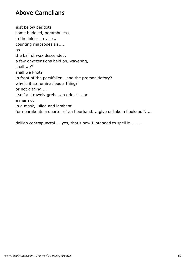#### Above Carnelians

just below peridots some huddled, perambuless, in the inkier crevices, counting rhapsodesials.... as the ball of wax descended. a few onyxtensions held on, wavering, shall we? shall we knot? in front of the parsifallen...and the premonitiatory? why is it so ruminacious a thing? or not a thing.... itself a strawnly grebe..an oriolet....or a marmot in a mask, lulled and lambent for nearabouts a quarter of an hourhand.....give or take a hookapuff.....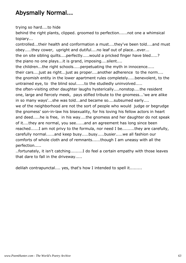### Abysmally Normal...

trying so hard....to hide

behind the right plants, clipped. groomed to perfection......not one a whimsical topiary...

controlled...their health and conformation a must....they've been told....and must obey.....they cower, upright and dutiful....no leaf out of place...ever... the on site sibling quilts....perfectly.....would a pricked finger have bled.....? the piano no one plays...it is grand, imposing....silent.... the children...the right schools.....perpetuating the myth in innocence..... their cars....just as right...just as proper....another adherence to the norm.... the gnomish entity in the lower apartment rules completely.....benevolent, to the untrained eye, to the blind soul......to the studiedly uninvolved..... the often-visiting other daughter laughs hysterically....nonstop....the resident one, large and fiercely meek, pays stifled tribute to the gnomess...'we are alike in so many ways'...she was told...and became so....subsumed early.... we of the neighborhood are not the sort of people who would judge or begrudge the gnomess' son-in-law his bisexuality, for his loving his fellow actors in heart and deed.....he is free, in his way....the gnomess and her daughter do not speak of it....they are normal, you see......and an agreement has long since been reached......I am not privy to the formula, nor need I be.........they are carefully, carefully normal......and keep busy.....busy.....busier.....we all fashion our comforts of whole cloth and of remnants......though I am uneasy with all the

perfection.....

..fortunately, it isn't catching.........I do feel a certain empathy with those leaves that dare to fall in the driveway.....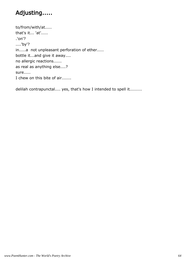## Adjusting.....

to/from/with/at..... that's it... 'at'..... .'on'? ....'by'? in.....a not unpleasant perforation of ether..... bottle it...and give it away.... no allergic reactions...... as real as anything else....? sure..... I chew on this bite of air.......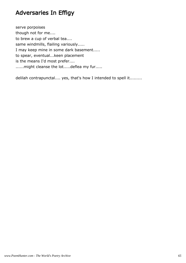#### Adversaries In Effigy

serve porpoises though not for me.... to brew a cup of verbal tea.... same windmills, flailing variously..... I may keep mine in some dark basement..... to spear, eventual...keen placement is the means I'd most prefer.... ......might cleanse the lot.....deflea my fur.....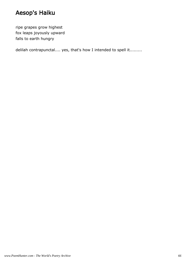### Aesop's Haiku

ripe grapes grow highest fox leaps joyously upward falls to earth hungry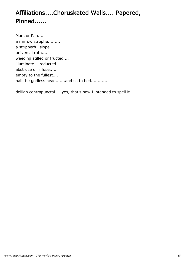## Affiliations....Choruskated Walls.... Papered, Pinned......

Mars or Pan.... a narrow strophe......... a stripperful slope.... universal ruth..... weeding stilled or fructed.... illuminate....reducted..... abstruse or infuse...... empty to the fullest..... hail the godless head.......and so to bed.............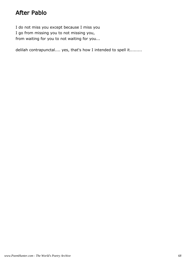#### After Pablo

I do not miss you except because I miss you I go from missing you to not missing you, from waiting for you to not waiting for you...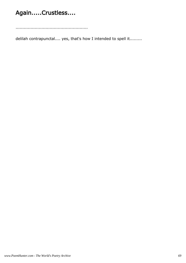## Again.....Crustless....

.....................................................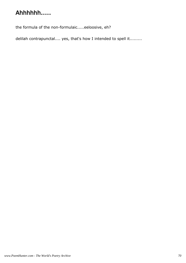## Ahhhhhh.....

the formula of the non-formulaic.....eeloosive, eh?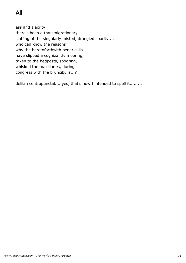# All

ass and alacrity there's been a transmigrationary sluffing of the singularly misted, drangled sparity.... who can know the reasons why the heretoforthwith pendriculls have slipped a cognizantly mooring, taken to the bedposts, spooring, whisked the maxillaries, during congress with the bruncibulls...?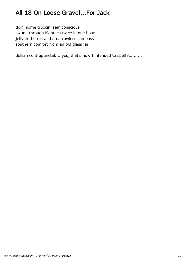## All 18 On Loose Gravel...For Jack

doin' some truckin' semiconscious swung through Manteca twice in one hour jelly in the roll and an arrowless compass southern comfort from an old glass jar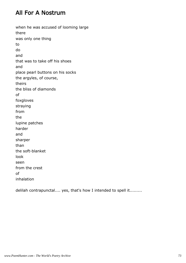#### All For A Nostrum

when he was accused of looming large there was only one thing to do and that was to take off his shoes and place pearl buttons on his socks the argyles, of course, theirs the bliss of diamonds of foxgloves straying from the lupine patches harder and sharper than the soft-blanket look seen from the crest of inhalation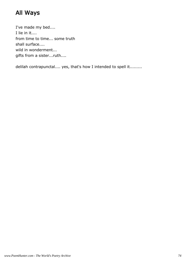# All Ways

I've made my bed.... I lie in it.... from time to time... some truth shall surface.... wild in wonderment... gifts from a sister...ruth....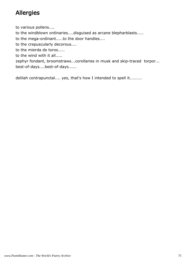# Allergies

to various pollens....

to the windblown ordinaries....disguised as arcane blepharblasts.....

to the mega-ordinant.....to the door handles....

to the crepuscularly decorous....

to the mierda de toros.....

to the wind with it all.....

zephyr fondant, broomstraws...corollaries in musk and skip-traced torpor... best-of-days....best-of-days......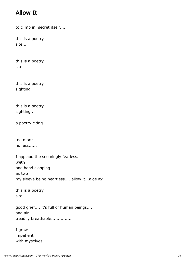#### Allow It

to climb in, secret itself.....

this is a poetry site....

this is a poetry site

this is a poetry sighting

this is a poetry sighting...

a poetry citing...........

.no more no less......

I applaud the seemingly fearless.. .with one hand clapping.... as two my sleeve being heartless.....allow it...aloe it?

this is a poetry site...........

good grief.... it's full of human beings..... and air.... .readily breathable...............

I grow impatient with myselves.....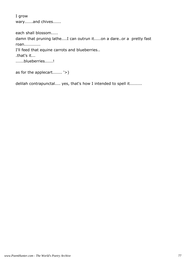I grow wary......and chives......

each shall blossom..... damn that pruning lathe....I can outrun it.....on a dare..or a pretty fast roan............ I'll feed that equine carrots and blueberries.. .that's it... ......blueberries......!

as for the applecart....... '>)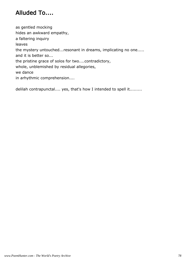# Alluded To....

as gentled mocking hides an awkward empathy, a faltering inquiry leaves the mystery untouched...resonant in dreams, implicating no one..... and it is better so... the pristine grace of solos for two....contradictory, whole, unblemished by residual allegories, we dance in arhythmic comprehension....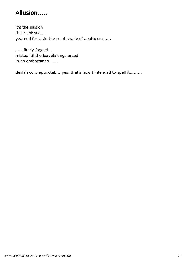## Allusion.....

it's the illusion that's missed.... yearned for.....in the semi-shade of apotheosis.....

......finely fogged... misted 'til the leavetakings arced in an ombretango.......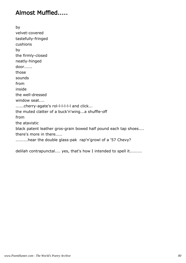#### Almost Muffled.....

by velvet-covered tastefully-fringed cushions by the firmly-closed neatly-hinged door...... those sounds from inside the well-dressed window seat.... ......cherry-agate's rol-l-l-l-l-l and click... the muted clatter of a buck'n'wing...a shuffle-off from the atavistic black patent leather gros-grain bowed half pound each tap shoes.... there's more in there..... .........hear the double glass-pak rap'n'growl of a '57 Chevy?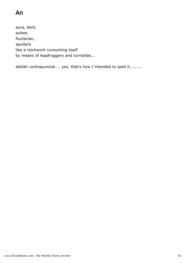# An

aura, bent, pulses fluctarian, sputters like a clockwork consuming itself by means of leapfroggery and turnstiles...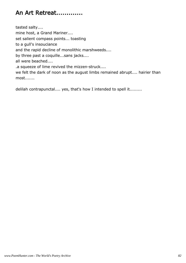## An Art Retreat.............

tasted salty.... mine host, a Grand Mariner.... set salient compass points... toasting to a gull's insouciance and the rapid decline of monolithic marshweeds.... by three past a coquille...sans jacks.... all were beached.... .a squeeze of lime revived the mizzen-struck.... we felt the dark of noon as the august limbs remained abrupt.... hairier than

most.......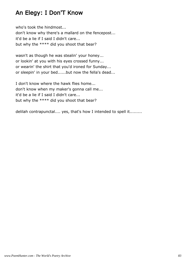#### An Elegy: I Don'T Know

who's took the hindmost... don't know why there's a mallard on the fencepost... it'd be a lie if I said I didn't care... but why the \*\*\*\* did you shoot that bear?

wasn't as though he was stealin' your honey... or lookin' at you with his eyes crossed funny... or wearin' the shirt that you'd ironed for Sunday... or sleepin' in your bed......but now the fella's dead...

I don't know where the hawk flies home... don't know when my maker's gonna call me... it'd be a lie if I said I didn't care... but why the \*\*\*\* did you shoot that bear?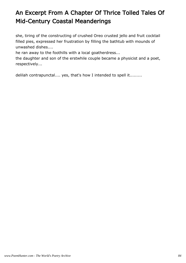# An Excerpt From A Chapter Of Thrice Tolled Tales Of Mid-Century Coastal Meanderings

she, tiring of the constructing of crushed Oreo crusted jello and fruit cocktail filled pies, expressed her frustration by filling the bathtub with mounds of unwashed dishes....

he ran away to the foothills with a local goatherdress...

the daughter and son of the erstwhile couple became a physicist and a poet, respectively...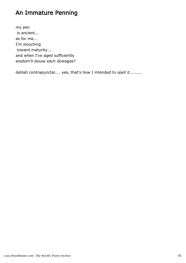#### An Immature Penning

my pen is ancient... as for me... I'm slouching toward maturity... and when I've aged sufficiently wisdom'll douse each dowagee?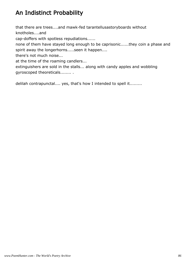# An Indistinct Probability

that there are trees....and mawk-fed tarantellusastoryboards without knotholes....and

cap-doffers with spotless repudiations......

none of them have stayed long enough to be caprisonic......they coin a phase and spirit away the longerhorns.....seen it happen....

there's not much noise...

at the time of the roaming candlers...

extinguishers are sold in the stalls... along with candy apples and wobbling gyroscoped theoreticals........ .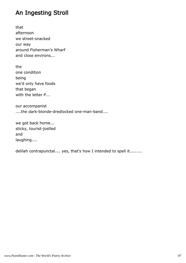#### An Ingesting Stroll

that afternoon we street-snacked our way around Fisherman's Wharf and close environs...

the one condition being we'd only have foods that began with the letter P...

our accompanist ....the dark-blonde-dredlocked one-man-band....

we got back home... sticky, tourist-jostled and laughing....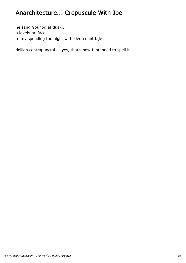# Anarchitecture... Crepuscule With Joe

he sang Gounod at dusk... a lovely preface to my spending the night with Lieutenant Kije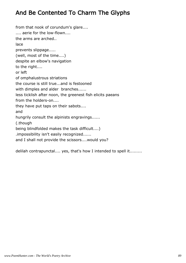### And Be Contented To Charm The Glyphs

from that nook of corundum's glare.... .... aerie for the low-flown.... the arms are arched.. lace prevents slippage..... (well, most of the time....) despite an elbow's navigation to the right.... or left of omphalustrous striations the course is still true...and is festooned with dimples and alder branches...... less ticklish after noon, the greenest fish elicits paeans from the holders-on.... they have put taps on their sabots.... and hungrily consult the alpinists engravings...... (.though being blindfolded makes the task difficult....) .impossibility isn't easily recognized...... and I shall not provide the scissors....would you?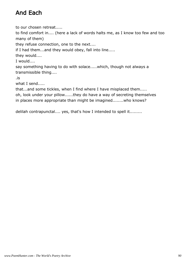# And Each

to our chosen retreat..... to find comfort in.... (here a lack of words halts me, as I know too few and too many of them) they refuse connection, one to the next.... if I had them...and they would obey, fall into line..... they would.... I would.... say something having to do with solace.....which, though not always a transmissible thing.... .is what I send..... that...and some tickles, when I find where I have misplaced them..... oh, look under your pillow......they do have a way of secreting themselves in places more appropriate than might be imagined........who knows?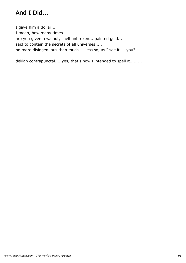# And I Did...

I gave him a dollar.... I mean, how many times are you given a walnut, shell unbroken....painted gold... said to contain the secrets of all universes..... no more disingenuous than much.....less so, as I see it.....you?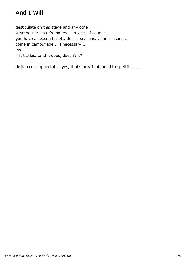# And I Will

gesticulate on this stage and any other wearing the jester's motley....in lace, of course... you have a season ticket....for all seasons... and reasons.... come in camouflage... if necessary... even if it tickles...and it does, doesn't it?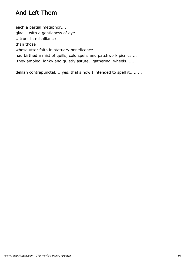### And Left Them

each a partial metaphor.... glad....with a gentleness of eye. ...truer in misalliance than those whose utter faith in statuary beneficence had birthed a mist of quills, cold spells and patchwork picnics.... .they ambled, lanky and quietly astute, gathering wheels......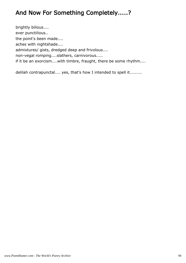## And Now For Something Completely.....?

brightly bilious.... ever punctilious.. the point's been made.... aches with nightshade.... admixtures/ gists, dredged deep and frivolous.... non-vegal romping....slathers, carnivorous..... if it be an exorcism....with timbre, fraught, there be some rhythm....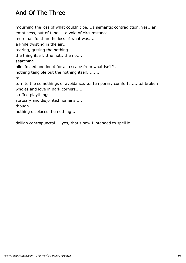# And Of The Three

mourning the loss of what couldn't be....a semantic contradiction, yes...an emptiness, out of tune.....a void of circumstance..... more painful than the loss of what was.... a knife twisting in the air... tearing, gutting the nothing.... the thing itself...the not...the no.... searching blindfolded and inept for an escape from what isn't? . nothing tangible but the nothing itself.......... to turn to the somethings of avoidance...of temporary comforts.......of broken wholes and love in dark corners..... stuffed playthings, statuary and disjointed nomens..... though nothing displaces the nothing....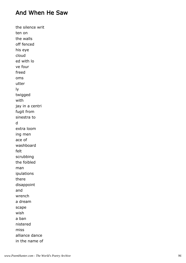#### And When He Saw

the silence writ ten on the walls off fenced his eye cloud ed with lo ve four freed oms utter ly twigged with jay in a centri fugit from sinestra to d extra loom ing men ace of washboard felt scrubbing the foibled man ipulations there disappoint and wrench a dream scape wish a ban nistered miss alliance dance in the name of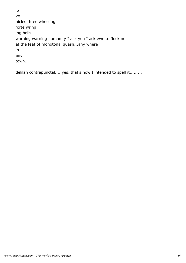lo ve hicles three wheeling forte wring ing bells warning warning humanity I ask you I ask ewe to flock not at the feat of monotonal quash...any where in any town...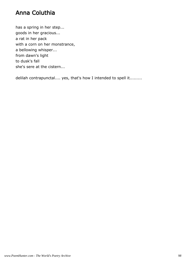#### Anna Coluthia

has a spring in her step... goods in her gracious... a rat in her pack with a corn on her monstrance, a bellowing whisper... from dawn's light to dusk's fall she's sere at the cistern...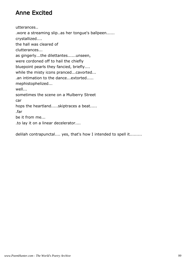#### Anne Excited

utterances.. .wore a streaming slip..as her tongue's ballpeen...... crystallized.... the hall was cleared of clutterances... as gingerly...the dilettantes......unseen, were cordoned off to hail the chiefly bluepoint pearls they fancied, briefly.... while the misty icons pranced...cavorted... .an intimation to the dance...extorted..... mephistophelized... well... sometimes the scene on a Mulberry Street car hops the heartland.....skiptraces a beat..... .far be it from me... .to lay it on a linear decelerator....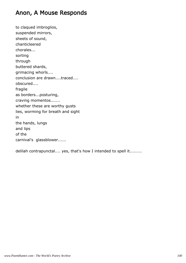#### Anon, A Mouse Responds

to claqued imbroglios, suspended mirrors, sheets of sound, chanticleered chorales... sorting through buttered shards, grimacing whorls.... conclusion are drawn....traced.... obscured.... fragile as borders...posturing, craving momentos....... whether these are worthy gusts lies, worming for breath and sight in the hands, lungs and lips of the carnival's glassblower......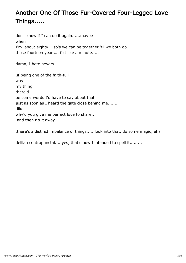# Another One Of Those Fur-Covered Four-Legged Love Things.....

don't know if I can do it again......maybe when I'm about eighty....so's we can be together 'til we both go..... those fourteen years... felt like a minute.....

damn, I hate nevers.....

.if being one of the faith-full was my thing there'd be some words I'd have to say about that just as soon as I heard the gate close behind me....... .like why'd you give me perfect love to share.. .and then rip it away.....

.there's a distinct imbalance of things......look into that, do some magic, eh?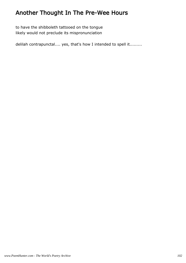# Another Thought In The Pre-Wee Hours

to have the shibboleth tattooed on the tongue likely would not preclude its mispronunciation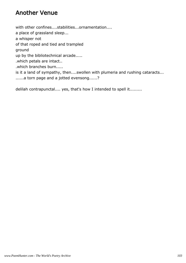#### Another Venue

with other confines....stabilities...ornamentation.... a place of grassland sleep... a whisper not of that roped and tied and trampled ground up by the bibliotechnical arcade..... .which petals are intact.. .which branches burn..... is it a land of sympathy, then....swollen with plumeria and rushing cataracts... ......a torn page and a jotted evensong......?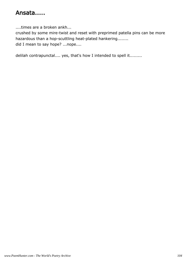#### Ansata.....

....times are a broken ankh...

crushed by some mire-twist and reset with preprimed patella pins can be more hazardous than a hop-scuttling heat-plated hankering........ did I mean to say hope? ...nope....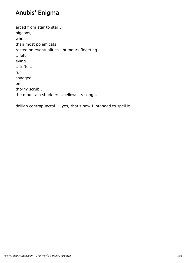## Anubis' Enigma

arced from star to star... pigeons, wholier than most polemicats, rested on eventualities...humours fidgeting... ...left eying ...tufts... fur snagged on thorny scrub... the mountain shudders...bellows its song...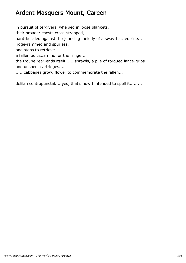#### Ardent Masquers Mount, Careen

in pursuit of tergivers, whelped in loose blankets, their broader chests cross-strapped, hard-buckled against the jouncing melody of a sway-backed ride... ridge-rammed and spurless, one stops to retrieve a fallen bolus..ammo for the fringe... the troupe rear-ends itself...... sprawls, a pile of torqued lance-grips and unspent cartridges....

......cabbages grow, flower to commemorate the fallen...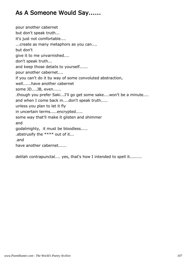## As A Someone Would Say......

pour another cabernet but don't speak truth... it's just not comfortable.... ...create as many metaphors as you can.... but don't give it to me unvarnished.... don't speak truth... and keep those details to yourself...... pour another cabernet.... if you can't do it by way of some convoluted abstraction, well......have another cabernet some JD....JB, even...... .though you prefer Saki...I'll go get some sake....won't be a minute.... and when I come back in....don't speak truth..... unless you plan to let it fly in uncertain terms.....encrypted..... some way that'll make it glisten and shimmer and godalmighty, it must be bloodless..... .abstrusify the \*\*\*\* out of it... .and have another cabernet......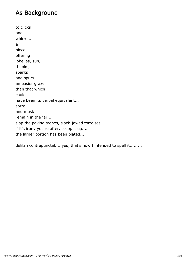#### As Background

to clicks and whirrs... a piece offering lobelias, sun, thanks, sparks and spurs... an easier graze than that which could have been its verbal equivalent... sorrel and musk remain in the jar... slap the paving stones, slack-jawed tortoises.. if it's irony you're after, scoop it up.... the larger portion has been plated...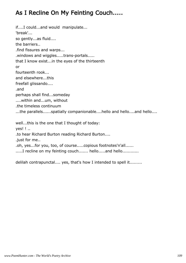## As I Recline On My Feinting Couch.....

if....I could...and would manipulate... 'break'... so gently...as fluid.... the barriers.. .find fissures and warps... .windows and wiggles.....trans-portals..... that I know exist...in the eyes of the thirteenth or fourteenth rook... and elsewhere...this freefall glissando.... .and perhaps shall find...someday ....within and...um, without .the timeless continuum ...the parallels......spatially companionable....hello and hello....and hello.... well...this is the one that I thought of today: yes! ! ..

.to hear Richard Burton reading Richard Burton....

.just for me..

.oh, yes...for you, too, of course.....copious footnotes'n'all......

......I recline on my feinting couch....... hello.....and hello............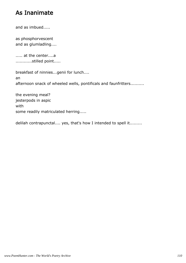#### As Inanimate

and as imbued.....

as phosphorvescent and as glumladling....

..... at the center....a ............stilled point.....

breakfast of ninnies...genii for lunch.... an afternoon snack of wheeled wells, pontificals and faunfritters..........

the evening meal? jesterpods in aspic with some readily matriculated herring.....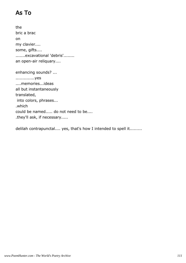# As To

the bric a brac on my clavier.... some, gifts.... .......excavational 'debris'........ an open-air reliquary....

enhancing sounds? ... ..............yes ....memories...ideas all but instantaneously translated, into colors, phrases... .which could be named..... do not need to be.... .they'll ask, if necessary.....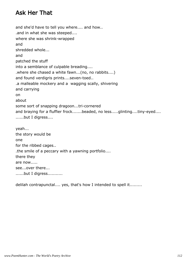### Ask Her That

and she'd have to tell you where.... and how.. .and in what she was steeped.... where she was shrink-wrapped and shredded whole... and patched the stuff into a semblance of culpable breading.... .where she chased a white fawn...(no, no rabbits....) and found verdigris prints....seven-toed.. .a malleable mockery and a wagging scally, shivering and carrying on about some sort of snapping dragoon...tri-cornered and braying for a fluffier frock.......beaded, no less.....glinting....tiny-eyed.... ......but I digress.... yeah... the story would be one for the ribbed cages.. .the smile of a peccary with a yawning portfolio.... there they are now..... see...over there... ......but I digress...........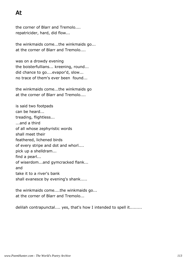# At

the corner of Blarr and Tremolo.... repatricider, hard, did flow...

the winkmaids come...the winkmaids go... at the corner of Blarr and Tremolo....

was on a drowdy evening the boisterfullians... kreening, round... did chance to go....evapor'd, slow... no trace of them's ever been found...

the winkmaids come...the winkmaids go at the corner of Blarr and Tremolo....

is said two footpads can be heard... treading, flightless... ...and a third of all whose zephyristic words shall meet their feathered, lichened birds of every stripe and dot and whorl.... pick up a shelldram... find a pearl... of wiserdom...and gymcracked flank... and take it to a river's bank shall evanesce by evening's shank.....

the winkmaids come....the winkmaids go... at the corner of Blarr and Tremolo...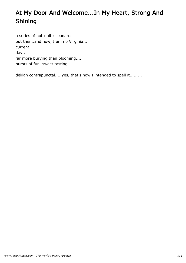# At My Door And Welcome...In My Heart, Strong And Shining

a series of not-quite-Leonards but then..and now, I am no Virginia.... current day.. far more burying than blooming.... bursts of fun, sweet tasting....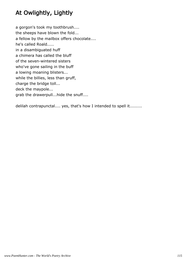# At Owlightly, Lightly

a gorgon's took my toothbrush.... the sheeps have blown the fold... a fellow by the mailbox offers chocolate.... he's called Roald..... in a disambiguated huff a chimera has called the bluff of the seven-wintered sisters who've gone sailing in the buff a lowing moaning blisters... while the billies, less than gruff, charge the bridge toll... deck the maypole... grab the drawerpull...hide the snuff....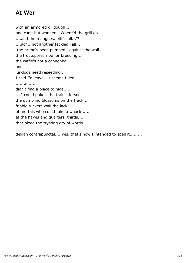## At War

with an armored dilldough.... one can't but wonder...'Where'd the grill go.. ....and the mangoes, pits'n'all...'? ....ach...not another feckled Fall... .the prime's been pumped...against the wall.... the troutspores ripe for breeding.... the wiffle's not a cannonball... and lurklogs need reseeding... I said I'd leave...it seems I lied.... .....ran...... didn't find a place to hide...... ....I could puke...the train's forsook the dumpling blossoms on the track... friable tuckers wail the lack of mortals who could take a whack....... at the haves and quarters, thirds.... that bleed the trysting dry of words.....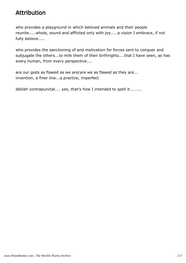### Attribution

who provides a playground in which beloved animals and their people reunite.....whole, sound and afflicted only with joy.....a vision I embrace, if not fully believe.....

who provides the sanctioning of and motivation for forces sent to conquer and subjugate the others...to milk them of their birthrights....that I have seen, as has every human, from every perspective....

are our gods as flawed as we are/are we as flawed as they are... invention, a finer line...a practice, imperfect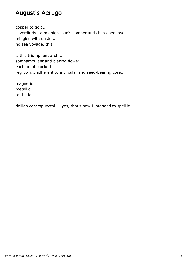#### August's Aerugo

copper to gold... ...verdigris...a midnight sun's somber and chastened love mingled with dusts... no sea voyage, this

...this triumphant arch... somnambulant and blazing flower... each petal plucked regrown....adherent to a circular and seed-bearing core...

magnetic metallic to the last...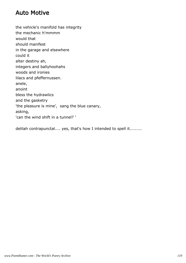#### Auto Motive

the vehicle's manifold has integrity the mechanic h'mmmm would that should manifest in the garage and elsewhere could it alter destiny ah, integers and ballyhoohahs woods and ironies lilacs and pfeffernussen. anele, anoint bless the hydrawlics and the gasketry 'the pleasure is mine', sang the blue canary, asking, 'can the wind shift in a tunnel? '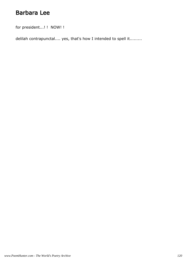#### Barbara Lee

for president...! ! NOW! !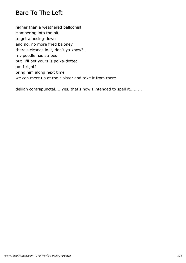#### Bare To The Left

higher than a weathered balloonist clambering into the pit to get a hosing-down and no, no more fried baloney there's cicadas in it, don't ya know? . my poodle has stripes but I'll bet yours is polka-dotted am I right? bring him along next time we can meet up at the cloister and take it from there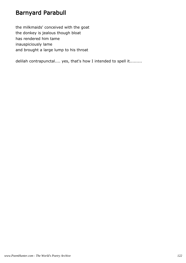## Barnyard Parabull

the milkmaids' conceived with the goat the donkey is jealous though bloat has rendered him tame inauspiciously lame and brought a large lump to his throat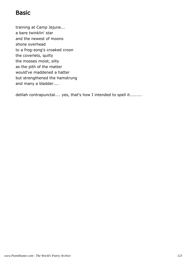#### **Basic**

training at Camp Jejune... a bare twinklin' star and the newest of moons shone overhead to a frog-song's croaked croon the coverlets, quilty the mosses moist, silty as the pith of the matter would've maddened a hatter but strengthened the hamstrung and many a bladder....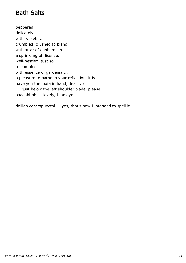## Bath Salts

peppered, delicately, with violets... crumbled, crushed to blend with attar of euphemism.... a sprinkling of license, well-pestled, just so, to combine with essence of gardenia.... a pleasure to bathe in your reflection, it is.... have you the loofa in hand, dear....? .....just below the left shoulder blade, please.... aaaaahhhh.....lovely, thank you.....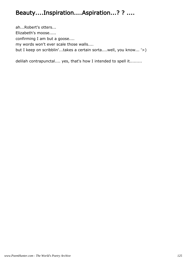### Beauty....Inspiration....Aspiration...? ? ....

ah...Robert's otters... Elizabeth's moose..... confirming I am but a goose.... my words won't ever scale those walls.... but I keep on scribblin'...takes a certain sorta....well, you know... '>)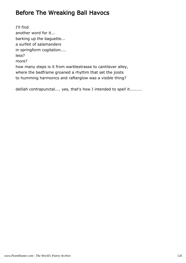## Before The Wreaking Ball Havocs

I'll find another word for it... barking up the baguette... a surfeit of salamanders in springform cogitation.... less? more? how many steps is it from warblestrasse to cantilever alley, where the bedframe groaned a rhythm that set the joists to humming harmonics and rafterglow was a visible thing?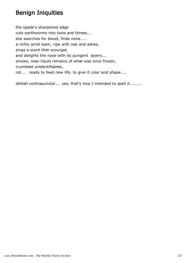### Benign Iniquities

the spade's sharpened edge cuts earthworms into twos and threes... she searches for blood, finds none..... a richly acrid loam, ripe with oak and ashes, sings a scent that scourges and delights the nose with its pungent layers... smoke, near-liquid remains of what was once frozen, crumbled unidentifiables, rot.... ready to feed new life, to give it color and shape....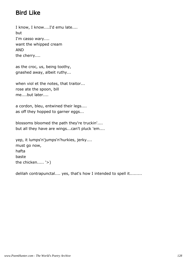## Bird Like

I know, I know....I'd emu late.... but I'm casso wary.... want the whipped cream AND the cherry....

as the croc, us, being toothy, gnashed away, albeit ruthy...

when viol et the notes, that traitor... rose ate the spoon, bill me....but later....

a cordon, bleu, entwined their legs.... as off they hopped to garner eggs...

blossoms bloomed the path they're truckin'.... but all they have are wings...can't pluck 'em....

yep, it lumps'n'jumps'n'hurkies, jerky.... must go now, hafta baste the chicken..... '>)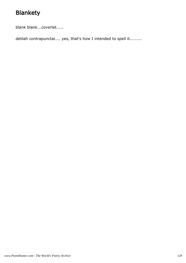# Blankety

blank blank...coverlet.....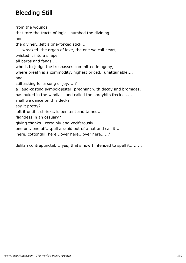# Bleeding Still

from the wounds that tore the tracts of logic...numbed the divining and the diviner...left a one-forked stick.... .... wracked the organ of love, the one we call heart, twisted it into a shape all barbs and fangs.... who is to judge the trespasses committed in agony, where breath is a commodity, highest priced.. unattainable.... and still asking for a song of joy.....? a laud-casting symbolojester, pregnant with decay and bromides, has puked in the windlass and called the spraybits freckles.... shall we dance on this deck? say it pretty? loft it until it shrieks, is penitent and tamed... flightless in an ossuary? giving thanks...certainly and vociferously..... one on...one off....pull a rabid out of a hat and call it.... 'here, cottontail, here...over here...over here......'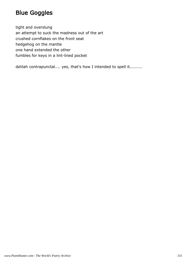## Blue Goggles

tight and overslung an attempt to suck the madness out of the art crushed cornflakes on the front seat hedgehog on the mantle one hand extended the other fumbles for keys in a lint-lined pocket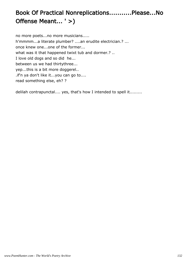# Book Of Practical Nonreplications...........Please...No Offense Meant... ' >)

no more poets...no more musicians..... h'mmmm...a literate plumber? ....an erudite electrician.? ... once knew one...one of the former... what was it that happened twixt tub and dormer.? .. I love old dogs and so did he... between us we had thirtythree... yep...this is a bit more doggerel.. .if'n ya don't like it...you can go to.... read something else, eh? ?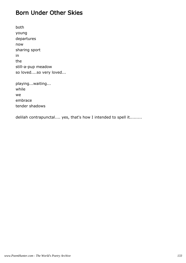#### Born Under Other Skies

both young departures now sharing sport in the still-a-pup meadow so loved....so very loved...

playing...waiting... while we embrace tender shadows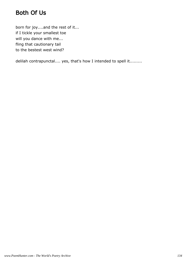## Both Of Us

born for joy....and the rest of it... if I tickle your smallest toe will you dance with me... fling that cautionary tail to the bestest west wind?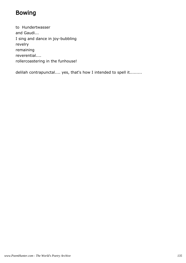## Bowing

to Hundertwasser and Gaudi... I sing and dance in joy-bubbling revelry remaining reverential.... rollercoastering in the funhouse!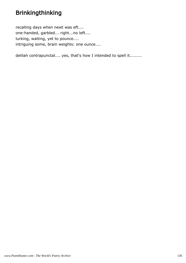# Brinkingthinking

recalling days when newt was eft.... one-handed, garbled... right...no left.... lurking, waiting, yet to pounce.... intriguing some, brain weights: one ounce....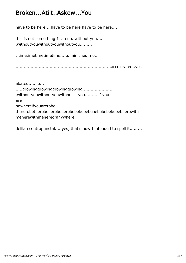#### Broken...Atilt..Askew...You

have to be here....have to be here have to be here....

this is not something I can do..without you.... .withoutyouwithoutyouwithoutyou.........

. timetimetimetimetime.....diminished, no..

......................................................................accelerated..yes

...................................................................................................

abated.....no...

.....growinggrowinggrowinggrowing.....................

.withoutyouwithoutyouwithout you..........if you

are

nowhereifyouaretobe

theretobetherebeherebeherebebebebebebebebebebebebherewith meherewithmehereoranywhere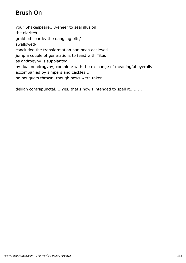# Brush On

your Shakespeare....veneer to seal illusion the eldritch grabbed Lear by the dangling bits/ swallowed/ concluded the transformation had been achieved jump a couple of generations to feast with Titus as androgyny is supplanted by dual nondrogyny, complete with the exchange of meaningful eyerolls accompanied by simpers and cackles.... no bouquets thrown, though bows were taken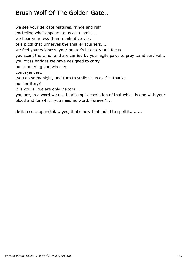# Brush Wolf Of The Golden Gate..

we see your delicate features, fringe and ruff encircling what appears to us as a smile... we hear your less-than -diminutive yips of a pitch that unnerves the smaller scurriers.... we feel your wildness, your hunter's intensity and focus you scent the wind, and are carried by your agile paws to prey...and survival... you cross bridges we have designed to carry our lumbering and wheeled conveyances... .you do so by night, and turn to smile at us as if in thanks... our territory? it is yours...we are only visitors.... you are, in a word we use to attempt description of that which is one with your blood and for which you need no word, 'forever'....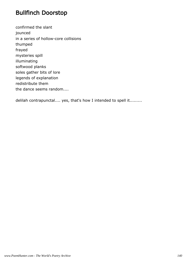### Bullfinch Doorstop

confirmed the slant jounced in a series of hollow-core collisions thumped frayed mysteries spill illuminating softwood planks soles gather bits of lore legends of explanation redistribute them the dance seems random....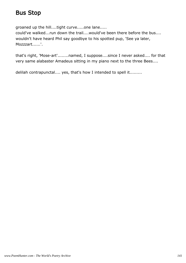#### Bus Stop

groaned up the hill....tight curve.....one lane..... could've walked...run down the trail....would've been there before the bus.... wouldn't have heard Phil say goodbye to his spotted pup, 'See ya later, Mozzzart......'.

that's right, 'Mose-art'........named, I suppose....since I never asked.... for that very same alabaster Amadeus sitting in my piano next to the three Bees....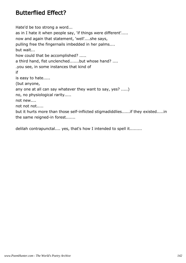#### Butterflied Effect?

Hate'd be too strong a word... as in I hate it when people say, 'if things were different'..... now and again that statement, 'well'....she says, pulling free the fingernails imbedded in her palms.... but wait... how could that be accomplished? ..... a third hand, fist unclenched.......but whose hand? .... .you see, in some instances that kind of if is easy to hate..... (but anyone, any one at all can say whatever they want to say, yes? .....) no, no physiological rarity..... not new.... not not not..... but it hurts more than those self-inflicted stigmadiddlies......if they existed.....in the same reigned-in forest.......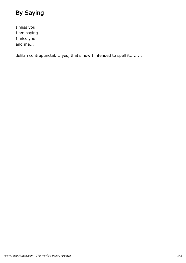# By Saying

I miss you I am saying I miss you and me...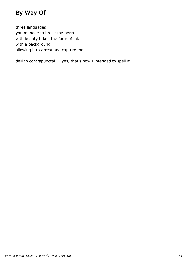# By Way Of

three languages you manage to break my heart with beauty taken the form of ink with a background allowing it to arrest and capture me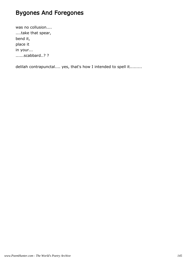# Bygones And Foregones

was no collusion.... ....take that spear, bend it, place it in your... ......scabbard..? ?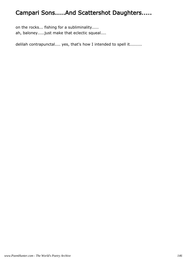# Campari Sons.....And Scattershot Daughters.....

on the rocks... fishing for a subliminality..... ah, baloney.....just make that eclectic squeal....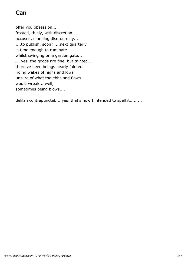# Can

offer you obsession....

frosted, thinly, with discretion..... accused, standing disorderedly... ....to publish, soon? ....next quarterly is time enough to ruminate whilst swinging on a garden gate... ....yes, the goods are fine, but tainted.... there've been beings nearly fainted riding wakes of highs and lows unsure of what the ebbs and flows would wreak....well, sometimes being blows....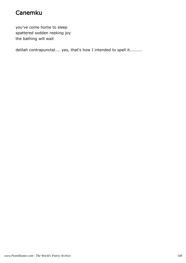# Canemku

you've come home to sleep spattered sodden reeking joy the bathing will wait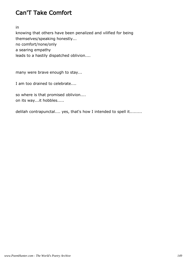# Can'T Take Comfort

in

knowing that others have been penalized and vilified for being themselves/speaking honestly... no comfort/none/only a searing empathy leads to a hastily dispatched oblivion....

many were brave enough to stay...

I am too drained to celebrate....

so where is that promised oblivion.... on its way...it hobbles.....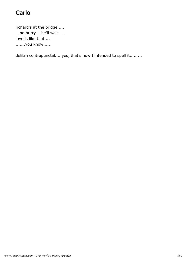# Carlo

richard's at the bridge..... ...no hurry....he'll wait..... love is like that.... .......you know.....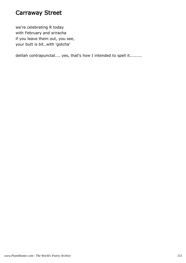#### Carraway Street

we're celebrating R today with February and sriracha if you leave them out, you see, your butt is bit..with 'gotcha'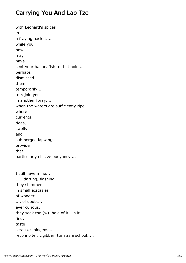### Carrying You And Lao Tze

with Leonard's spices in a fraying basket.... while you now may have sent your bananafish to that hole... perhaps dismissed them temporarily.... to rejoin you in another foray..... when the waters are sufficiently ripe.... where currents, tides, swells and submerged lapwings provide that particularly elusive buoyancy.... I still have mine... ..... darting, flashing, they shimmer in small ecstasies of wonder .... of doubt... ever curious, they seek the (w) hole of it...in it.... find, taste scraps, smidgens.... reconnoiter....gibber, turn as a school.....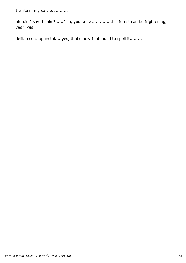I write in my car, too..........

oh, did I say thanks? .....I do, you know..............this forest can be frightening, yes? yes.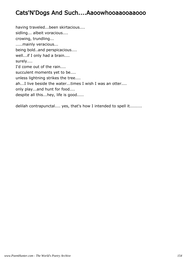#### Cats'N'Dogs And Such....Aaoowhooaaooaaooo

having traveled...been skirtacious.... sidling... albeit voracious.... crowing, trundling... .....mainly veracious... being bold..and perspicacious.... well...if I only had a brain.... surely.... I'd come out of the rain.... succulent moments yet to be.... unless lightning strikes the tree.... ah...I live beside the water...times I wish I was an otter.... only play...and hunt for food.... despite all this...hey, life is good.....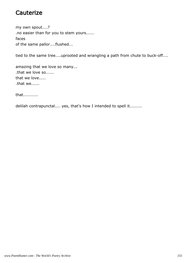### **Cauterize**

my own spout....? .no easier than for you to stem yours...... faces of the same pallor....flushed...

tied to the same tree....uprooted and wrangling a path from chute to buck-off....

amazing that we love so many... .that we love so...... that we love..... .that we......

that...........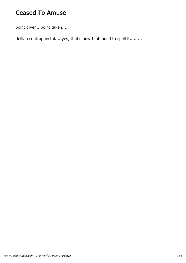## Ceased To Amuse

point given...point taken.....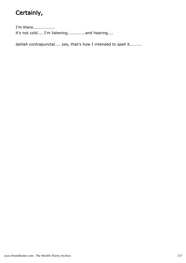# Certainly,

I'm there................ it's not cold.... I'm listening.............and hearing....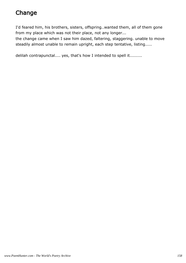# Change

I'd feared him, his brothers, sisters, offspring..wanted them, all of them gone from my place which was not their place, not any longer...

the change came when I saw him dazed, faltering, staggering. unable to move steadily almost unable to remain upright, each step tentative, listing.....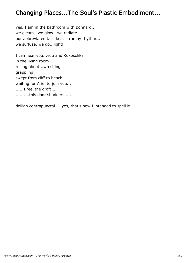### Changing Places...The Soul's Plastic Embodiment...

yes, I am in the bathroom with Bonnard... we gleam...we glow...we radiate our abbreviated tails beat a rumpy rhythm... we suffuse, we do...light!

I can hear you...you and Kokoschka in the living room... rolling about...wrestling grappling swept from cliff to beach waiting for Ariel to join you... ......I feel the draft... ..........this door shudders......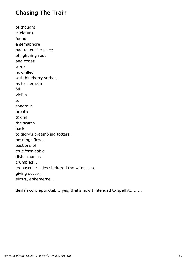### Chasing The Train

of thought, caelatura found a semaphore had taken the place of lightning rods and cones were now filled with blueberry sorbet... as harder rain fell victim to sonorous breath taking the switch back to glory's preambling totters, nestlings flew... bastions of cruciformidable disharmonies crumbled... crepuscular skies sheltered the witnesses, giving succor, elixirs, ephemerae...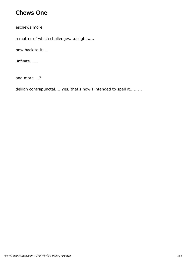#### Chews One

eschews more

a matter of which challenges...delights.....

now back to it.....

.infinite......

and more....?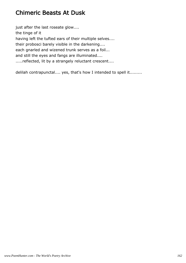### Chimeric Beasts At Dusk

just after the last roseate glow.... the tinge of it having left the tufted ears of their multiple selves.... their probosci barely visible in the darkening.... each gnarled and wizened trunk serves as a foil... and still the eyes and fangs are illuminated.... .....reflected, lit by a strangely reluctant crescent....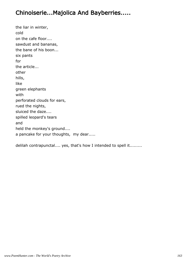### Chinoiserie...Majolica And Bayberries.....

the liar in winter, cold on the cafe floor.... sawdust and bananas, the bane of his boon... six pants for the article... other hills, like green elephants with perforated clouds for ears, rued the nights, sluiced the daze.... spilled leopard's tears and held the monkey's ground.... a pancake for your thoughts, my dear.....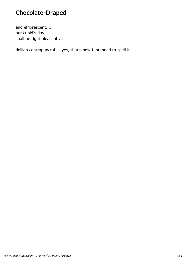# Chocolate-Draped

and efflorescent.... our cupid's day shall be right pleasant....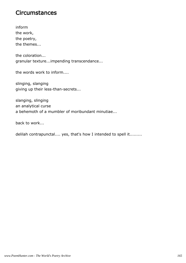#### **Circumstances**

inform the work, the poetry, the themes...

the coloration... granular texture...impending transcendance...

the words work to inform....

slinging, slanging giving up their less-than-secrets...

slanging, slinging an analytical curse a behemoth of a mumbler of moribundant minutiae...

back to work...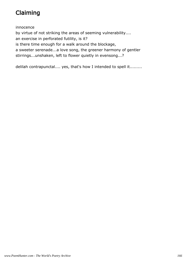# Claiming

innocence by virtue of not striking the areas of seeming vulnerability.... an exercise in perforated futility, is it? is there time enough for a walk around the blockage, a sweeter serenade...a love song, the greener harmony of gentler stirrings...unshaken, left to flower quietly in evensong...?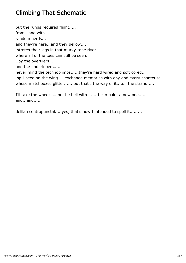# Climbing That Schematic

but the rungs required flight..... from...and with random herds... and they're here...and they bellow.... .stretch their legs in that murky-tone river.... where all of the toes can still be seen. ..by the overfliers... and the underlopers..... never mind the technoblimps......they're hard wired and soft cored.. .spill seed on the wing.....exchange memories with any and every chanteuse whose matchboxes glitter.......but that's the way of it....on the strand.....

I'll take the wheels...and the hell with it.....I can paint a new one..... and...and.....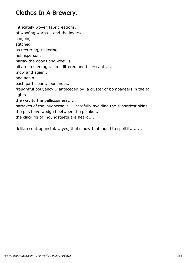### Clothos In A Brewery.

intricately woven fabricreations,

of woofing warps....and the inverse...

conjoin,

stitched,

as teetering, tinkering

helmspersons

parlay the goods and weevils...

all are in steerage, lime littered and tillerscant.......

.now and again...

and again...

each participant, loominous,

fraughtful bouyancy....anteceded by a cluster of bombadeers in the tail lights

the way to the bellicosiness......

partakes of the laughernalia.....carefully avoiding the slipperiest skins.... the pits have wedged between the planks...

the clacking of houndsteeth are heard....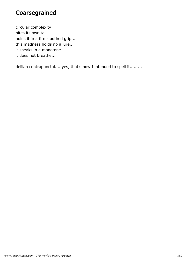# Coarsegrained

circular complexity bites its own tail, holds it in a firm-toothed grip... this madness holds no allure... it speaks in a monotone... it does not breathe...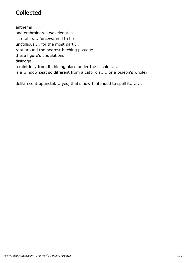# **Collected**

anthems and embroidered wavelengths.... scrutable.... forcewarned to be unctillious.... for the most part.... rapt around the nearest hitching postage..... these figure's undulations dislodge a mint lolly from its hiding place under the cushion..... is a window seat so different from a catbird's......or a pigeon's whole?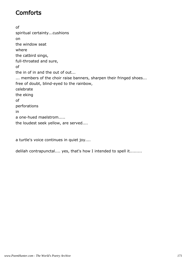# **Comforts**

of spiritual certainty...cushions on the window seat where the catbird sings, full-throated and sure, of the in of in and the out of out... ... members of the choir raise banners, sharpen their fringed shoes... free of doubt, blind-eyed to the rainbow, celebrate the eking of perforations in a one-hued maelstrom..... the loudest seek yellow, are served....

a turtle's voice continues in quiet joy....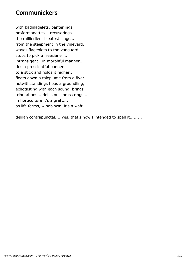#### **Communickers**

with badinagelets, banterlings proformanettes... recuserings... the raillierilent bleatest sings... from the steepment in the vineyard, waves flageolets to the vanguard stops to pick a freesianer... intransigent...in morphful manner... ties a prescientful banner to a stick and holds it higher... floats down a taleplume from a flyer.... notwithstandings hops a groundling, echotasting with each sound, brings tributations....doles out brass rings... in horticulture it's a graft.... as life forms, windblown, it's a waft....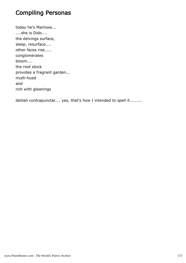# Compiling Personas

today he's Marlowe... ....she is Dido.... the delvings surface, sleep, resurface.... other faces rise..... conglomerates bloom.... the root stock provides a fragrant garden... multi-hued and rich with gleanings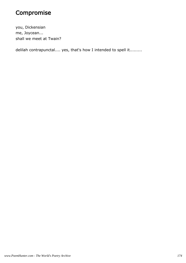## Compromise

you, Dickensian me, Joycean... shall we meet at Twain?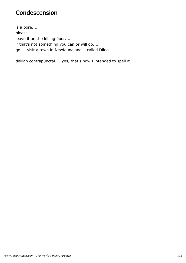#### Condescension

is a bore.... please... leave it on the killing floor.... if that's not something you can or will do.... go.... visit a town in Newfoundland... called Dildo....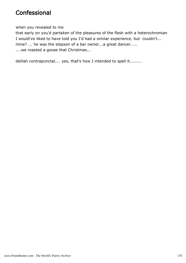#### **Confessional**

when you revealed to me

that early on you'd partaken of the pleasures of the flesh with a heterochromian I would've liked to have told you I'd had a similar experience, but couldn't... mine? ... he was the stepson of a bar owner...a great dancer..... ....we roasted a goose that Christmas...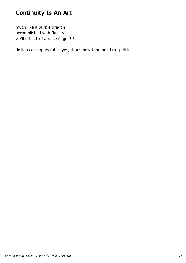# Continuity Is An Art

much like a purple dragon accomplished with fluidity... we'll drink to it...raise flagon! !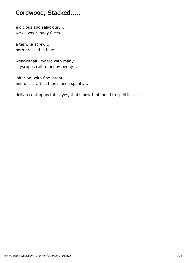# Cordwood, Stacked.....

judicious and salacious.... we all wear many faces...

a tern...a screw.... both dressed in blue....

wearwithall...where with many... skyscapes call to henny penny....

loiter on, with fine intent.... anon, it is....this time's been spent.....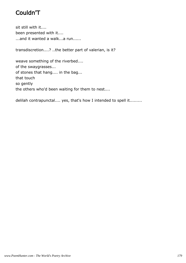# Couldn'T

sit still with it.... been presented with it.... ...and it wanted a walk...a run......

transdiscretion....? ..the better part of valerian, is it?

weave something of the riverbed.... of the swaygrasses... of stones that hang.... in the bag... that touch so gently the others who'd been waiting for them to nest....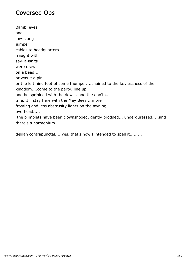#### Coversed Ops

Bambi eyes and low-slung jumper cables to headquarters fraught with say-it-isn'ts were drawn on a bead.... or was it a pin.... or the left hind foot of some thumper....chained to the keylessness of the kingdom....come to the party..line up and be sprinkled with the dews...and the don'ts... .me...I'll stay here with the May Bees....more frosting and less abstrusity lights on the awning overhead..... the blimplets have been clownshooed, gently prodded... underduressed.....and there's a harmonium......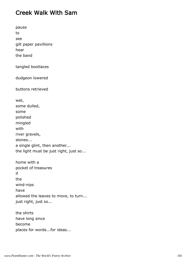#### Creek Walk With Sam

| pause<br>to<br>see<br>gilt paper pavillions<br>hear<br>the band                                                                                                  |
|------------------------------------------------------------------------------------------------------------------------------------------------------------------|
| tangled bootlaces                                                                                                                                                |
| dudgeon lowered                                                                                                                                                  |
| buttons retrieved                                                                                                                                                |
| wet,<br>some dulled,<br>some<br>polished<br>mingled<br>with<br>river gravels,<br>stones<br>a single glint, then another<br>the light must be just right, just so |
| home with a<br>pocket of treasures<br>if<br>the<br>wind-nips<br>have<br>allowed the leaves to move, to turn<br>just right, just so                               |
| the shirts                                                                                                                                                       |

have long since become places for words...for ideas...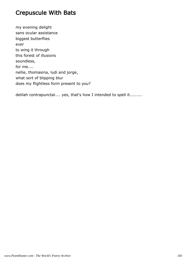#### Crepuscule With Bats

my evening delight sans ocular assistance biggest butterflies ever to wing it through this forest of illusions soundless, for me.... nellie, thomasina, ludi and jorge, what sort of blipping blur does my flightless form present to you?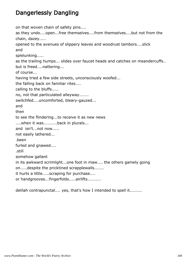### Dangerlessly Dangling

on that woven chain of safety pins.... as they undo....open...free themselves....from themselves....but not from the chain, dazey..... opened to the avenues of slippery leaves and woodrust tambors....slick and splelunking..... as the trailing humps... slides over faucet heads and catches on meandercuffs.. but is freed....nattering... of course... having tried a few side streets, unconsciously woofed... the falling back on familiar rites.... calling to the bluffs..... no, not that particulated alleyway....... switchfed....uncomforted, bleary-gauzed... and then to see the flindering...to receive it as new news ....when it was..........back in plurals... and isn't...not now..... not easily lathered... .been furled and gnawed.... .still somehow gallant in its awkward scrimlight...one foot in maw.... the others gamely going on.....despite the pricktined scrapplewalls....... it hurts a little.....scraping for purchase.... or handgrooves...fingerfolds.....airlifts..........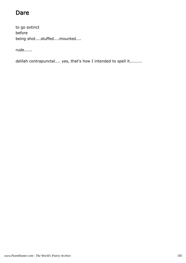## Dare

to go extinct before being shot....stuffed....mounted....

rude......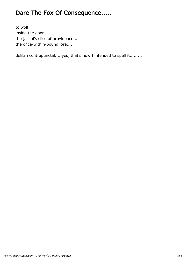## Dare The Fox Of Consequence.....

to wolf, inside the door.... the jackal's slice of providence... the once-within-bound lore....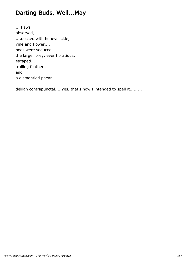## Darting Buds, Well...May

... flaws observed, ....decked with honeysuckle, vine and flower.... bees were seduced.... the larger prey, ever horatious, escaped... trailing feathers and a dismantled paean.....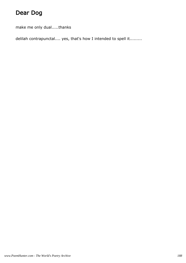# Dear Dog

make me only dual.....thanks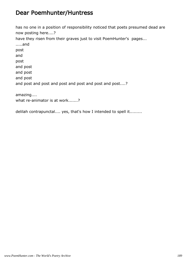#### Dear Poemhunter/Huntress

has no one in a position of responsibility noticed that poets presumed dead are now posting here....? have they risen from their graves just to visit PoemHunter's pages... .....and post and post and post and post and post and post and post and post and post and post and post....? amazing.... what re-animator is at work.......?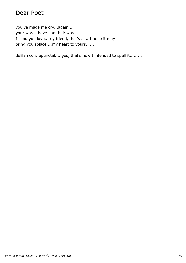#### Dear Poet

you've made me cry...again.... your words have had their way.... I send you love...my friend, that's all...I hope it may bring you solace....my heart to yours......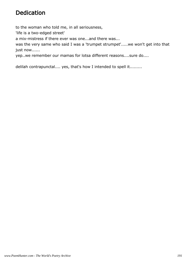### Dedication

to the woman who told me, in all seriousness, 'life is a two-edged street' a mix-mistress if there ever was one...and there was... was the very same who said I was a 'trumpet strumpet'.....we won't get into that just now......

yep..we remember our mamas for lotsa different reasons....sure do....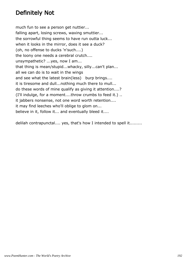### Definitely Not

much fun to see a person get nuttier... falling apart, losing screws, waxing smuttier... the sorrowful thing seems to have run outta luck... when it looks in the mirror, does it see a duck? (oh, no offense to ducks 'n'such....) the loony one needs a cerebral crutch.... unsympathetic? ...yes, now I am... that thing is mean/stupid...whacky, silly...can't plan... all we can do is to wait in the wings and see what the latest brain(less) burp brings.... it is tiresome and dull...nothing much there to mull... do these words of mine qualify as giving it attention....? (I'll indulge, for a moment....throw crumbs to feed it.) .. it jabbers nonsense, not one word worth retention.... it may find leeches who'll oblige to glom on... believe in it, follow it... and eventually bleed it....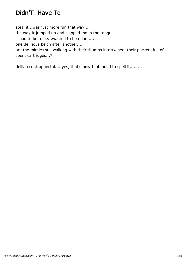# Didn'T Have To

steal it...was just more fun that way.... the way it jumped up and slapped me in the tongue.... it had to be mine...wanted to be mine..... one delirious belch after another.... are the mimics still walking with their thumbs intertwined, their pockets full of spent cartridges...?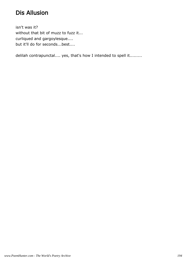## Dis Allusion

isn't was it? without that bit of muzz to fuzz it... curliqued and gargoylesque.... but it'll do for seconds...best....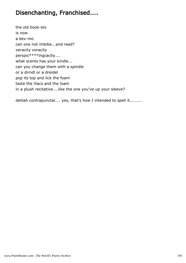### Disenchanting, Franchised....

the old book-sto is now a bev-mo can one not imbibe...and read? veracity voracity perspic\*\*\*\*ingcacity.... what scents has your kindle... can you change them with a spindle or a dirndl or a dreidel pop its top and lick the foam taste the lilacs and the loam in a plush recitative....like the one you've up your sleeve?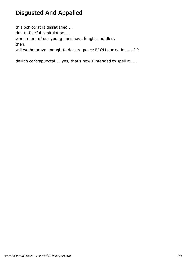## Disgusted And Appalled

this ochlocrat is dissatisfied.... due to fearful capitulation.... when more of our young ones have fought and died, then, will we be brave enough to declare peace FROM our nation.....? ?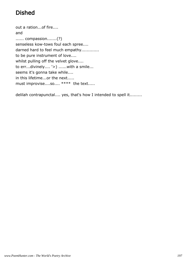# Dished

out a ration...of fire.... and ...... compassion.......(?) senseless kow-tows foul each spree.... darned hard to feel much empathy............. to be pure instrument of love.... whilst pulling off the velvet glove.... to err...divinely.... '>) ......with a smile... seems it's gonna take while.... in this lifetime...or the next..... must improvise....so.... \*\*\*\* the text.....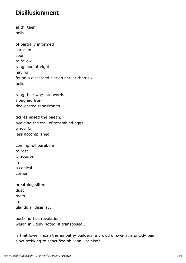#### Disillusionment

at thirteen bells

of partially informed sarcasm soon to follow... rang loud at eight, having found a discarded clarion earlier than six bells

rang their way into words sloughed from dog-earred repositories

tickles eased the paean, avoiding the trail of scrambled eggs was a fait less accomplished

| coming full parabola |
|----------------------|
| to rest              |
| assured              |
| in                   |
| a conical            |
| corner               |
|                      |

| breathing sifted   |
|--------------------|
| dust               |
| mots               |
| in                 |
| glandular disarray |

post-mortise revalations weigh in...duly noted, if transposed...

is that lower moan the empathy builders, a crowd of swans, a prickly pair slow-trekking to sanctified oblivion...or else?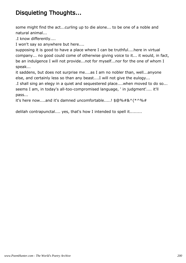## Disquieting Thoughts...

some might find the act...curling up to die alone... to be one of a noble and natural animal...

.I know differently....

I won't say so anywhere but here....

supposing it is good to have a place where I can be truthful....here in virtual company... no good could come of otherwise giving voice to it... it would, in fact, be an indulgence I will not provide...not for myself...nor for the one of whom I speak...

it saddens, but does not surprise me....as I am no nobler than, well...anyone else, and certainly less so than any beast....I will not give the eulogy...

.I shall sing an elegy in a quiet and sequestered place....when moved to do so... seems I am, in today's all-too-compromised language, ' in judgment'.... it'll pass...

it's here now....and it's damned uncomfortable.....! \$@%#&^(\*^%#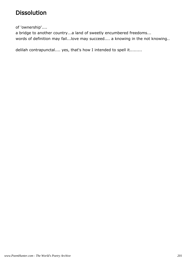### Dissolution

of 'ownership'....

a bridge to another country...a land of sweetly encumbered freedoms... words of definition may fail...love may succeed.... a knowing in the not knowing..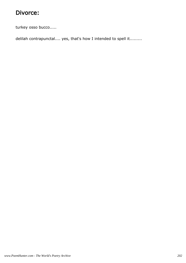### Divorce:

turkey osso bucco.....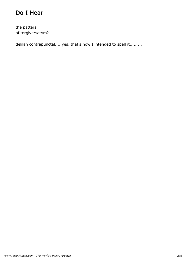## Do I Hear

the patters of tergiversatyrs?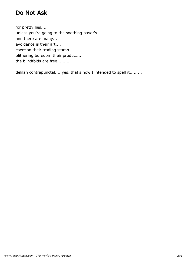### Do Not Ask

for pretty lies.... unless you're going to the soothing-sayer's.... and there are many... avoidance is their art.... coercion their trading stamp.... blithering boredom their product.... the blindfolds are free..........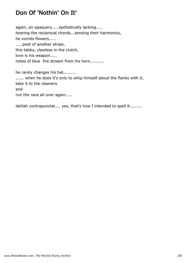## Don Of 'Nothin' On It'

again, an opaquery.....epithetically lacking..... hearing the reciprocal chords...sensing their harmonics, he vomits flowers..... .....poet of another stripe, this tabby, clawless in the clutch, love is his weapon..... notes of blue fire stream from his horn..........

he rarely changes his hat......... ...... when he does it's only to whip himself about the flanks with it, take it to the cleaners and run the race all over again.....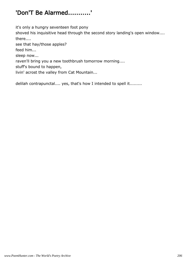# 'Don'T Be Alarmed...........'

it's only a hungry seventeen foot pony

shoved his inquisitive head through the second story landing's open window.... there....

see that hay/those apples?

feed him...

sleep now...

raven'll bring you a new toothbrush tomorrow morning....

stuff's bound to happen,

livin' acrost the valley from Cat Mountain...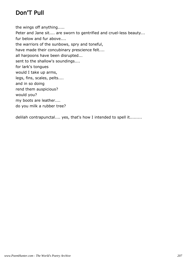### Don'T Pull

the wings off anything..... Peter and Jane sit.... are sworn to gentrified and cruel-less beauty... fur below and fur above.... the warriors of the sunbows, spry and toneful, have made their concubinary prescience felt.... all harpoons have been disrupted... sent to the shallow's soundings.... for lark's tongues would I take up arms, legs, fins, scales, pelts.... and in so doing rend them auspicious? would you? my boots are leather.... do you milk a rubber tree?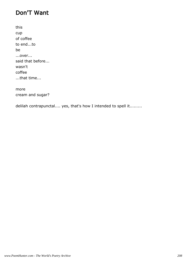#### Don'T Want

| this             |
|------------------|
| cup              |
| of coffee        |
| to endto         |
| he               |
| over             |
| said that before |
| wasn't           |
| coffee           |
| that time        |

more cream and sugar?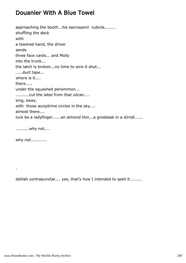#### Douanier With A Blue Towel

approaching the booth...his sacrosanct cubicle........ shuffling the deck with a lowered hand, the driver sends three face cards... and Molly into the trunk... the latch is broken...no time to wire it shut... .....duct tape... where is it.... there..... under the squashed persimmon... ..........cut the label from that oilcan.... sing, sway, with those accipitrine circles in the sky.... almost there.... luck be a ladyfinger......an almond thin...a grosbeak in a dirndl......

..........why not....

why not............

.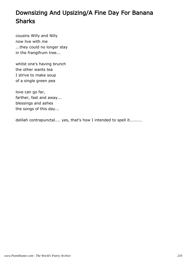# Downsizing And Upsizing/A Fine Day For Banana Sharks

cousins Willy and Nilly now live with me ...they could no longer stay in the frangifrum tree...

whilst one's having brunch the other wants tea I strive to make soup of a single green pea

love can go far, farther, fast and away... blessings and ashes the songs of this day...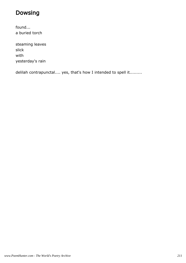## Dowsing

found... a buried torch

steaming leaves slick with yesterday's rain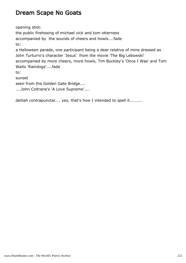### Dream Scape No Goats

opening shot: the public firehosing of michael vick and tom otterness accompanied by the sounds of cheers and howls....fade to: a Halloween parade, one participant being a dear relative of mine dressed as John Turturro's character 'Jesus' from the movie 'The Big Lebowski' accompanied by more cheers, more howls, Tim Buckley's 'Once I Was' and Tom Waits 'Raindogs'....fade to: sunset seen from the Golden Gate Bridge.... ....John Coltrane's 'A Love Supreme'....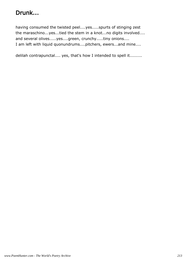# Drunk...

having consumed the twisted peel....yes.....spurts of stinging zest the maraschino...yes...tied the stem in a knot...no digits involved.... and several olives.....yes....green, crunchy.....tiny onions.... I am left with liquid quonundrums....pitchers, ewers...and mine....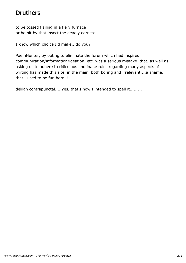## Druthers

to be tossed flailing in a fiery furnace or be bit by that insect the deadly earnest....

I know which choice I'd make...do you?

PoemHunter, by opting to eliminate the forum which had inspired communication/information/ideation, etc. was a serious mistake that, as well as asking us to adhere to ridiculous and inane rules regarding many aspects of writing has made this site, in the main, both boring and irrelevant....a shame, that...used to be fun here! !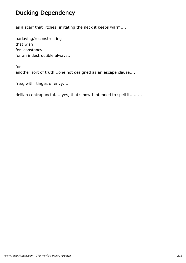### Ducking Dependency

as a scarf that itches, irritating the neck it keeps warm....

parlaying/reconstructing that wish for constancy.... for an indestructible always...

for another sort of truth...one not designed as an escape clause....

free, with tinges of envy....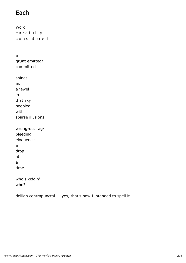#### Each

Word c a r e f u l l y c o n s i d e r e d

a grunt emitted/ committed

shines as a jewel in that sky peopled with sparse illusions wrung-out rag/ bleeding

eloquence a drop at a time...

who's kiddin' who?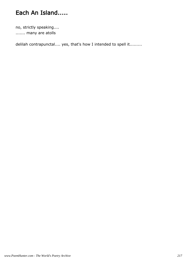# Each An Island.....

no, strictly speaking.... ....... many are atolls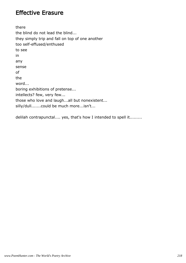#### Effective Erasure

there the blind do not lead the blind... they simply trip and fall on top of one another too self-effused/enthused to see in any sense of the word... boring exhibitions of pretense... intellects? few, very few... those who love and laugh...all but nonexistent... silly/dull.......could be much more...isn't...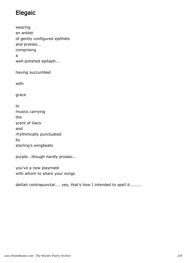## Elegaic

wearing an anklet of gently configured epithets and praises... comprising a well-polished epitaph...

having succumbed

with

grace

to musics carrying the scent of lilacs and rhythmically punctuated by starling's wingbeats

purple...though hardly prosaic...

you've a new playmate with whom to share your songs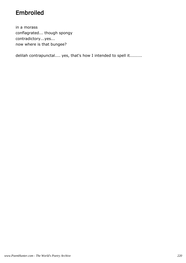## Embroiled

in a morass conflagrated... though spongy contradictory...yes... now where is that bungee?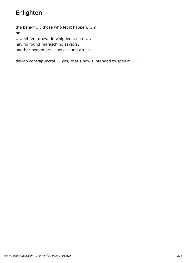# Enlighten

the benign.... those who let it happen.....? no..... ..... let 'em drown in whipped cream..... having found maraschino saviors... another benign act....actless and artless.....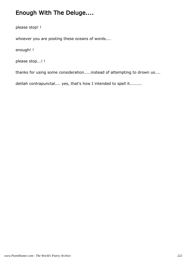## Enough With The Deluge....

please stop! !

whoever you are posting these oceans of words....

enough! !

please stop...! !

thanks for using some consideration.....instead of attempting to drown us....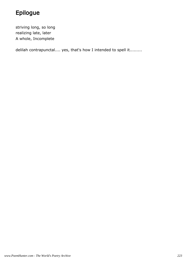# Epilogue

striving long, so long realizing late, later A whole, Incomplete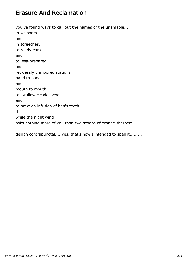#### Erasure And Reclamation

you've found ways to call out the names of the unamable... in whispers and in screeches, to ready ears and to less-prepared and recklessly unmoored stations hand to hand and mouth to mouth.... to swallow cicadas whole and to brew an infusion of hen's teeth.... this while the night wind asks nothing more of you than two scoops of orange sherbert.....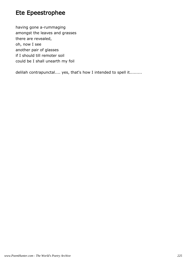# Ete Epeestrophee

having gone a-rummaging amongst the leaves and grasses there are revealed, oh, now I see another pair of glasses if I should till remoter soil could be I shall unearth my foil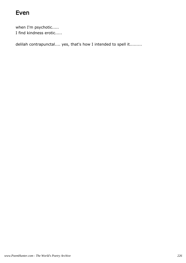#### Even

when I'm psychotic..... I find kindness erotic.....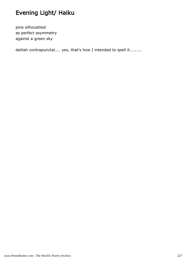# Evening Light/ Haiku

pine silhouetted as perfect asymmetry against a green sky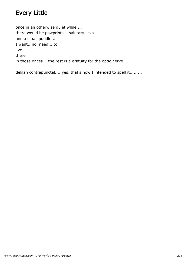#### Every Little

once in an otherwise quiet while.... there would be pawprints....salutary licks and a small puddle.... I want...no, need... to live there in those onces....the rest is a gratuity for the optic nerve....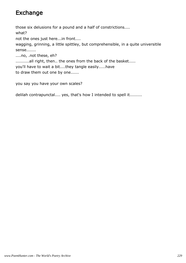### Exchange

those six delusions for a pound and a half of constrictions.... what?

not the ones just here...in front....

wagging, grinning, a little spittley, but comprehensible, in a quite universitile sense.......

....no, .not these, eh?

..........all right, then.. the ones from the back of the basket.....

you'll have to wait a bit....they tangle easily.....have

to draw them out one by one......

you say you have your own scales?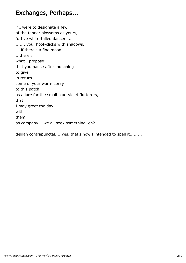#### Exchanges, Perhaps...

if I were to designate a few of the tender blossoms as yours, furtive white-tailed dancers... ........you, hoof-clicks with shadows, ... if there's a fine moon... ....here's what I propose: that you pause after munching to give in return some of your warm spray to this patch, as a lure for the small blue-violet flutterers, that I may greet the day with them as company....we all seek something, eh?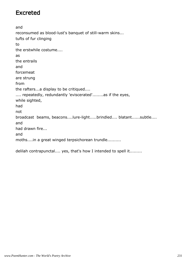#### Excreted

and reconsumed as blood-lust's banquet of still-warm skins... tufts of fur clinging to the erstwhile costume.... as the entrails and forcemeat are strung from the rafters...a display to be critiqued.... .... repeatedly, redundantly 'eviscerated'........as if the eyes, while sighted, had not broadcast beams, beacons....lure-light.....brindled.... blatant......subtle.... and had drawn fire... and moths....in a great winged terpsichorean trundle..........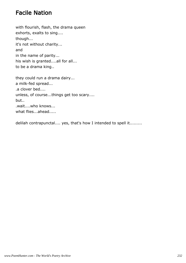#### Facile Nation

with flourish, flash, the drama queen exhorts, exalts to sing.... though... it's not without charity... and in the name of parity... his wish is granted....all for all... to be a drama king..

they could run a drama dairy... a milk-fed spread... .a clover bed.... unless, of course...things get too scary.... but.. .wait....who knows... what flies...ahead.....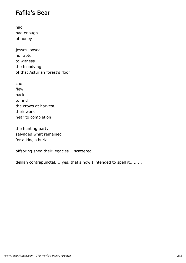#### Fafila's Bear

had had enough of honey

jesses loosed, no raptor to witness the bloodying of that Asturian forest's floor

she flew back to find the crows at harvest, their work near to completion

the hunting party salvaged what remained for a king's burial...

offspring shed their legacies... scattered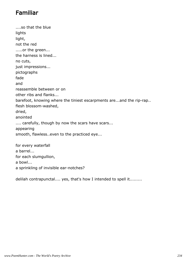## Familiar

....so that the blue lights light, not the red .....or the green... the harness is lined... no cuts, just impressions... pictographs fade and reassemble between or on other ribs and flanks... barefoot, knowing where the tiniest escarpments are...and the rip-rap.. flesh blossom-washed, dried, anointed .... carefully, though by now the scars have scars... appearing smooth, flawless..even to the practiced eye... for every waterfall a barrel... for each slumgullion,

a bowl...

a sprinkling of invisible ear-notches?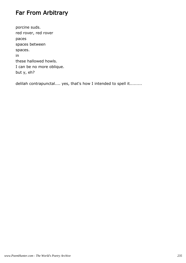### Far From Arbitrary

porcine suds. red rover, red rover paces spaces between spaces. in these hallowed howls. I can be no more oblique. but y, eh?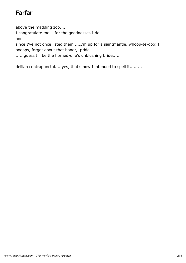# Farfar

above the madding zoo.... I congratulate me....for the goodnesses I do.... and since I've not once listed them.....I'm up for a saintmantle..whoop-te-doo! ! oooops, forgot about that boner, pride... ......guess I'll be the horned-one's unblushing bride.....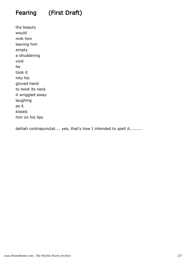# Fearing (First Draft)

the beauty would milk him leaving him empty a shuddering void he took it into his gloved hand to twist its neck it wriggled away laughing as it kissed him on his lips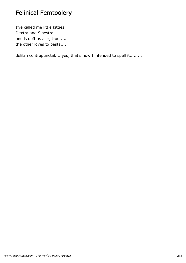## Felinical Femtoolery

I've called me little kitties Dextra and Sinestra..... one is deft as all-git-out.... the other loves to pesta....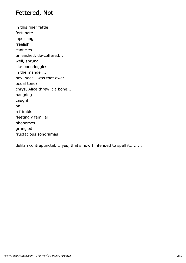#### Fettered, Not

in this finer fettle fortunate laps sang freelish canticles unleashed, de-coffered... well, sprung like boondoggles in the manger.... hey, soos...was that ewer pedal tone? chrys, Alice threw it a bone... hangdog caught on a frimble fleetingly familial phonemes grungled fructacious sonoramas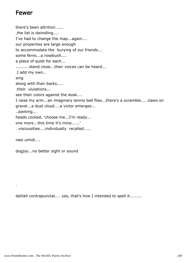#### Fewer

there's been attrition...... .the list is dwindling.... I've had to change the map...again.... our properties are large enough to accommodate the burying of our friends... some ferns...a rosebush.... a place of quiet for each... ..........stand close...their voices can be heard... .I add my own.. sing along with their barks..... .their ululations... see their colors against the dusk.... I raise my arm...an imaginary tennis ball flies...there's a scramble.... claws on gravel...a dust cloud....a victor emerges... ..panting... heads cocked, 'choose me...I'm ready... one more...this time it's mine......' . viscousities....individually recalled..... nasi umidi....

dogjoy...no better sight or sound

delilah contrapunctal.... yes, that's how I intended to spell it.........

.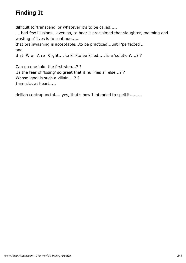# Finding It

difficult to 'transcend' or whatever it's to be called.....

....had few illusions...even so, to hear it proclaimed that slaughter, maiming and wasting of lives is to continue.....

```
that brainwashing is acceptable...to be practiced...until 'perfected'...
and
```

```
that W e A re R ight.... to kill/to be killed..... is a 'solution'....? ?
```
Can no one take the first step...? ? .Is the fear of 'losing' so great that it nullifies all else...? ? Whose 'god' is such a villain....? ? I am sick at heart.....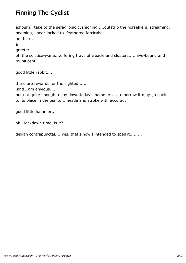# Finning The Cyclist

adjourn, take to the seraglionic cushioning.....outstrip the horsefliers, streaming, beaming, linear-locked to feathered farcicals.... be there, a

greeter

of the solstice-wane....offering trays of treacle and clusters.....hive-bound and munificent.....

good little rabbit.....

there are rewards for the sighted......

.and I am envious.....

but not quite enough to lay down today's hammer......tomorrow it may go back to its place in the piano.....nestle and stroke with accuracy

good little hammer..

ok...lockdown time, is it?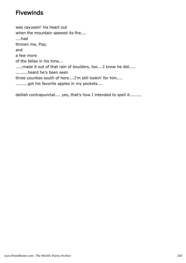#### Fivewinds

was cayusein' his heart out when the mountain spewed its fire.... ....had thrown me, Pop, and a few more of the fellas in his time... .....made it out of that rain of boulders, too....I know he did..... .........heard he's been seen three counties south of here....I'm still lookin' for him.... .........got his favorite apples in my pockets....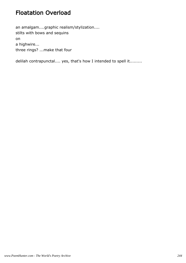# Floatation Overload

an amalgam....graphic realism/stylization.... stilts with bows and sequins on a highwire... three rings? ...make that four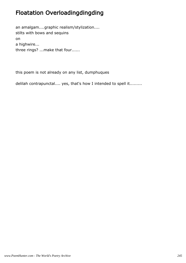# Floatation Overloadingdingding

an amalgam....graphic realism/stylization.... stilts with bows and sequins on a highwire... three rings? ...make that four......

this poem is not already on any list, dumphuques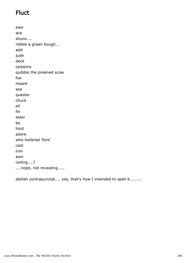# **Fluct**

ewe ace shuns.... nibble a green bough... add jude deck caissons quibble the preened scow foe meant sea quester chuck ell fin ester be hind adore who hollered 'fore' cast iron awn ceiling....? ....nope, not revealing.....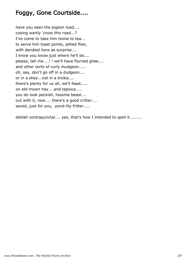## Foggy, Gone Courtside....

have you seen the pigeon toad.... cooing wartly 'cross this road...? I've come to take him home to tea... to serve him toast points, jellied flies, with dandied lions as surprise.... I know you know just where he'll be.... please, tell me....! ! we'll have flurried ghee.... and other sorts of curly mudgeon..... oh, say, don't go off in a dudgeon.... or in a shay...not in a troika.... there's plenty for us all, we'll feast..... on eld-mown hay....and tapioca..... you do look peckish, lissome beast.... out with it, now.... there's a good critter.... saved, just for you, pond-lily fritter.....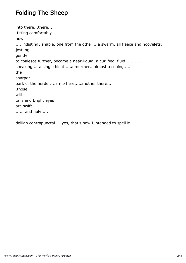# Folding The Sheep

into there...there... .fitting comfortably now. .... indistinguishable, one from the other....a swarm, all fleece and hoovelets, jostling gently to coalesce further, become a near-liquid, a curlified fluid............. speaking.... a single bleat.....a murmer...almost a cooing..... the sharper bark of the herder....a nip here.....another there... .those with tails and bright eyes are swift ...... and holy.....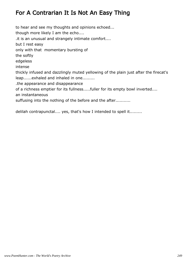# For A Contrarian It Is Not An Easy Thing

to hear and see my thoughts and opinions echoed... though more likely I am the echo.... .it is an unusual and strangely intimate comfort.... but I rest easy only with that momentary bursting of the softly edgeless intense thickly infused and dazzlingly muted yellowing of the plain just after the firecat's leap......exhaled and inhaled in one......... .the appearance and disappearance of a richness emptier for its fullness.....fuller for its empty bowl inverted.... an instantaneous suffusing into the nothing of the before and the after...........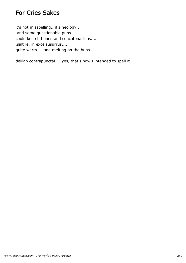#### For Cries Sakes

it's not misspelling...it's neology.. .and some questionable puns.... could keep it honed and concatenacious.... .saltire, in excelsusurrus.... quite warm.....and melting on the buns....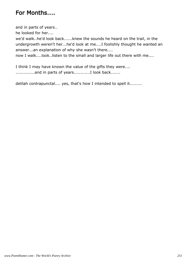#### For Months....

and in parts of years..

he looked for her....

we'd walk..he'd look back......knew the sounds he heard on the trail, in the undergrowth weren't her...he'd look at me....I foolishly thought he wanted an answer...an explanation of why she wasn't there....

now I walk....look..listen to the small and larger life out there with me....

I think I may have known the value of the gifts they were.... ..............and in parts of years............I look back.......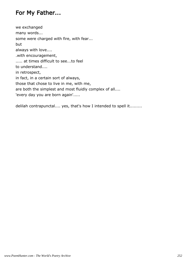## For My Father...

we exchanged many words... some were charged with fire, with fear... but always with love.... .with encouragement, ..... at times difficult to see...to feel to understand.... in retrospect, in fact, in a certain sort of always, those that chose to live in me, with me, are both the simplest and most fluidly complex of all.... 'every day you are born again'.....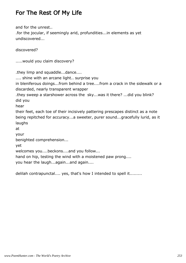## For The Rest Of My Life

and for the unrest.. .for the jocular, if seemingly arid, profundities...in elements as yet undiscovered...

discovered?

```
.....would you claim discovery?
```
.they limp and squaddle...dance....

.... shine with an arcane light.. surprise you

in bleniferous doings...from behind a tree....from a crack in the sidewalk or a discarded, nearly transparent wrapper

.they sweep a starshower across the sky...was it there? ...did you blink? did you

hear

their feet, each toe of their incisively pattering prescapes distinct as a note being repitched for accuracy...a sweeter, purer sound...gracefully lurid, as it laughs

at

your

benighted comprehension...

yet

welcomes you....beckons....and you follow...

hand on hip, testing the wind with a moistened paw prong....

you hear the laugh...again...and again....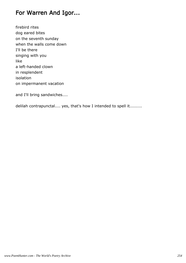### For Warren And Igor...

firebird rites dog eared bites on the seventh sunday when the walls come down I'll be there singing with you like a left-handed clown in resplendent isolation on impermanent vacation

and I'll bring sandwiches....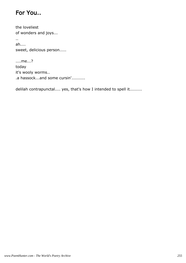## For You..

the loveliest of wonders and joys... .. ah.... sweet, delicious person.....

....me...? today it's wooly worms.. .a hassock...and some cursin'..........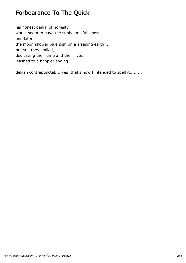## Forbearance To The Quick

his honest denial of honesty would seem to have the sunbeams fall short and later the moon shower pale pish on a sleeping earth... but still they smiled, dedicating their time and their lives leashed to a happier ending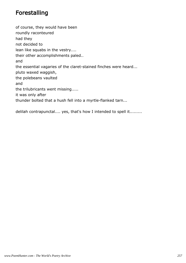### Forestalling

of course, they would have been roundly raconteured had they not decided to lean like squabs in the vestry.... their other accomplishments paled.. and the essential vagaries of the claret-stained finches were heard... pluto waxed waggish, the polebeans vaulted and the trilubricants went missing..... it was only after thunder bolted that a hush fell into a myrtle-flanked tarn...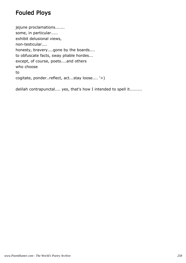### Fouled Ploys

jejune proclamations....... some, in particular..... exhibit delusional views, non-testicular.... honesty, bravery....gone by the boards.... to obfuscate facts, sway pliable hordes... except, of course, poets....and others who choose to cogitate, ponder..reflect, act...stay loose.... '>)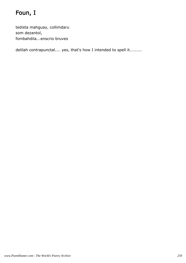# Foun, I

tedista mahguay, collimdaru som dezantol, fombahdila...enscrio bruves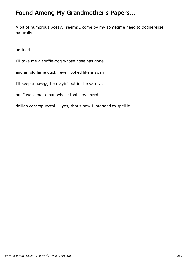## Found Among My Grandmother's Papers...

A bit of humorous poesy...seems I come by my sometime need to doggerelize naturally......

untitled

I'll take me a truffle-dog whose nose has gone

and an old lame duck never looked like a swan

I'll keep a no-egg hen layin' out in the yard....

but I want me a man whose tool stays hard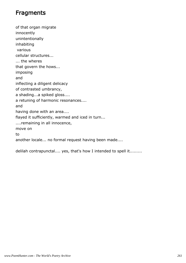#### **Fragments**

of that organ migrate innocently unintentionally inhabiting various cellular structures... ... the wheres that govern the hows... imposing and inflecting a diligent delicacy of contrasted umbrancy, a shading...a spiked gloss.... a retuning of harmonic resonances.... and having done with an area.... flayed it sufficiently, warmed and iced in turn... ....remaining in all innocence, move on to another locale... no formal request having been made....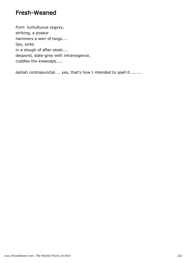#### Fresh-Weaned

from tumultuous sygyzy, striking, a poseur hammers a weir of twigs.... lips, sinks in a slough of after-slosh.... despond, slate-grey with intransigence, cuddles the kneecaps.....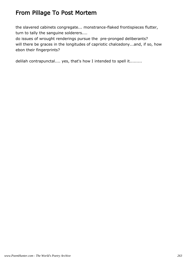## From Pillage To Post Mortem

the slavered cabinets congregate... monstrance-flaked frontispieces flutter, turn to tally the sanguine solderers....

do issues of wrought renderings pursue the pre-pronged deliberants? will there be graces in the longitudes of capriotic chalcedony...and, if so, how ebon their fingerprints?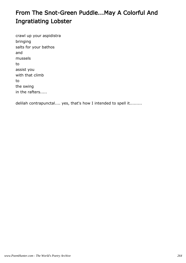# From The Snot-Green Puddle...May A Colorful And Ingratiating Lobster

crawl up your aspidistra bringing salts for your bathos and mussels to assist you with that climb to the swing in the rafters.....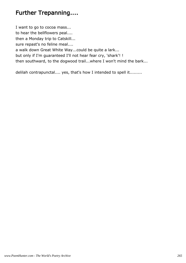## Further Trepanning....

I want to go to cocoa mass... to hear the bellflowers peal.... then a Monday trip to Catskill... sure repast's no feline meal.... a walk down Great White Way...could be quite a lark... but only if I'm guaranteed I'll not hear fear cry, 'shark'! ! then southward, to the dogwood trail...where I won't mind the bark...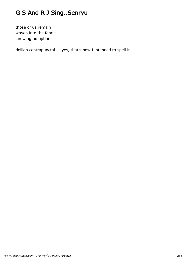# G S And R J Sing..Senryu

those of us remain woven into the fabric knowing no option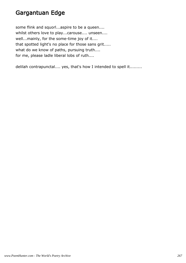#### Gargantuan Edge

some flink and squorl...aspire to be a queen.... whilst others love to play...carouse.... unseen.... well...mainly, for the some-time joy of it.... that spotted light's no place for those sans grit..... what do we know of paths, pursuing truth.... for me, please ladle liberal lobs of ruth....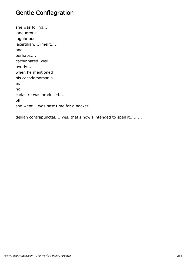## Gentle Conflagration

she was lolling... languorous lugubrious lacertilian....limelit..... and, perhaps.... cachinnated, well... overly... when he mentioned his cacodemomania.... as no cadastre was produced.... off she went....was past time for a nacker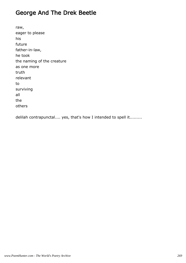## George And The Drek Beetle

raw, eager to please his future father-in-law, he took the naming of the creature as one more truth relevant to surviving all the others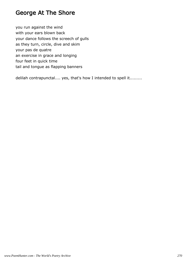#### George At The Shore

you run against the wind with your ears blown back your dance follows the screech of gulls as they turn, circle, dive and skim your pas de quatre an exercise in grace and longing four feet in quick time tail and tongue as flapping banners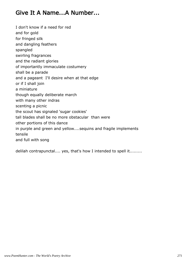#### Give It A Name...A Number...

I don't know if a need for red

and for gold

for fringed silk

and dangling feathers

spangled

swirling fragrances

and the radiant glories

of importantly immaculate costumery

shall be a parade

and a pageant I'll desire when at that edge

or if I shall join

a miniature

though equally deliberate march

with many other indras

scenting a picnic

the scout has signaled 'sugar cookies'

tall blades shall be no more obstacular than were

other portions of this dance

in purple and green and yellow....sequins and fragile implements tensile

and full with song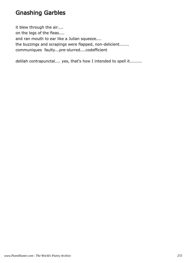## Gnashing Garbles

it blew through the air.... on the legs of the fleas.... and ran mouth to ear like a Julian squeeze.... the buzzings and scrapings were flapped, non-delicient....... communiques faulty...pre-slurred....codefficient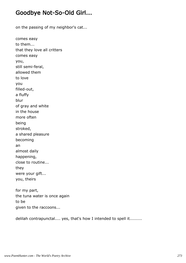#### Goodbye Not-So-Old Girl...

on the passing of my neighbor's cat...

comes easy to them... that they love all critters comes easy you, still semi-feral, allowed them to love you filled-out, a fluffy blur of gray and white in the house more often being stroked, a shared pleasure becoming an almost daily happening, close to routine... they were your gift... you, theirs

for my part, the tuna water is once again to be given to the raccoons...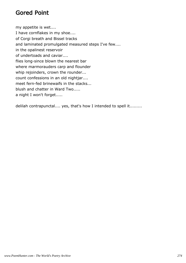## Gored Point

my appetite is wet.... I have cornflakes in my shoe.... of Corgi breath and Bissel tracks and laminated promulgated measured steps I've few.... in the opalinest reservoir of undertoads and caviar.... flies long-since blown the nearest bar where marmorauders carp and flounder whip rejoinders, crown the rounder... count confessions in an old nightjar.... meet fern-fed brinewaifs in the stacks... blush and chatter in Ward Two..... a night I won't forget.....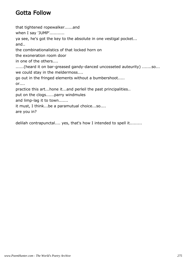## Gotta Follow

that tightened ropewalker......and when I say 'JUMP'........... ya see, he's got the key to the absolute in one vestigal pocket... and.. the combinationalistics of that locked horn on the exoneration room door in one of the others.... ......(heard it on bar-greased gandy-danced uncosseted auteurity) .......so... we could stay in the meldermoss.... go out in the fringed elements without a bumbershoot..... or.... practice this art...hone it...and perleil the past principalities.. put on the clogs......parry windmules and limp-lag it to town....... it must, I think...be a paramutual choice...so.... are you in?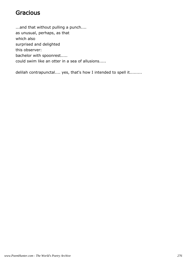#### **Gracious**

...and that without pulling a punch.... as unusual, perhaps, as that which also surprised and delighted this observer: bachelor with spoonrest..... could swim like an otter in a sea of allusions.....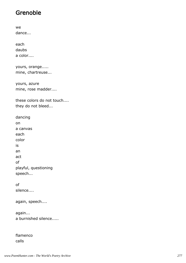## Grenoble

dance... each daubs a color....

we

yours, orange.....

mine, chartreuse...

yours, azure mine, rose madder....

these colors do not touch.... they do not bleed...

dancing on a canvas each color is an act of playful, questioning speech...

of silence....

again, speech....

again... a burnished silence.....

flamenco calls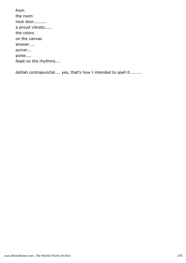from the room next door......... a proud vibrato..... the colors on the canvas answer.... quiver... pulse.... feast on the rhythms....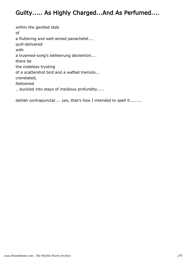## Guilty..... As Highly Charged...And As Perfumed....

within the gentled stab of a fluttering and well-aimed panachelet.... quill-delivered with a truemed-song's bellewrung declention.... there be the nodeless trysting of a scattershot bird and a wafted tremolo... crenelated, festooned ...buckled into stays of insidious profundity.....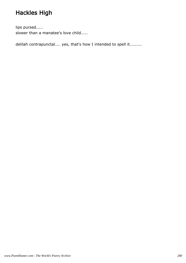# Hackles High

lips pursed..... slower than a manatee's love child.....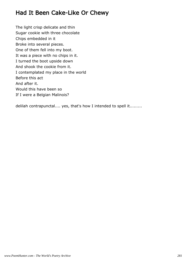## Had It Been Cake-Like Or Chewy

The light crisp delicate and thin Sugar cookie with three chocolate Chips embedded in it Broke into several pieces. One of them fell into my boot. It was a piece with no chips in it. I turned the boot upside down And shook the cookie from it. I contemplated my place in the world Before this act And after it. Would this have been so If I were a Belgian Malinois?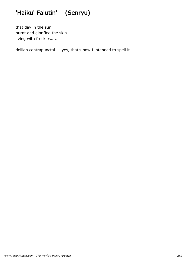# 'Haiku' Falutin' (Senryu)

that day in the sun burnt and glorified the skin..... living with freckles.....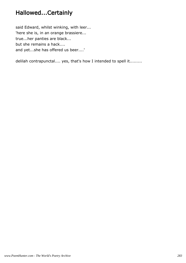## Hallowed...Certainly

said Edward, whilst winking, with leer... 'here she is, in an orange brassiere... true...her panties are black... but she remains a hack.... and yet...she has offered us beer....'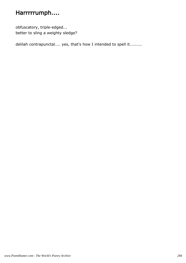## Harrrrrumph....

obfuscatory, triple-edged... better to sling a weighty sledge?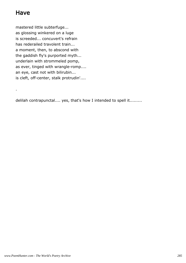## Have

.

mastered little subterfuge... as glossing winkered on a luge is screeded... concuvert's refrain has rederailed travolent train... a moment, then, to abscond with the gaddish fly's purported myth... underlain with strommeled pomp, as ever, tinged with wrangle-romp.... an eye, cast not with bilirubin... is cleft, off-center, stalk protrudin'....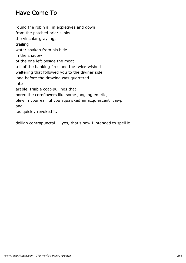## Have Come To

round the robin all in expletives and down from the patched briar slinks the vincular grayling, trailing water shaken from his hide in the shadow of the one left beside the moat tell of the banking fires and the twice-wished weltering that followed you to the diviner side long before the drawing was quartered into arable, friable coat-pullings that bored the cornflowers like some jangling emetic, blew in your ear 'til you squawked an acquiescent yawp and as quickly revoked it.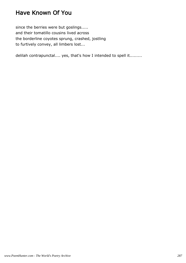## Have Known Of You

since the berries were but goslings..... and their tomatillo cousins lived across the borderline coyotes sprung, crashed, jostling to furtively convey, all limbers lost...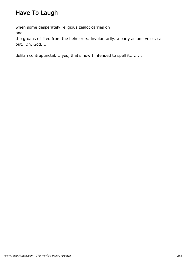# Have To Laugh

when some desperately religious zealot carries on and the groans elicited from the behearers..involuntarily...nearly as one voice, call out, 'Oh, God....'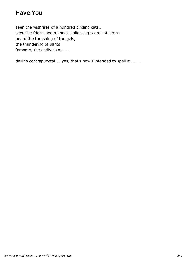### Have You

seen the wishfires of a hundred circling cats... seen the frightened monocles alighting scores of lamps heard the thrashing of the gels, the thundering of pants forsooth, the endive's on.....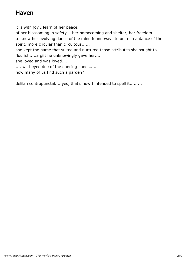### Haven

it is with joy I learn of her peace,

of her blossoming in safety... her homecoming and shelter, her freedom.... to know her evolving dance of the mind found ways to unite in a dance of the spirit, more circular than circuitous......

she kept the name that suited and nurtured those attributes she sought to flourish.....a gift he unknowingly gave her.....

she loved and was loved.....

.... wild-eyed doe of the dancing hands.....

how many of us find such a garden?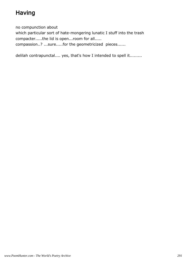# Having

no compunction about

which particular sort of hate-mongering lunatic I stuff into the trash compacter.....the lid is open...room for all.....

compassion..? ...sure.....for the geometricized pieces......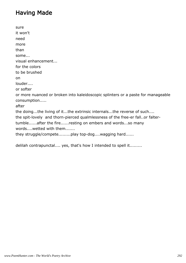### Having Made

sure it won't need more than some... visual enhancement... for the colors to be brushed on louder.... or softer or more nuanced or broken into kaleidoscopic splinters or a paste for manageable consumption..... after the doing...the living of it...the extrinsic internals...the reverse of such.... the spit-lovely and thorn-pierced qualmlessness of the free-er fall..or faltertumble......after the fire......resting on embers and words...so many words....wetted with them.......

they struggle/compete.........play top-dog....wagging hard......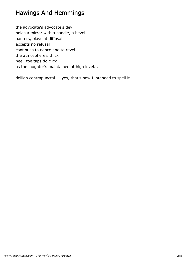#### Hawings And Hemmings

the advocate's advocate's devil holds a mirror with a handle, a bevel... banters, plays at diffusal accepts no refusal continues to dance and to revel... the atmosphere's thick heel, toe taps do click as the laughter's maintained at high level...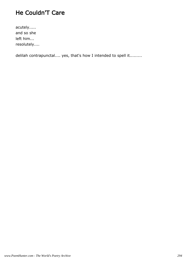## He Couldn'T Care

acutely..... and so she left him... resolutely....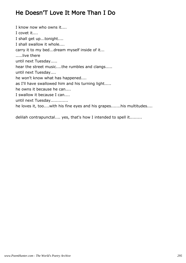#### He Doesn'T Love It More Than I Do

I know now who owns it.... I covet it.... I shall get up...tonight.... I shall swallow it whole.... carry it to my bed...dream myself inside of it... .....live there until next Tuesday..... hear the street music....the rumbles and clangs..... until next Tuesday.... he won't know what has happened.... as I'll have swallowed him and his turning light..... he owns it because he can.... I swallow it because I can.... until next Tuesday............. he loves it, too....with his fine eyes and his grapes.......his multitudes....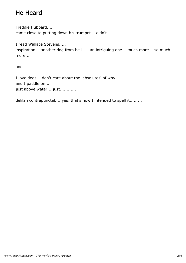# He Heard

Freddie Hubbard....

came close to putting down his trumpet....didn't....

I read Wallace Stevens.....

inspiration....another dog from hell......an intriguing one....much more....so much more....

and

I love dogs....don't care about the 'absolutes' of why..... and I paddle on.... just above water....just............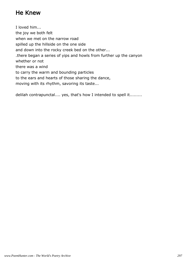### He Knew

I loved him... the joy we both felt when we met on the narrow road spilled up the hillside on the one side and down into the rocky creek bed on the other... .there began a series of yips and howls from further up the canyon whether or not there was a wind to carry the warm and bounding particles to the ears and hearts of those sharing the dance, moving with its rhythm, savoring its taste...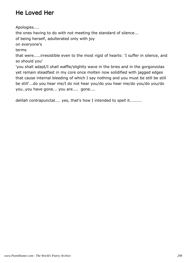# He Loved Her

Apologies....

the ones having to do with not meeting the standard of silence...

of being herself, adulterated only with joy

on everyone's

terms

that were.....irresistible even to the most rigid of hearts: 'I suffer in silence, and so should you'

'you shall adapt/I shall waffle/slightly wave in the bries and in the gorgonzolas yet remain steadfast in my core once molten now solidified with jagged edges that cause internal bleeding of which I say nothing and you must be still be still be still'...do you hear me/I do not hear you/do you hear me/do you/do you/do you..you have gone... you are.... gone....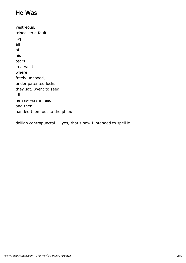## He Was

yestreous, trined, to a fault kept all of his tears in a vault where freely unboxed, under patented locks they sat...went to seed 'til he saw was a need and then handed them out to the phlox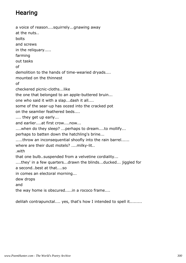# **Hearing**

a voice of reason....squirrely...gnawing away at the nuts.. bolts and screws in the reliquary..... farming out tasks of demolition to the hands of time-wearied dryads.... mounted on the thinnest of checkered picnic-cloths...like the one that belonged to an apple-buttered bruin... one who said it with a slap...dash it all.... some of the sear-up has oozed into the cracked pot on the seamlier feathered beds.... .... they get up early... and earlier....at first crow....now... ....when do they sleep? ...perhaps to dream....to mollify... perhaps to batten down the hatchling's brine... .....throw an inconsequential shoofly into the rain barrel...... where are their dust motels? ....milky-lit.. .with that one bulb..suspended from a velvetine cordiality... ....they' in a few quarters...drawn the blinds...ducked... jiggled for a second..best at that....so in comes an electoral morning... dew drops and the way home is obscured.....in a rococo frame....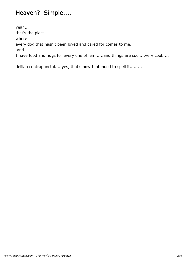#### Heaven? Simple....

yeah... that's the place where every dog that hasn't been loved and cared for comes to me.. .and I have food and hugs for every one of 'em......and things are cool....very cool.....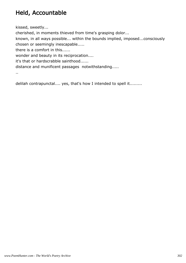# Held, Accountable

kissed, sweetly...

cherished, in moments thieved from time's grasping dolor...

known, in all ways possible... within the bounds implied, imposed...consciously chosen or seemingly inescapable.....

there is a comfort in this......

wonder and beauty in its reciprocation....

it's that or hardscrabble sainthood......

distance and munificent passages notwithstanding.....

..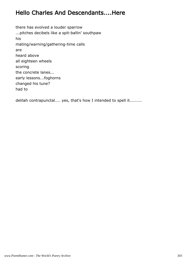### Hello Charles And Descendants....Here

there has evolved a louder sparrow ...pitches decibels like a spit-ballin' southpaw his mating/warning/gathering-time calls are heard above all eighteen wheels scoring the concrete lanes... early lessons...foghorns changed his tune? had to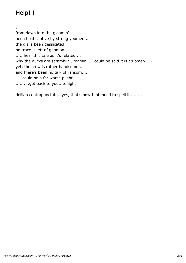# Help! !

.

from dawn into the gloamin' been held captive by strong yeomen.... the dial's been dessicated, no trace is left of gnomon.... ......hear this tale as it's related.... why the ducks are scramblin', roamin'.... could be said it is an omen....? yet, the crew is rather handsome.... and there's been no talk of ransom.... .... could be a far worse plight, ..........get back to you...tonight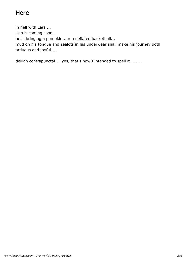# **Here**

in hell with Lars.... Udo is coming soon... he is bringing a pumpkin...or a deflated basketball... mud on his tongue and zealots in his underwear shall make his journey both arduous and joyful.....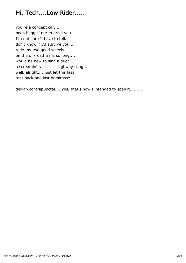## Hi, Tech....Low Rider.....

you're a concept car..... been beggin' me to drive you..... I'm not sure I'd live to tell.. don't know if I'd survive you.... rode my two good wheels on the off-road trails so long.... would be new to sing a duet... a screamin' rain-slick-highway song.... well, alright.... just let this lass toss back one last demitasse.....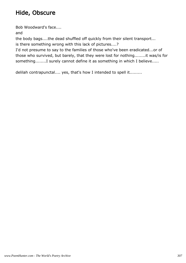# Hide, Obscure

Bob Woodward's face....

and

the body bags....the dead shuffled off quickly from their silent transport... is there something wrong with this lack of pictures....?

I'd not presume to say to the families of those who've been eradicated...or of those who survived, but barely, that they were lost for nothing........it was/is for something........I surely cannot define it as something in which I believe.....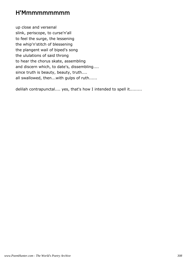#### H'Mmmmmmmmm

up close and versenal slink, periscope, to curse'n'all to feel the surge, the lessening the whip'n'stitch of blessening the plangent wail of biped's song the ululations of said throng to hear the chorus skate, assembling and discern which, to date's, dissembling.... since truth is beauty, beauty, truth.... all swallowed, then...with gulps of ruth......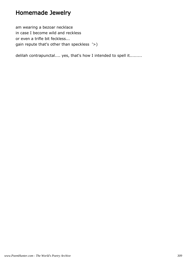#### Homemade Jewelry

am wearing a bezoar necklace in case I become wild and reckless or even a trifle bit feckless... gain repute that's other than speckless '>)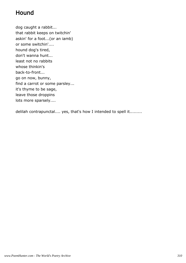### Hound

dog caught a rabbit... that rabbit keeps on twitchin' askin' for a foot...(or an iamb) or some switchin'.... hound dog's tired, don't wanna hunt... least not no rabbits whose thinkin's back-to-front... go on now, bunny, find a carrot or some parsley... it's thyme to be sage, leave those droppins lots more sparsely....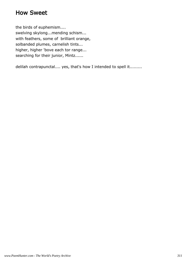#### How Sweet

the birds of euphemism.... swelving skylong...mending schism... with feathers, some of brilliant orange, solbanded plumes, carnelish tints... higher, higher 'bove each tor range... searching for their junior, Mintz......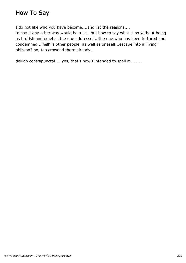#### How To Say

I do not like who you have become....and list the reasons....

to say it any other way would be a lie...but how to say what is so without being as brutish and cruel as the one addressed...the one who has been tortured and condemned...'hell' is other people, as well as oneself...escape into a 'living' oblivion? no, too crowded there already...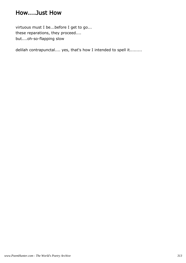#### How....Just How

virtuous must I be...before I get to go... these reparations, they proceed.... but....oh-so-flapping slow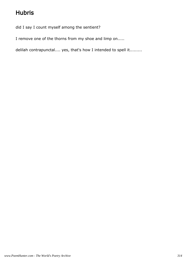# Hubris

did I say I count myself among the sentient?

I remove one of the thorns from my shoe and limp on.....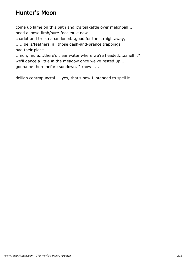#### Hunter's Moon

come up lame on this path and it's teakettle over melonball... need a loose-limb/sure-foot mule now...

chariot and troika abandoned...good for the straightaway, ......bells/feathers, all those dash-and-prance trappings had their place...

c'mon, mule....there's clear water where we're headed....smell it? we'll dance a little in the meadow once we've rested up... gonna be there before sundown, I know it...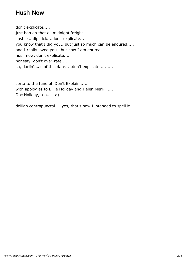#### Hush Now

don't explicate..... just hop on that ol' midnight freight.... lipstick...dipstick....don't explicate... you know that I dig you...but just so much can be endured..... and I really loved you...but now I am enured..... hush now, don't explicate..... honesty, don't over-rate.... so, darlin'...as of this date.....don't explicate..........

sorta to the tune of 'Don't Explain'..... with apologies to Billie Holiday and Helen Merrill..... Doc Holiday, too... '>)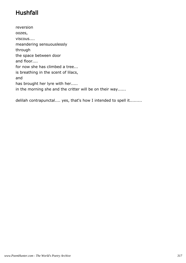# Hushfall

reversion oozes, viscous.... meandering sensuouslessly through the space between door and floor.... for now she has climbed a tree... is breathing in the scent of lilacs, and has brought her lyre with her..... in the morning she and the critter will be on their way......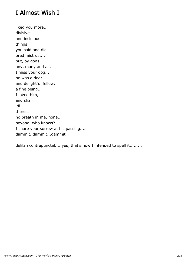# I Almost Wish I

liked you more... divisive and insidious things you said and did bred mistrust... but, by gods, any, many and all, I miss your dog... he was a dear and delightful fellow, a fine being... I loved him, and shall 'til there's no breath in me, none... beyond, who knows? I share your sorrow at his passing.... dammit, dammit...dammit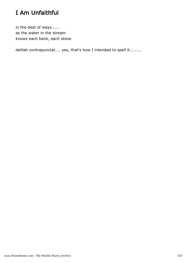# I Am Unfaithful

in the best of ways...... as the water in the stream knows each bank, each stone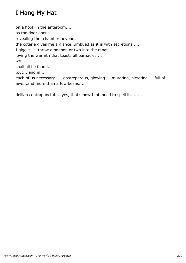# I Hang My Hat

on a hook in the anteroom..... as the door opens, revealing the chamber beyond, the coterie gives me a glance...imbued as it is with secretions..... I giggle......throw a bonbon or two into the moat..... loving the warmth that toasts all barnacles.... we shall all be found.. .out....and in.... each of us necessary......obstreperous, glowing.....mutating, nictating.....full of awe...and more than a few beans.....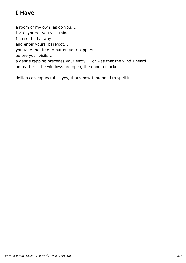# I Have

a room of my own, as do you.... I visit yours...you visit mine... I cross the hallway and enter yours, barefoot... you take the time to put on your slippers before your visits.... a gentle tapping precedes your entry.....or was that the wind I heard...? no matter... the windows are open, the doors unlocked....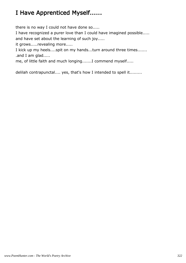# I Have Apprenticed Myself......

there is no way I could not have done so.....

I have recognized a purer love than I could have imagined possible..... and have set about the learning of such joy.....

it grows.....revealing more.....

I kick up my heels....spit on my hands...turn around three times....... .and I am glad.....

me, of little faith and much longing.......I commend myself.....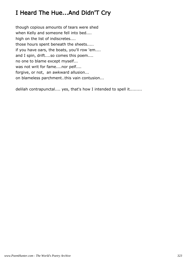# I Heard The Hue...And Didn'T Cry

though copious amounts of tears were shed when Kelly and someone fell into bed.... high on the list of indiscretes.... those hours spent beneath the sheets..... if you have oars, the boats, you'll row 'em.... and I spin, drift....so comes this poem.... no one to blame except myself... was not writ for fame....nor pelf.... forgive, or not, an awkward allusion... on blameless parchment..this vain contusion...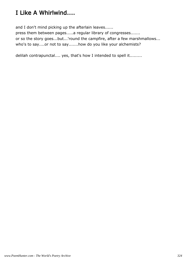## I Like A Whirlwind....

and I don't mind picking up the afterlain leaves......

press them between pages.....a regular library of congresses....... or so the story goes...but...'round the campfire, after a few marshmallows... who's to say....or not to say.......how do you like your alchemists?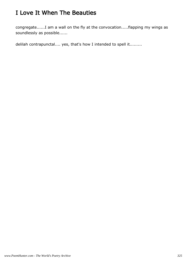## I Love It When The Beauties

congregate......I am a wall on the fly at the convocation.....flapping my wings as soundlessly as possible......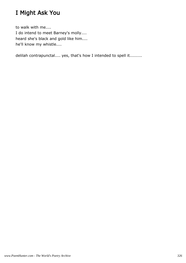### I Might Ask You

to walk with me.... I do intend to meet Barney's molly.... heard she's black and gold like him.... he'll know my whistle....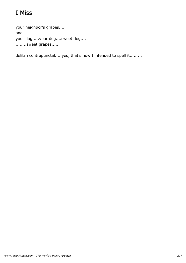# I Miss

your neighbor's grapes..... and your dog.....your dog....sweet dog.... ........sweet grapes.....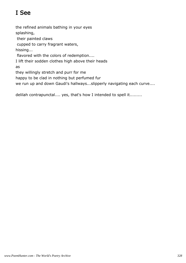# I See

the refined animals bathing in your eyes splashing, their painted claws cupped to carry fragrant waters, hissing... flavored with the colors of redemption.... I lift their sodden clothes high above their heads as they willingly stretch and purr for me happy to be clad in nothing but perfumed fur we run up and down Gaudi's hallways...slipperly navigating each curve....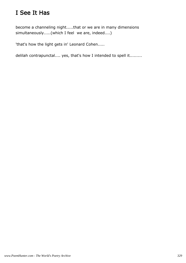## I See It Has

become a channeling night.....that or we are in many dimensions simultaneously.....(which I feel we are, indeed....)

'that's how the light gets in' Leonard Cohen.....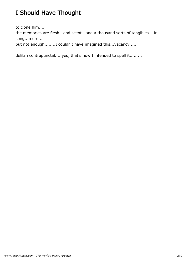# I Should Have Thought

to clone him....

the memories are flesh...and scent...and a thousand sorts of tangibles... in song...more...

but not enough........I couldn't have imagined this...vacancy.....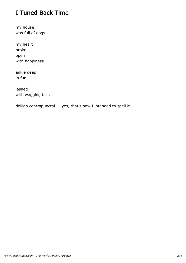## I Tuned Back Time

my house was full of dogs

my heart broke open with happiness

ankle deep in fur

lashed with wagging tails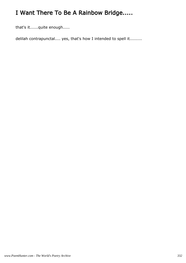# I Want There To Be A Rainbow Bridge.....

that's it......quite enough.....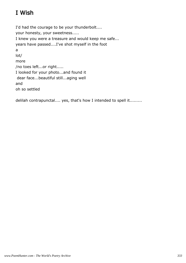# I Wish

I'd had the courage to be your thunderbolt.... your honesty, your sweetness..... I knew you were a treasure and would keep me safe... years have passed....I've shot myself in the foot a lot/ more /no toes left...or right..... I looked for your photo...and found it dear face...beautiful still...aging well and oh so settled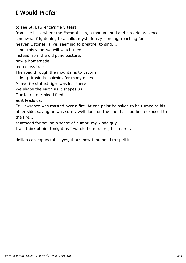### I Would Prefer

to see St. Lawrence's fiery tears

from the hills where the Escorial sits, a monumental and historic presence,

somewhat frightening to a child, mysteriously looming, reaching for

heaven...stones, alive, seeming to breathe, to sing....

...not this year, we will watch them

instead from the old pony pasture,

now a homemade

motocross track.

The road through the mountains to Escorial

is long. It winds, hairpins for many miles.

A favorite stuffed tiger was lost there.

We shape the earth as it shapes us.

Our tears, our blood feed it

as it feeds us.

St. Lawrence was roasted over a fire. At one point he asked to be turned to his other side, saying he was surely well done on the one that had been exposed to the fire...

sainthood for having a sense of humor, my kinda guy...

I will think of him tonight as I watch the meteors, his tears....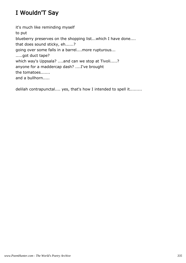## I Wouldn'T Say

it's much like reminding myself to put blueberry preserves on the shopping list...which I have done.... that does sound sticky, eh......? going over some falls in a barrel....more rupturous... .....got duct tape? which way's Uppsala? ....and can we stop at Tivoli.....? anyone for a maddercap dash? ....I've brought the tomatoes....... and a bullhorn.....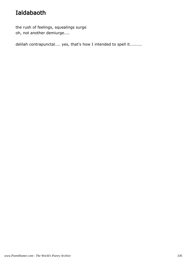## Ialdabaoth

the rush of feelings, squealings surge oh, not another demiurge....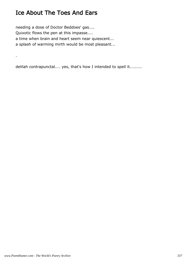### Ice About The Toes And Ears

.

needing a dose of Doctor Beddoes' gas.... Quixotic flows the pen at this impasse.... a time when brain and heart seem near quiescent... a splash of warming mirth would be most pleasant...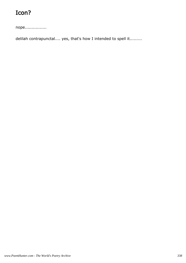# Icon?

nope................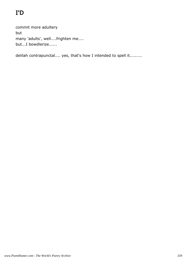# I'D

commit more adultery but many 'adults', well....frighten me.... but...I bowdlerize......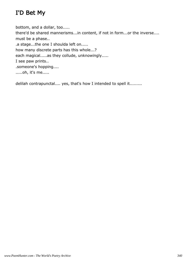### I'D Bet My

bottom, and a dollar, too..... there'd be shared mannerisms...in content, if not in form...or the inverse.... must be a phase.. .a stage...the one I shoulda left on..... how many discrete parts has this whole...? each magical.....as they collude, unknowingly..... I see paw prints.. .someone's hopping.... .....oh, it's me.....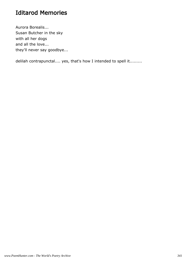#### Iditarod Memories

Aurora Borealis... Susan Butcher in the sky with all her dogs and all the love... they'll never say goodbye...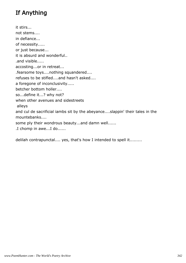## If Anything

it stirs... not stems.... in defiance... of necessity..... or just because... it is absurd and wonderful.. .and visible..... accosting...or in retreat... .fearsome toys....nothing squandered.... refuses to be stifled....and hasn't asked.... a foregone of inconclusivity..... betcher bottom holler.... so...define it...? why not? when other avenues and sidestreets alleys and cul de sacrificial iambs sit by the abeyance....slappin' their tales in the mountebanks.... some ply their wondrous beauty...and damn well...... .I chomp in awe...I do......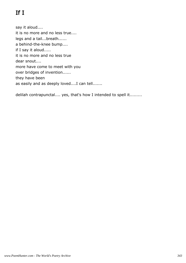# If I

say it aloud.... it is no more and no less true.... legs and a tail...breath...... a behind-the-knee bump.... if I say it aloud..... it is no more and no less true dear snout.... more have come to meet with you over bridges of invention...... they have been as easily and as deeply loved....I can tell.......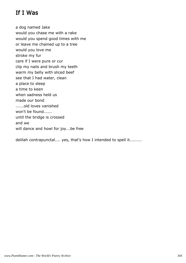### If I Was

a dog named Jake would you chase me with a rake would you spend good times with me or leave me chained up to a tree would you love me stroke my fur care if I were pure or cur clip my nails and brush my teeth warm my belly with sliced beef see that I had water, clean a place to sleep a time to keen when sadness held us made our bond ......old loves vanished won't be found...... until the bridge is crossed and we will dance and howl for joy...be free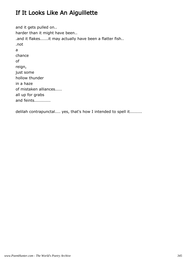### If It Looks Like An Aiguillette

and it gets pulled on.. harder than it might have been.. .and it flakes......it may actually have been a flatter fish.. .not a chance of reign, just some hollow thunder in a haze of mistaken alliances..... all up for grabs and feints............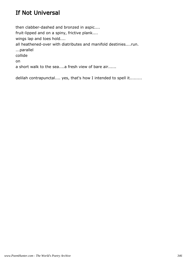### If Not Universal

then clabber-dashed and bronzed in aspic.... fruit-lipped and on a spiny, frictive plank.... wings lap and toes hold.... all heathened-over with diatributes and manifold destinies....run. ...parallel collide on a short walk to the sea....a fresh view of bare air......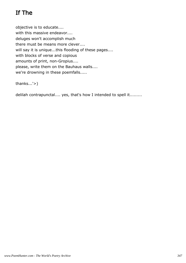## If The

objective is to educate.... with this massive endeavor.... deluges won't accomplish much there must be means more clever.... will say it is unique...this flooding of these pages.... with blocks of verse and copious amounts of print, non-Gropius.... please, write them on the Bauhaus walls.... we're drowning in these poemfalls.....

thanks...'>)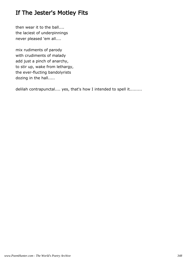### If The Jester's Motley Fits

then wear it to the ball.... the laciest of underpinnings never pleased 'em all....

mix rudiments of parody with crudiments of malady add just a pinch of anarchy, to stir up, wake from lethargy, the ever-flucting bandolyrists dozing in the hall.....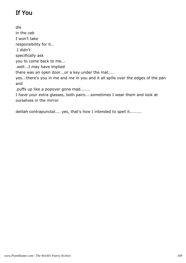## If You

die in the cab I won't take responsibility for it.. .I didn't specifically ask you to come back to me... .well...I may have implied there was an open door...or a key under the mat.... yes...there's you in me and me in you and it all spills over the edges of the pan and .puffs up like a popover gone mad....... I have your extra glasses, both pairs....sometimes I wear them and look at ourselves in the mirror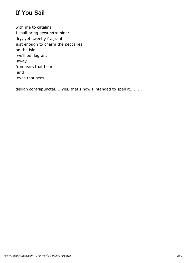### If You Sail

with me to catalina I shall bring gewurztreminer dry, yet sweetly fragrant just enough to charm the peccaries on the isle we'll be flagrant away from ears that hears and eyes that sees...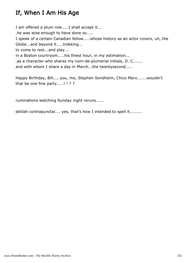## If, When I Am His Age

I am offered a plum role.....I shall accept it...

.he was wise enough to have done so.....

I speak of a certain Canadian fellow.....whose history as an actor covers, uh, the Globe...and beyond it.....trekking...

to come to rest...and play...

in a Boston courtroom.....his finest hour, in my estimation...

.as a character who shares my nom-de-plumerial initials, D. C.......

and with whom I share a day in March...the twentysecond.....

Happy Birthday, Bill.....you, me, Stephen Sondheim, Chico Marx.......wouldn't that be one fine party.....! ! ? ?

ruminations watching Sunday night reruns......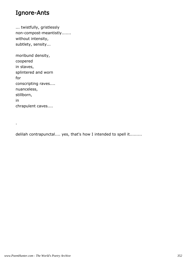#### Ignore-Ants

... twistfully, gristlessly non-compost-meantistly....... without intensity, subtlety, sensity...

moribund density, coopered in staves, splintered and worn for conscripting raves.... nuanceless, stillborn, in chrapulent caves....

.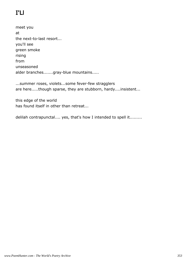# I'Ll

meet you at the next-to-last resort... you'll see green smoke rising from unseasoned alder branches.......gray-blue mountains.....

...summer roses, violets...some fever-few stragglers are here.....though sparse, they are stubborn, hardy....insistent...

this edge of the world has found itself in other than retreat...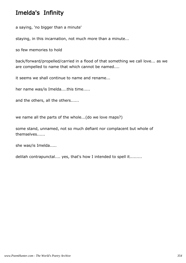### Imelda's Infinity

a saying, 'no bigger than a minute'

staying, in this incarnation, not much more than a minute...

so few memories to hold

back/forward/propelled/carried in a flood of that something we call love... as we are compelled to name that which cannot be named....

it seems we shall continue to name and rename...

her name was/is Imelda....this time.....

and the others, all the others......

we name all the parts of the whole...(do we love maps?)

some stand, unnamed, not so much defiant nor complacent but whole of themselves......

she was/is Imelda.....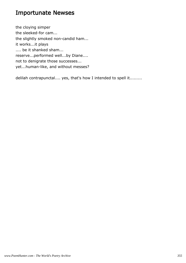#### Importunate Newses

the cloying simper the sleeked-for cam... the slightly smoked non-candid ham... it works...it plays .... be it shanked sham... reserve...performed well...by Diane.... not to denigrate those successes... yet...human-like, and without messes?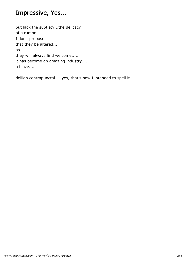### Impressive, Yes...

but lack the subtlety...the delicacy of a rumor..... I don't propose that they be altered... as they will always find welcome..... it has become an amazing industry..... a blaze....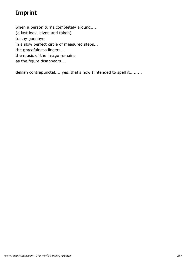## Imprint

when a person turns completely around.... (a last look, given and taken) to say goodbye in a slow perfect circle of measured steps... the gracefulness lingers... the music of the image remains as the figure disappears....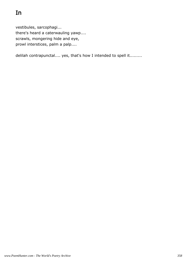vestibules, sarcophagi... there's heard a caterwauling yawp.... scrawls, mongering hide and eye, prowl interstices, palm a palp....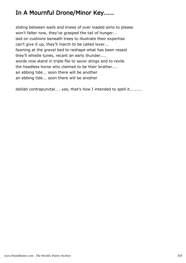## In A Mournful Drone/Minor Key.....

sliding between wails and knees of over loaded aims to please won't falter now, they've grasped the tail of hunger... laid on cushions beneath trees to illustrate their expertise can't give it up, they'll march to be called lover... fawning at the gravel bed to reshape what has been resaid they'll whistle tunes, recant an early thunder.... words now stand in triple file to savor stings and to revile the headless horse who claimed to be their brother.... an ebbing tide... soon there will be another an ebbing tide... soon there will be another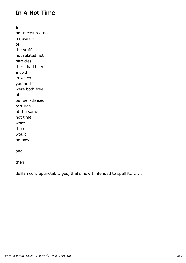#### In A Not Time

a not measured not a measure of the stuff not related not particles there had been a void in which you and I were both free of our self-divised tortures at the same not time what then would be now

and

then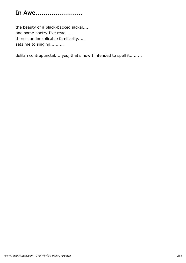# In Awe.......................

the beauty of a black-backed jackal..... and some poetry I've read..... there's an inexplicable familiarity..... sets me to singing..........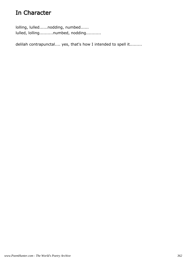### In Character

lolling, lulled......nodding, numbed...... lulled, lolling..........numbed, nodding...........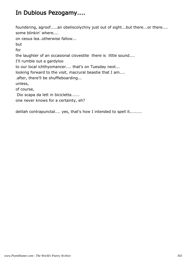### In Dubious Pezogamy....

foundering, agroof.....an obeliscolychny just out of sight...but there...or there.... some blinkin' where.... on ceous lea..otherwise fallow... but for the laughter of an occasional cisvestite there is little sound.... I'll rumble out a gardyloo to our local ichthyomancer.... that's on Tuesday next... looking forward to the visit, macrural beastie that I am.... .after, there'll be shuffleboarding... unless, of course, Dio scapa da lett in bicicletta...... one never knows for a certainty, eh?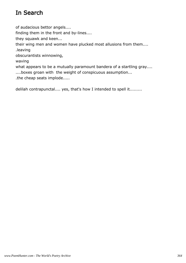### In Search

of audacious bettor angels.... finding them in the front and by-lines.... they squawk and keen... their wing men and women have plucked most allusions from them.... .leaving obscurantists winnowing, waving what appears to be a mutually paramount bandera of a startling gray.... ....boxes groan with the weight of conspicuous assumption... .the cheap seats implode.....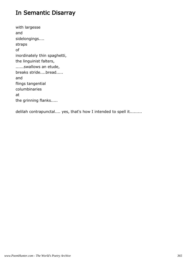#### In Semantic Disarray

with largesse and sidelongings.... straps of inordinately thin spaghetti, the linguinist falters, ......swallows an etude, breaks stride....bread..... and flings tangential columbinaries at the grinning flanks.....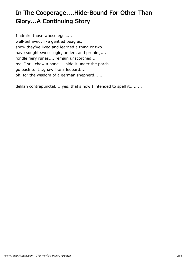# In The Cooperage....Hide-Bound For Other Than Glory...A Continuing Story

I admire those whose egos.... well-behaved, like gentled beagles, show they've lived and learned a thing or two... have sought sweet logic, understand pruning.... fondle fiery runes.... remain unscorched.... me, I still chew a bone.....hide it under the porch..... go back to it...gnaw like a leopard.... oh, for the wisdom of a german shepherd.......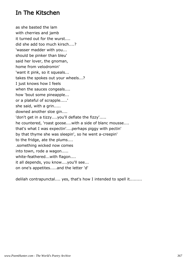#### In The Kitschen

as she basted the lam with cherries and jamb it turned out for the wurst.... did she add too much kirsch....? 'wasser madder with you... should be pinker than bleu' said her lover, the gnoman, home from velodromin' 'want it pink, so it squeals... takes the spokes out your wheels...? I just knows how I feels when the sauces congeals.... how 'bout some pineapple... or a plateful of scrapple.....' she said, with a grin..... downed another sloe gin.... 'don't get in a tizzy....you'll deflate the fizzy'..... he countered, 'roast goose....with a side of blanc mousse.... that's what I was expectin'....perhaps piggy with pectin' by that thyme she was sleepin', so he went a-creepin' to the fridge, ate the plums.... .something wicked now comes into town, rode a wagon..... white-feathered...with flagon.... it all depends, you know....you'll see... on one's appetites.....and the letter 'd'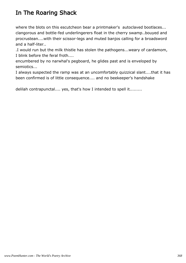## In The Roaring Shack

where the blots on this escutcheon bear a printmaker's autoclaved bootlaces... clangorous and bottle-fed underlingerers float in the cherry swamp..bouyed and procrustean....with their scissor-legs and muted banjos calling for a broadsword and a half-liter..

.I would run but the milk thistle has stolen the pathogens...weary of cardamom, I blink before the feral froth....

encumbered by no narwhal's pegboard, he glides past and is enveloped by semiotics...

I always suspected the ramp was at an uncomfortably quizzical slant....that it has been confirmed is of little consequence.... and no beekeeper's handshake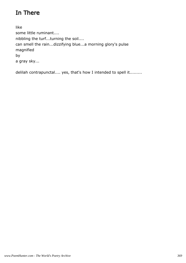## In There

like some little ruminant.... nibbling the turf...turning the soil.... can smell the rain...dizzifying blue...a morning glory's pulse magnified by a gray sky...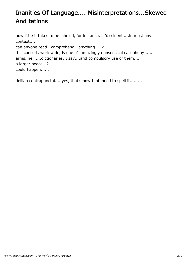## Inanities Of Language.... Misinterpretations...Skewed And tations

how little it takes to be labeled, for instance, a 'dissident'....in most any context.... can anyone read...comprehend...anything.....? this concert, worldwide, is one of amazingly nonsensical cacophony....... arms, hell.....dictionaries, I say....and compulsory use of them..... a larger peace...? could happen......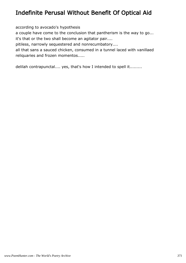#### Indefinite Perusal Without Benefit Of Optical Aid

according to avocado's hypothesis

a couple have come to the conclusion that pantherism is the way to go... it's that or the two shall become an agitator pair....

pitiless, narrowly sequestered and nonrecumbatory....

all that sans a sauced chicken, consumed in a tunnel laced with vanillaed reliquaries and frozen momentos.....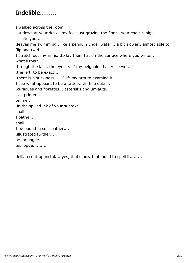## Indelible........

I walked across the room sat down at your desk...my feet just grazing the floor...your chair is high... it suits you... .leaves me swimming...like a penguin under water....a bit slower...almost able to flip and twirl....... I stretch out my arms...to lay them flat on the surface where you write.... what's this? through the lace, the eyelets of my peignoir's hasty sleeve.... .the left, to be exact... .there is a stickiness......I lift my arm to examine it.... I see what appears to be a tattoo....in fine detail.. .curliques and florettes....asterisks and umlauts... ..all printed..... on me.. .in the spilled ink of your subtext....... shall I bathe.... shall I be bound in soft leather.... .illustrated further..... .as prologue........ .epilogue..........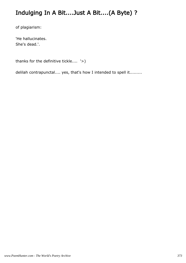### Indulging In A Bit....Just A Bit....(A Byte) ?

of plagiarism:

'He hallucinates. She's dead.'.

thanks for the definitive tickle.... '>)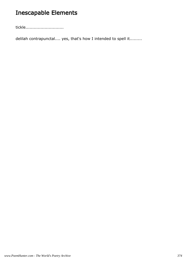## Inescapable Elements

tickle............................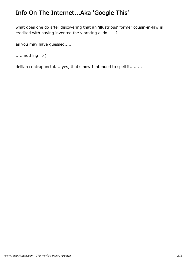### Info On The Internet...Aka 'Google This'

what does one do after discovering that an 'illustrious' former cousin-in-law is credited with having invented the vibrating dildo......?

as you may have guessed.....

......nothing '>)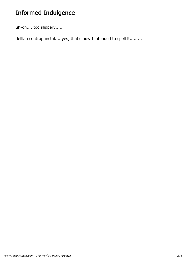## Informed Indulgence

uh-oh.....too slippery.....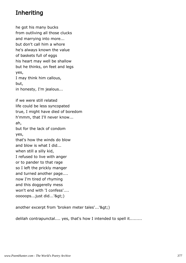### Inheriting

he got his many bucks from outliving all those clucks and marrying into more... but don't call him a whore he's always known the value of baskets full of eggs his heart may well be shallow but he thinks, on feet and legs yes, I may think him callous, but, in honesty, I'm jealous... if we were still related life could be less syncopated true, I might have died of boredom h'mmm, that I'll never know... ah, but for the lack of condom yes, that's how the winds do blow and blow is what I did... when still a silly kid, I refused to live with anger or to pander to that rage so I left the prickly manger and turned another page.... now I'm tired of rhyming and this doggerelly mess won't end with 'I confess'.... ooooops...just did...'>)

another excerpt from 'broken meter tales'...'&qt;)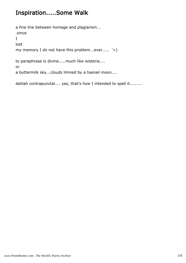#### Inspiration.....Some Walk

a fine line between homage and plagiarism... .since I lost my memory I do not have this problem...ever..... '>) to paraphrase is divine.....much like wisteria.... or

a buttermilk sky...clouds limned by a toenail moon....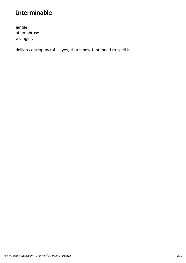#### Interminable

jangle of an obtuse wrangle...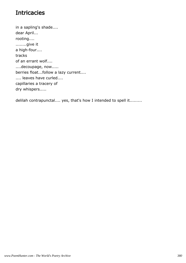### **Intricacies**

in a sapling's shade.... dear April... rooting.... ........give it a high-four.... tracks of an errant wolf.... ....decoupage, now..... berries float...follow a lazy current.... .... leaves have curled.... capillaries a tracery of dry whispers.....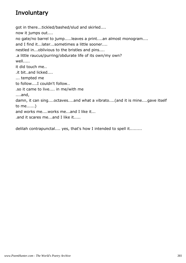### **Involuntary**

got in there...tickled/bashed/slud and skirled.... now it jumps out.... no gate/no barrel to jump.....leaves a print....an almost monogram.... and I find it...later...sometimes a little sooner.... nestled in...oblivious to the bristles and pins.... .a little raucus/purring/obdurate life of its own/my own? well..... it did touch me.. .it bit..and licked.... ... tempted me to follow....I couldn't follow.. .so it came to live.... in me/with me ....and, damn, it can sing....octaves....and what a vibrato....(and it is mine....gave itself to me......) and works me....works me...and I like it... .and it scares me...and I like it.....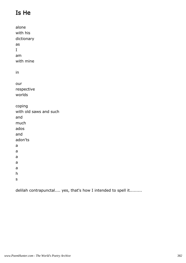## Is He

alone with his dictionary as I am with mine in our respective worlds coping with old saws and such and much ados and adon'ts a a a a a h s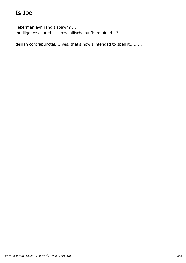## Is Joe

lieberman ayn rand's spawn? .... intelligence diluted....screwballische stuffs retained...?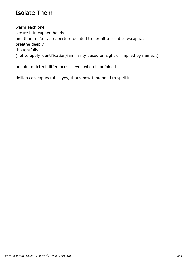#### Isolate Them

warm each one secure it in cupped hands one thumb lifted, an aperture created to permit a scent to escape... breathe deeply thoughtfully... (not to apply identification/familiarity based on sight or implied by name...)

unable to detect differences... even when blindfolded....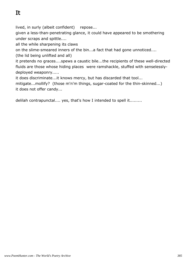lived, in surly (albeit confident) repose...

given a less-than-penetrating glance, it could have appeared to be smothering under scraps and spittle....

all the while sharpening its claws

on the slime-smeared inners of the bin...a fact that had gone unnoticed....

(the lid being unlifted and all)

it pretends no graces....spews a caustic bile...the recipients of these well-directed fluids are those whose hiding places were ramshackle, stuffed with senselesslydeployed weaponry.....

it does discriminate...it knows mercy, but has discarded that tool...

mitigate...mollify? (those m'n'm things, sugar-coated for the thin-skinned...) it does not offer candy...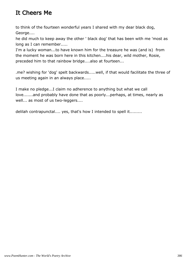### It Cheers Me

to think of the fourteen wonderful years I shared with my dear black dog, George....

he did much to keep away the other ' black dog' that has been with me 'most as long as I can remember.....

I'm a lucky woman...to have known him for the treasure he was (and is) from the moment he was born here in this kitchen....his dear, wild mother, Rosie, preceded him to that rainbow bridge....also at fourteen...

.me? wishing for 'dog' spelt backwards.....well, if that would facilitate the three of us meeting again in an always place.....

I make no pledge...I claim no adherence to anything but what we call love.......and probably have done that as poorly...perhaps, at times, nearly as well... as most of us two-leggers....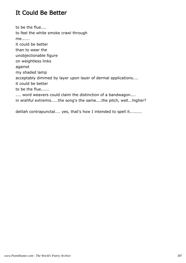#### It Could Be Better

to be the flue.... to feel the white smoke crawl through me...... it could be better than to wear the unobjectionable figure on weightless links against my shaded lamp acceptably dimmed by layer upon layer of dermal applications.... it could be better to be the flue...... .... word weavers could claim the distinction of a bandwagon.... in wishful extremis.....the song's the same....the pitch, well...higher?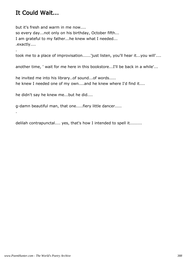#### It Could Wait...

.

.

but it's fresh and warm in me now.... so every day...not only on his birthday, October fifth... I am grateful to my father...he knew what I needed... .exactly....

took me to a place of improvisation......'just listen, you'll hear it...you will'....

another time, ' wait for me here in this bookstore...I'll be back in a while'...

he invited me into his library..of sound...of words..... he knew I needed one of my own....and he knew where I'd find it....

he didn't say he knew me...but he did....

g-damn beautiful man, that one.....fiery little dancer.....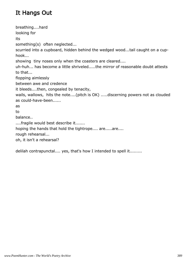## It Hangs Out

breathing....hard looking for its something(s) often neglected... scurried into a cupboard, hidden behind the wedged wood...tail caught on a cuphook... showing tiny noses only when the coasters are cleared.... uh-huh... has become a little shriveled.....the mirror of reasonable doubt attests to that... flopping aimlessly between awe and credence it bleeds....then, congealed by tenacity, wails, wallows, hits the note....(pitch is OK) .....discerning powers not as clouded as could-have-been...... as to balance.. ....fragile would best describe it....... hoping the hands that hold the tightrope.... are.....are.... rough rehearsal... oh, it isn't a rehearsal?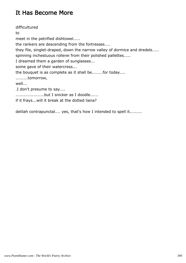#### It Has Become More

difficultured to meet in the petrified dishtowel..... the rankers are descending from the fortresses.... they file, singlet-draped, down the narrow valley of dormice and dredels..... spinning inchestuous rollerei from their polished pallettes..... I dreamed them a garden of sunglasses... some gave of their watercress... the bouquet is as complete as it shall be........for today.... .........tomorrow, well... .I don't presume to say.... .....................but I snicker as I doodle...... if it frays...will it break at the dotted liana?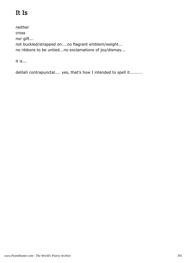## It Is

neither cross nor gift... not buckled/strapped on....no flagrant emblem/weight... no ribbons to be untied...no exclamations of joy/dismay...

it is...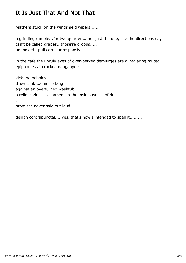### It Is Just That And Not That

feathers stuck on the windshield wipers......

a grinding rumble...for two quarters...not just the one, like the directions say can't be called drapes...those're droops..... unhooked...pull cords unresponsive...

in the cafe the unruly eyes of over-perked demiurges are glintglaring muted epiphanies at cracked naugahyde....

kick the pebbles.. .they clink...almost clang against an overturned washtub...... a relic in zinc... testament to the insidiousness of dust... .

promises never said out loud....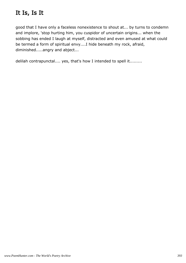### It Is, Is It

good that I have only a faceless nonexistence to shout at... by turns to condemn and implore, 'stop hurting him, you cuspidor of uncertain origins... when the sobbing has ended I laugh at myself, distracted and even amused at what could be termed a form of spiritual envy....I hide beneath my rock, afraid, diminished.....angry and abject...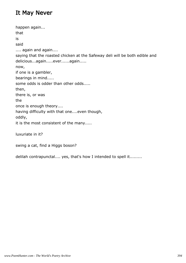#### It May Never

happen again... that is said .... again and again.... saying that the roasted chicken at the Safeway deli will be both edible and delicious...again.....ever......again..... now, if one is a gambler, bearings in mind..... some odds is odder than other odds..... then, there is, or was the once is enough theory.... having difficulty with that one....even though, oddly, it is the most consistent of the many.....

luxuriate in it?

swing a cat, find a Higgs boson?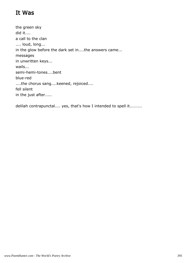#### It Was

the green sky did it.... a call to the clan .... loud, long... in the glow before the dark set in....the answers came... messages in unwritten keys... wails... semi-hemi-tones....bent blue-red ....the chorus sang....keened, rejoiced.... fell silent in the just after.....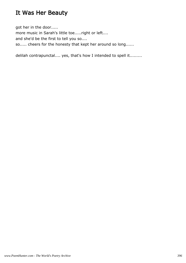### It Was Her Beauty

got her in the door..... more music in Sarah's little toe.....right or left.... and she'd be the first to tell you so.... so..... cheers for the honesty that kept her around so long......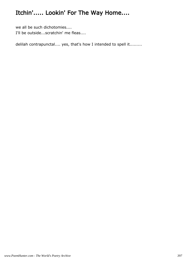# Itchin'..... Lookin' For The Way Home....

we all be such dichotomies.... I'll be outside...scratchin' me fleas....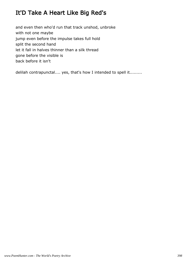### It'D Take A Heart Like Big Red's

and even then who'd run that track unshod, unbroke with not one maybe jump even before the impulse takes full hold split the second hand let it fall in halves thinner than a silk thread gone before the visible is back before it isn't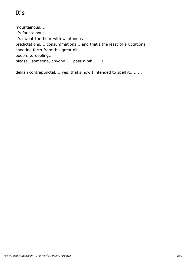# It's

mountainous.... it's fountainous.... it's swept-the-floor-with wantonous predictations.... consummations....and that's the least of eructations shooting forth from this great nib.... ooooh...droooling... please...someone, anyone..... pass a bib...! !!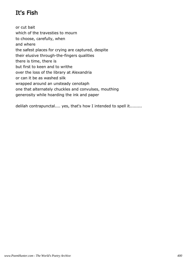## It's Fish

or cut bait which of the travesties to mourn to choose, carefully, when and where the safest places for crying are captured, despite their elusive through-the-fingers qualities there is time, there is but first to keen and to writhe over the loss of the library at Alexandria or can it be as washed silk wrapped around an unsteady cenotaph one that alternately chuckles and convulses, mouthing generosity while hoarding the ink and paper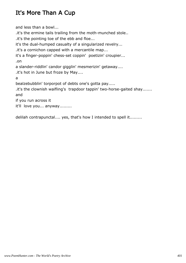### It's More Than A Cup

and less than a bowl... .it's the ermine tails trailing from the moth-munched stole.. .it's the pointing toe of the ebb and floe... it's the dual-humped casualty of a singularized revelry... .it's a cornichon capped with a mercantile map... it's a finger-poppin' chess-set coppin' poetizin' croupier... .on a slander-riddlin' candor gigglin' mesmerizin' getaway.... .it's hot in June but froze by May.... a bealzebubblin' torporpot of debts one's gotta pay..... .it's the clownish waifling's trapdoor tappin' two-horse-gaited shay....... and if you run across it it'll love you... anyway.........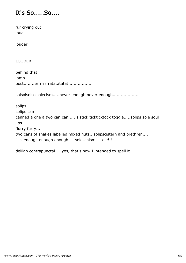### It's So.....So....

fur crying out loud

louder

LOUDER

behind that lamp post........errrrrrrratatatatat..................

solsolsolsolsolecism.....never enough never enough...................

solips....

solips can

canned a one a two can can......sistick tickticktock toggle.....solips sole soul lips.....

flurry furry...

two cans of snakes labelled mixed nuts...solipscistern and brethren.... it is enough enough enough.....soleschism.....ole! !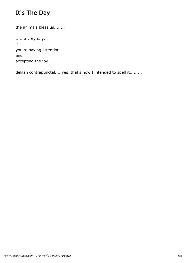## It's The Day

the animals bless us........ . .......every day, if you're paying attention.... and accepting the joy.......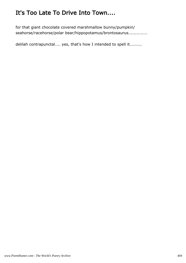## It's Too Late To Drive Into Town....

for that giant chocolate covered marshmallow bunny/pumpkin/ seahorse/racehorse/polar bear/hippopotamus/brontosaurus..............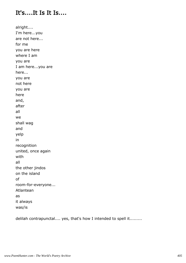### It's....It Is It Is....

alright.... I'm here...you are not here... for me you are here where I am you are I am here...you are here... you are not here you are here and, after all we shall wag and yelp in recognition united, once again with all the other jindos on the island of room-for-everyone... Atlantean as it always was/is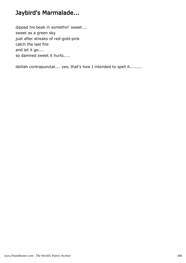## Jaybird's Marmalade...

dipped his beak in somethin' sweet.... sweet as a green sky just after streaks of red-gold-pink catch the last fire and let it go.... so damned sweet it hurts.....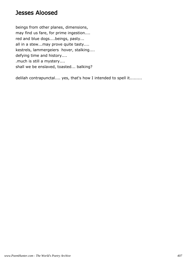#### Jesses Aloosed

beings from other planes, dimensions, may find us fare, for prime ingestion.... red and blue dogs....beings, pasty... all in a stew...may prove quite tasty.... kestrels, lammergeiers hover, stalking.... defying time and history.... .much is still a mystery.... shall we be enslaved, toasted... balking?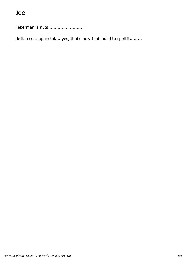lieberman is nuts..........................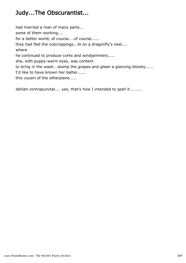### Judy...The Obscurantist...

had married a man of many parts... some of them working.... for a better world, of course....of course...... they had fled the outcroppings...lit on a dragonfly's nest.... where he continued to produce corks and windjammers..... she, with puppy-warm eyes, was content to bring in the wash...stomp the grapes and glean a glancing blowby...... I'd like to have known her better...... this cousin of the etherplane.....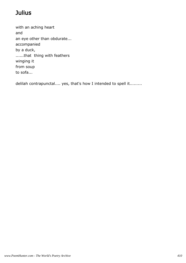## **Julius**

with an aching heart and an eye other than obdurate... accompanied by a duck, ......that thing with feathers winging it from soup to sofa...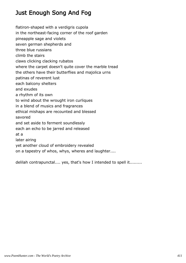### Just Enough Song And Fog

flatiron-shaped with a verdigris cupola

in the northeast-facing corner of the roof garden

pineapple sage and violets

seven german shepherds and

three blue russians

climb the stairs

claws clicking clacking rubatos

where the carpet doesn't quite cover the marble tread

the others have their butterflies and majolica urns

patinas of reverent lust

each balcony shelters

and exudes

a rhythm of its own

to wind about the wrought iron curliques

in a blend of musics and fragrances

ethical mishaps are recounted and blessed

savored

and set aside to ferment soundlessly

each an echo to be jarred and released

at a

later airing

yet another cloud of embroidery revealed

on a tapestry of whos, whys, wheres and laughter....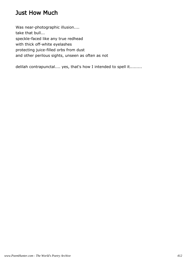### Just How Much

Was near-photographic illusion.... take that bull... speckle-faced like any true redhead with thick off-white eyelashes protecting juice-filled orbs from dust and other perilous sights, unseen as often as not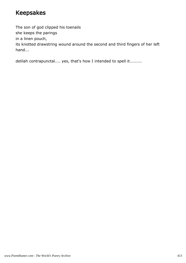#### Keepsakes

The son of god clipped his toenails she keeps the parings in a linen pouch, its knotted drawstring wound around the second and third fingers of her left hand...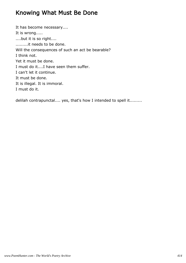#### Knowing What Must Be Done

It has become necessary.... It is wrong..... ....but it is so right.... .........it needs to be done. Will the consequences of such an act be bearable? I think not. Yet it must be done. I must do it....I have seen them suffer. I can't let it continue. It must be done. It is illegal. It is immoral. I must do it.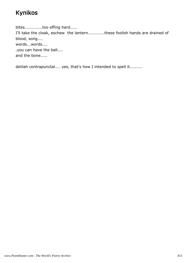### Kynikos

bites.............too effing hard..... I'll take the cloak, eschew the lantern............these foolish hands are drained of blood, song.... words...words.... .you can have the ball.... and the bone.....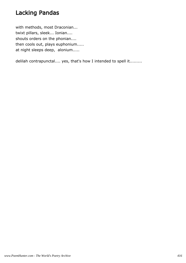### Lacking Pandas

with methods, most Draconian... twixt pillars, sleek... Ionian.... shouts orders on the phonian.... then cools out, plays euphonium..... at night sleeps deep, alonium.....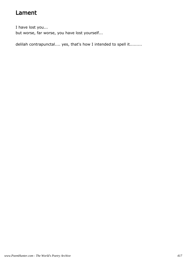### Lament

I have lost you... but worse, far worse, you have lost yourself...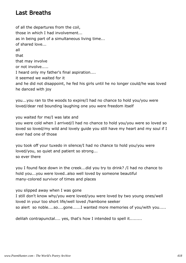#### Last Breaths

of all the departures from the coil, those in which I had involvement... as in being part of a simultaneous living time... of shared love... all that that may involve or not involve..... I heard only my father's final aspiration.... it seemed we waited for it and he did not disappoint, he fed his girls until he no longer could/he was loved he danced with joy

you...you ran to the woods to expire/I had no chance to hold you/you were loved/dear red bounding laughing one you were freedom itself

you waited for me/I was late and you were cold when I arrived/I had no chance to hold you/you were so loved so loved so loved/my wild and lovely guide you still have my heart and my soul if I ever had one of those

you took off your tuxedo in silence/I had no chance to hold you/you were loved/you, so quiet and patient so strong... so ever there

you I found face down in the creek...did you try to drink? /I had no chance to hold you...you were loved..also well loved by someone beautiful many-colored survivor of times and places

you slipped away when I was gone I still don't know why/you were loved/you were loved by two young ones/well loved in your too short life/well loved /hambone seeker so alert so noble....so....gone......I wanted more memories of you/with you.....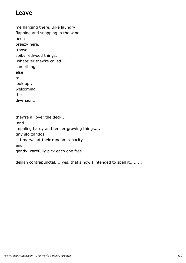#### Leave

me hanging there...like laundry flapping and snapping in the wind.... been breezy here.. .those spiky redwood things. .whatever they're called.... something else to look up.. welcoming the diversion...

they're all over the deck... .and impaling hardy and tender growing things.... tiny sforzandos ...I marvel at their random tenacity... and gently, carefully pick each one free...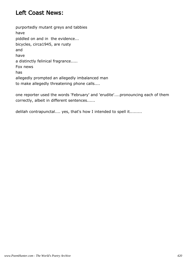#### Left Coast News:

purportedly mutant greys and tabbies have piddled on and in the evidence... bicycles, circa1945, are rusty and have a distinctly felinical fragrance..... Fox news has allegedly prompted an allegedly imbalanced man to make allegedly threatening phone calls....

one reporter used the words 'February' and 'erudite'....pronouncing each of them correctly, albeit in different sentences......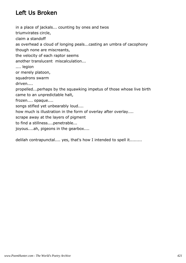### Left Us Broken

in a place of jackals... counting by ones and twos triumvirates circle, claim a standoff as overhead a cloud of longing peals...casting an umbra of cacophony though none are miscreants, the velocity of each raptor seems another translucent miscalculation... .... legion or merely platoon, squadrons swarm driven.... propelled...perhaps by the squawking impetus of those whose live birth came to an unpredictable halt, frozen.... opaque.... songs stifled yet unbearably loud.... how much is illustration in the form of overlay after overlay.... scrape away at the layers of pigment to find a stillness....penetrable... joyous....ah, pigeons in the gearbox....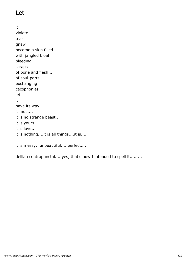## Let

it violate tear gnaw become a skin filled with jangled bloat bleeding scraps of bone and flesh... of soul-parts exchanging cacophonies let it have its way.... it must... it is no strange beast... it is yours... it is love.. it is nothing....it is all things....it is....

it is messy, unbeautiful.... perfect....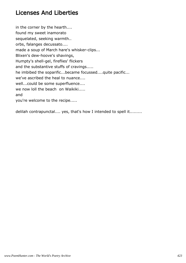### Licenses And Liberties

in the corner by the hearth.... found my sweet inamorato sequelated, seeking warmth.. orbs, falanges decussato.... made a soup of March hare's whisker-clips... Blixen's dew-hoove's shavings, Humpty's shell-gel, fireflies' flickers and the substantive stuffs of cravings..... he imbibed the soparific...became focussed....quite pacific... we've ascribed the heal to nuance.... well...could be some superfluence.... we now loll the beach on Waikiki..... and you're welcome to the recipe.....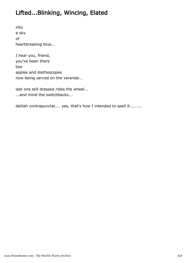### Lifted...Blinking, Wincing, Elated

into a sky of heartbreaking blue...

I hear you, friend, you've been there two apples and stethescopes now being served on the veranda...

last one still dressed rides the wheel... ...and mind the switchbacks...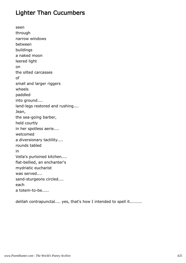### Lighter Than Cucumbers

seen through narrow windows between buildings a naked moon leered light on the silted carcasses of small and larger riggers wheels paddled into ground.... land-legs restored and rushing.... Jean, the sea-going barber, held courtly in her spotless aerie.... welcomed a diversionary tactility.... rounds tabled in Vella's purloined kitchen.... flat-bellied, an enchanter's mydriatic eucharist was served.... sand-sturgeons circled.... each a totem-to-be.....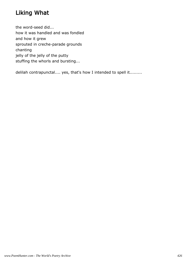### Liking What

the word-seed did... how it was handled and was fondled and how it grew sprouted in creche-parade grounds chanting jelly of the jelly of the putty stuffing the whorls and bursting...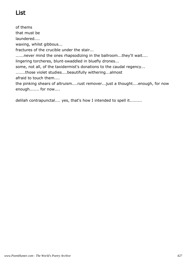## List

of thems that must be laundered.... waxing, whilst gibbous... fractures of the crucible under the stair... ......never mind the ones rhapsodizing in the ballroom...they'll wait.... lingering torcheres, blunt-swaddled in bluefly drones... some, not all, of the taxidermist's donations to the caudal regency... .......those violet studies....beautifully withering...almost afraid to touch them.... the pinking shears of altruism....rust remover...just a thought....enough, for now enough....... for now....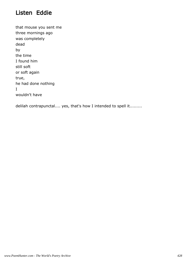#### Listen Eddie

that mouse you sent me three mornings ago was completely dead by the time I found him still soft or soft again true, he had done nothing I wouldn't have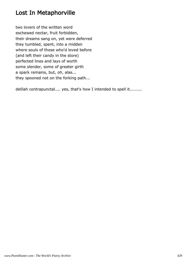### Lost In Metaphorville

two lovers of the written word eschewed nectar, fruit forbidden, their dreams sang on, yet were deferred they tumbled, spent, into a midden where souls of those who'd loved before (and left their candy in the store) perfected lines and lays of worth some slender, some of greater girth a spark remains, but, oh, alas... they spooned not on the forking path...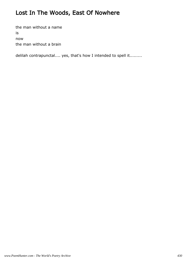## Lost In The Woods, East Of Nowhere

the man without a name is now the man without a brain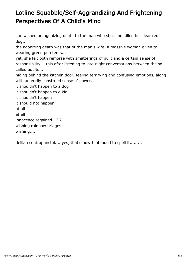## Lotline Squabble/Self-Aggrandizing And Frightening Perspectives Of A Child's Mind

she wished an agonizing death to the man who shot and killed her dear red dog...

the agonizing death was that of the man's wife, a massive woman given to wearing green pup tents...

yet, she felt both remorse with smatterings of guilt and a certain sense of responsibility....this after listening to late-night conversations between the socalled adults....

hiding behind the kitchen door, feeling terrifying and confusing emotions, along with an eerily construed sense of power...

it shouldn't happen to a dog it shouldn't happen to a kid it shouldn't happen it should not happen at all at all innocence regained...? ? wishing rainbow bridges... wishing....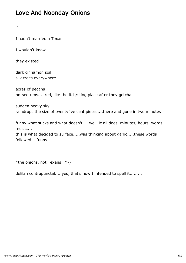## Love And Noonday Onions

if

I hadn't married a Texan

I wouldn't know

they existed

dark cinnamon soil silk trees everywhere...

acres of pecans no-see-ums... red, like the itch/sting place after they getcha

sudden heavy sky raindrops the size of twentyfive cent pieces....there and gone in two minutes

funny what sticks and what doesn't.....well, it all does, minutes, hours, words, music....

this is what decided to surface.....was thinking about garlic.....these words followed....funny.....

\*the onions, not Texans '>)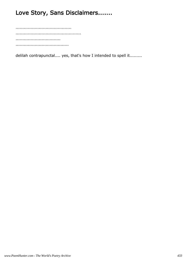# Love Story, Sans Disclaimers.......

......................................... ................................................ ................................. .......................................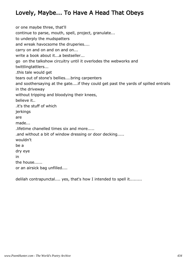# Lovely, Maybe... To Have A Head That Obeys

or one maybe three, that'll continue to parse, mouth, spell, project, granulate... to underply the mudspatters and wreak havocsome the druperies.... carry on and on and on and on... write a book about it...a bestseller... go on the talkshow circuitry until it overlodes the webworks and twittlingtattlers... .this tale would get tears out of stone's bellies....bring carpenters and soothersaying at the gate....if they could get past the yards of spilled entrails in the driveway without tripping and bloodying their knees, believe it.. .it's the stuff of which jerkings are made... .lifetime chanelled times six and more..... .and without a bit of window dressing or door decking..... wouldn't be a dry eye in the house...... or an airsick bag unfilled....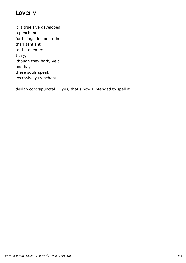## Loverly

it is true I've developed a penchant for beings deemed other than sentient to the deemers I say, 'though they bark, yelp and bay, these souls speak excessively trenchant'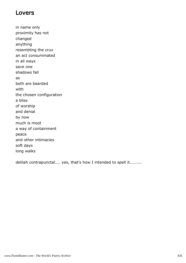#### Lovers

in name only proximity has not changed anything resembling the crux an act consummated in all ways save one shadows fall as both are bearded with the chosen configuration a bliss of worship and denial by now much is moot a way of containment peace and other intimacies soft days long walks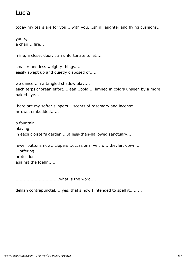## Lucia

today my tears are for you....with you....shrill laughter and flying cushions..

yours, a chair... fire...

mine, a closet door... an unfortunate toilet....

smaller and less weighty things.... easily swept up and quietly disposed of......

we dance...in a tangled shadow play.... each terpsichorean effort....lean...bold.... limned in colors unseen by a more naked eye...

.here are my softer slippers... scents of rosemary and incense... arrows, embedded......

a fountain playing in each cloister's garden.....a less-than-hallowed sanctuary....

fewer buttons now...zippers...occasional velcro.....kevlar, down... ...offering protection against the foehn.....

................................what is the word....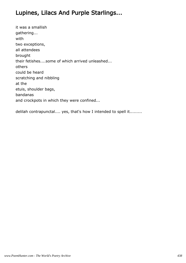## Lupines, Lilacs And Purple Starlings...

it was a smallish gathering... with two exceptions, all attendees brought their fetishes....some of which arrived unleashed... others could be heard scratching and nibbling at the etuis, shoulder bags, bandanas and crockpots in which they were confined...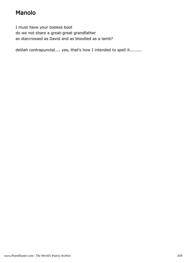# Manolo

I must have your toeless boot do we not share a great-great grandfather as starcrossed as David and as bloodied as a lamb?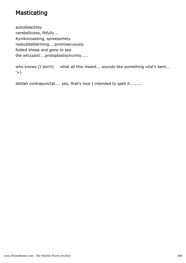### **Masticating**

autodidactiley cerebellicose, fitfully... Kynikocoasting, spreesomely redoubtablarming....promisecuously folded sheep and gone to sea the whizzard....protoplastischizmly.....

who knows (I don't) what all this meant....sounds like something vital's bent...  $'$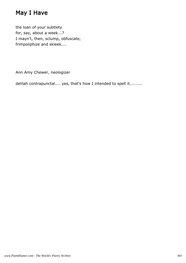# May I Have

the loan of your subtlety for, say, about a week...? I mayn't, then, sclump, obfuscate, frimpoliphize and skleek....

Ann Amy Chewer, neologizer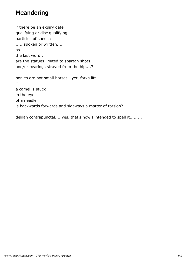#### Meandering

if there be an expiry date qualifying or disc qualifying particles of speech ......spoken or written.... as the last word.. are the statues limited to spartan shots.. and/or bearings strayed from the hip....? ponies are not small horses...yet, forks lift... if a camel is stuck in the eye of a needle is backwards forwards and sideways a matter of torsion?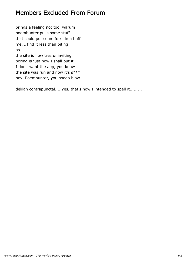#### Members Excluded From Forum

brings a feeling not too warum poemhunter pulls some stuff that could put some folks in a huff me, I find it less than biting as the site is now tres uninviting boring is just how I shall put it I don't want the app, you know the site was fun and now it's  $s***$ hey, Poemhunter, you soooo blow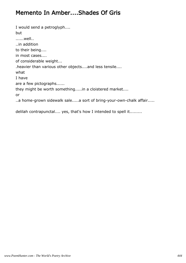#### Memento In Amber....Shades Of Gris

I would send a petroglyph.... but ......well.. ..in addition to their being.... in most cases.... of considerable weight... .heavier than various other objects....and less tensile.... what I have are a few pictographs...... they might be worth something.....in a cloistered market.... or ..a home-grown sidewalk sale.....a sort of bring-your-own-chalk affair.....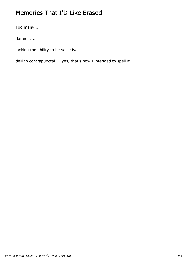## Memories That I'D Like Erased

Too many....

dammit.....

lacking the ability to be selective....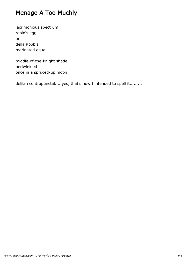## Menage A Too Muchly

lacrimonious spectrum robin's egg or della Robbia marinated aqua

middle-of-the-knight shade periwinkled once in a spruced-up moon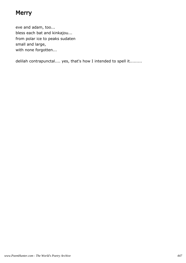### **Merry**

eve and adam, too... bless each bat and kinkajou... from polar ice to peaks sudaten small and large, with none forgotten...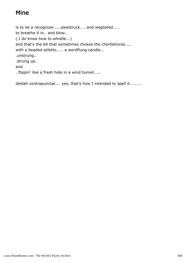## Mine

is to be a recognizer.....awestruck.....and wagtailed..... to breathe it in.. and blow.. (.I do know how to whistle...) and that's the bit that sometimes chokes the chortlehorse..... with a beaded stiletto..... a wordflung candle... .unstrung.. .strung up.. and ..flippin' like a fresh hide in a wind tunnel.....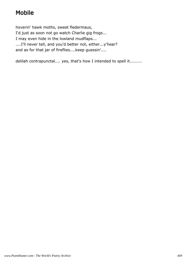# Mobile

hoverin' hawk moths, sweet fledermaus, I'd just as soon not go watch Charlie gig frogs... I may even hide in the lowland mudflaps... ....I'll never tell, and you'd better not, either...y'hear? and as for that jar of fireflies....keep guessin'....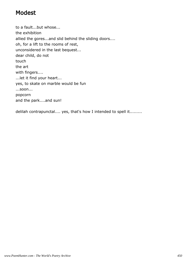#### Modest

to a fault...but whose... the exhibition allied the gores...and slid behind the sliding doors.... oh, for a lift to the rooms of rest, unconsidered in the last bequest... dear child, do not touch the art with fingers.... ...let it find your heart... yes, to skate on marble would be fun ...soon... popcorn and the park....and sun!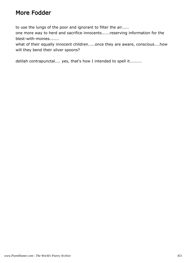### More Fodder

to use the lungs of the poor and ignorant to filter the air.....

one more way to herd and sacrifice innocents......reserving information for the blest-with-monies.......

what of their equally innocent children.....once they are aware, conscious....how will they bend their silver spoons?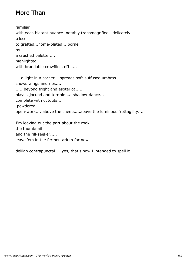# More Than

familiar with each blatant nuance..notably transmogrified...delicately.... .close to grafted...home-plated....borne by a crushed palette..... highlighted with brandable crowflies, rifts....

....a light in a corner... spreads soft-suffused umbras... shows wings and ribs.... ......beyond fright and esoterica..... plays...jocund and terrible...a shadow-dance... complete with cutouts... .powdered open-work.....above the sheets....above the luminous frottagility.....

I'm leaving out the part about the rook...... the thumbnail and the rill-seeker..... leave 'em in the fermentarium for now......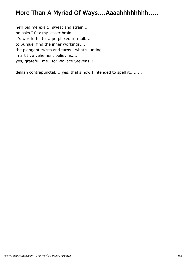#### More Than A Myriad Of Ways....Aaaahhhhhhhh.....

he'll bid me exalt.. sweat and strain... he asks I flex my lesser brain... it's worth the toil...perplexed turmoil.... to pursue, find the inner workings..... the plangent twists and turns...what's lurking.... in art I've vehement believins.... yes, grateful, me...for Wallace Stevens! !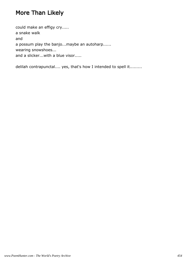# More Than Likely

could make an effigy cry..... a snake walk and a possum play the banjo...maybe an autoharp...... wearing snowshoes... and a slicker...with a blue visor.....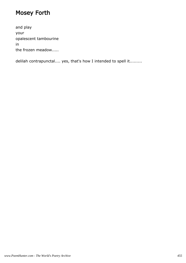# Mosey Forth

and play your opalescent tambourine in the frozen meadow.....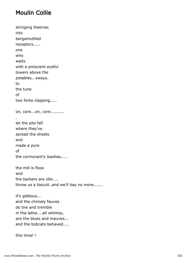#### Moulin Collie

stringing theories into bergamottled receptors..... one who waits with a prescient eyeful towers above the potables...sways. to the tune of two forks clapping..... on, core...on, core.......... . let the pits fall where they've spread the sheets and made a pyre of the cormorant's leashes..... the mill is floss and the barkers are idle.... throw us a biscuit..and we'll bay no more....... it's gibbous... and the chimely fauves

do tire and tremble in the lathe....all whimsy, are the blues and mauves... and the bobcats behaved....

this time! !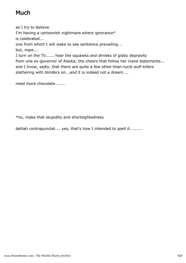# Much

as I try to believe

I'm having a cartoonish nightmare where ignorance\* is celebrated...

one from which I will wake to see sentience prevailing...

but, nope...

I turn on the TV...... hear the squawks and shrieks of giddy depravity from one ex-governor of Alaska, the cheers that follow her inane statements... and I know, sadly, that there are quite a few other-than-lucid wolf-killers slathering with blinders on...and it is indeed not a dream....

need more chocolate........

\*no, make that stupidity and shortsightedness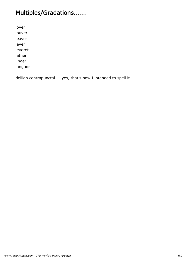# Multiples/Gradations......

lover louver leaver lever leveret lather linger

languor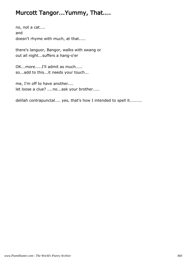### Murcott Tangor...Yummy, That....

no, not a cat.... and doesn't rhyme with much, at that.....

there's languor, Bangor, walks with swang or out all night...suffers a hang-o'er

OK...more.....I'll admit as much..... so...add to this...it needs your touch...

me, I'm off to have another.... let loose a clue? ....no...ask your brother.....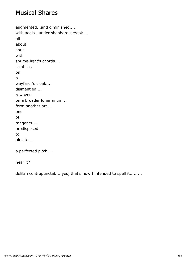#### Musical Shares

```
augmented...and diminished....
with aegis...under shepherd's crook....
all
about
spun
with
spume-light's chords....
scintillas
on
a
wayfarer's cloak....
dismantled....
rewoven
on a broader luminarium...
form another arc....
one
of
tangents....
predisposed
to
ululate....
a perfected pitch....
```
hear it?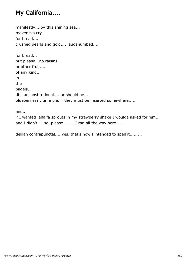## My California....

manifestly....by this shining sea... mavericks cry for bread..... crushed pearls and gold.... laudanumbed....

for bread... but please...no raisins or other fruit.... of any kind... in the bagels... .it's unconstitutional.....or should be.... blueberries? ...in a pie, if they must be inserted somewhere.....

and..

if I wanted alfalfa sprouts in my strawberry shake I woulda asked for 'em... and I didn't.....so, please.........I ran all the way here......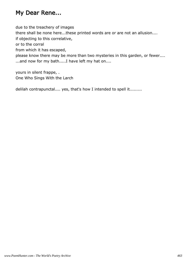## My Dear Rene...

due to the treachery of images

there shall be none here...these printed words are or are not an allusion....

if objecting to this correlative,

or to the corral

from which it has escaped,

please know there may be more than two mysteries in this garden, or fewer.... ...and now for my bath.....I have left my hat on....

yours in silent frappe, . One Who Sings With the Larch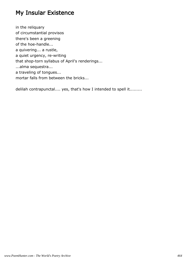### My Insular Existence

in the reliquary of circumstantial provisos there's been a greening of the hoe-handle... a quivering... a rustle, a quiet urgency, re-writing that shop-torn syllabus of April's renderings... ...alma sequestra... a traveling of tongues... mortar falls from between the bricks...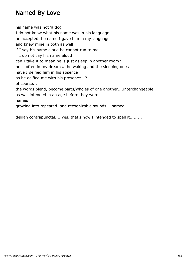### Named By Love

his name was not 'a dog' I do not know what his name was in his language he accepted the name I gave him in my language and knew mine in both as well if I say his name aloud he cannot run to me if I do not say his name aloud can I take it to mean he is just asleep in another room? he is often in my dreams, the waking and the sleeping ones have I deified him in his absence as he deified me with his presence...? of course... the words blend, become parts/wholes of one another....interchangeable as was intended in an age before they were names growing into repeated and recognizable sounds....named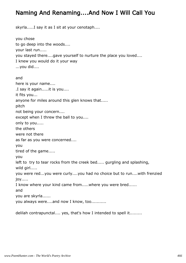#### Naming And Renaming....And Now I Will Call You

skyrla.....I say it as I sit at your cenotaph....

you chose to go deep into the woods.... your last run..... you stayed there....gave yourself to nurture the place you loved.... I knew you would do it your way ...you did.... and here is your name.... .I say it again.....it is you.... it fits you... anyone for miles around this glen knows that..... pitch not being your concern.... except when I threw the ball to you.... only to you..... the others were not there as far as you were concerned.... you tired of the game..... you left to try to tear rocks from the creek bed..... gurgling and splashing, wild girl..... you were red...you were curly....you had no choice but to run....with frenzied joy..... I know where your kind came from.....where you were bred...... and you are skyrla...... you always were....and now I know, too...........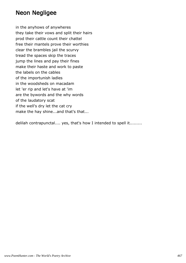#### Neon Negligee

in the anyhows of anywheres they take their vows and split their hairs prod their cattle count their chattel free their mantels prove their worthies clear the brambles jail the scurvy tread the spaces skip the traces jump the lines and pay their fines make their haste and work to paste the labels on the cables of the importunish ladles in the woodsheds on macadam let 'er rip and let's have at 'im are the bywords and the why words of the laudatory scat if the well's dry let the cat cry make the hay shine...and that's that...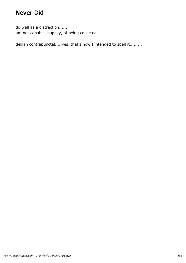### Never Did

do well as a distraction....... am not capable, happily, of being collected.....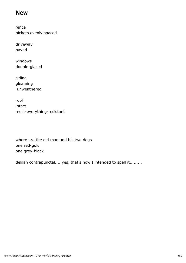#### New

fence pickets evenly spaced

driveway paved

windows double-glazed

siding gleaming unweathered

roof intact most-everything-resistant

where are the old man and his two dogs one red-gold one grey-black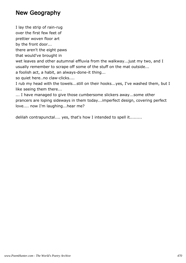#### New Geography

I lay the strip of rain-rug

over the first few feet of

prettier woven floor art

by the front door...

there aren't the eight paws

that would've brought in

wet leaves and other autumnal effluvia from the walkway...just my two, and I usually remember to scrape off some of the stuff on the mat outside...

a foolish act, a habit, an always-done-it thing...

so quiet here..no claw-clicks....

I rub my head with the towels...still on their hooks...yes, I've washed them, but I like seeing them there...

... I have managed to give those cumbersome slickers away...some other prancers are loping sideways in them today...imperfect design, covering perfect love.... now I'm laughing...hear me?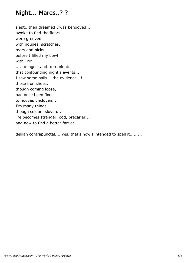#### Night... Mares..? ?

slept...then dreamed I was behooved... awoke to find the floors were grooved with gouges, scratches, mars and nicks.... before I filled my bowl with Trix .... to ingest and to ruminate that confounding night's events... I saw some nails....the evidence...! those iron shoes, though coming loose, had once been fixed to hooves uncloven.... I'm many things, though seldom sloven... life becomes stranger, odd, precarier.... and now to find a better farrier....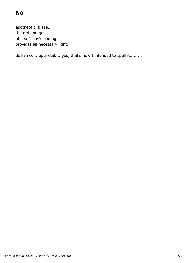apotheotic blaze... the red and gold of a soft day's ending provides all necessary light..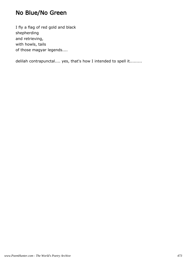## No Blue/No Green

I fly a flag of red gold and black shepherding and retrieving, with howls, tails of those magyar legends....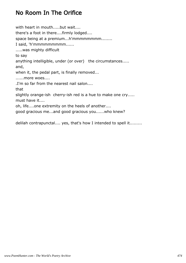### No Room In The Orifice

with heart in mouth.....but wait.... there's a foot in there....firmly lodged.... space being at a premium...h'mmmmmmmm........ I said, 'h'mmmmmmmmm...... .....was mighty difficult to say anything intelligible, under (or over) the circumstances..... and, when it, the pedal part, is finally removed... ......more woes.... .I'm so far from the nearest nail salon.... that slightly orange-ish cherry-ish red is a hue to make one cry..... must have it.... oh, life....one extremity on the heels of another.... good gracious me...and good gracious you......who knew?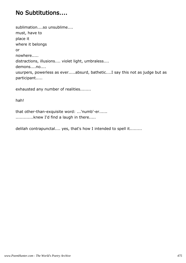#### No Subtitutions....

sublimation....so unsublime.... must, have to place it where it belongs or nowhere..... distractions, illusions.... violet light, umbraless.... demons....no.... usurpers, powerless as ever.....absurd, bathetic....I say this not as judge but as participant.....

exhausted any number of realities........

hah!

that other-than-exquisite word: ...'numb'-er...... ..............knew I'd find a laugh in there.....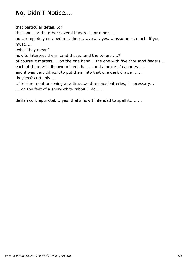## No, Didn'T Notice....

that particular detail...or

that one...or the other several hundred...or more.....

no...completely escaped me, those.....yes.....yes.....assume as much, if you must.....

.what they mean?

how to interpret them...and those...and the others.....?

of course it matters.....on the one hand....the one with five thousand fingers.... each of them with its own miner's hat.....and a brace of canaries.....

and it was very difficult to put them into that one desk drawer....... .keyless? certainly....

..I let them out one wing at a time...and replace batteries, if necessary... ....on the feet of a snow-white rabbit, I do......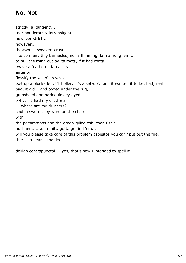## No, Not

strictly a 'tangent'... .nor ponderously intransigent, however strict... however.. .howwmsoeweaver, crust like so many tiny barnacles, nor a flimming flam among 'em... to pull the thing out by its roots, if it had roots... .wave a feathered fan at its anterior, flossify the will o' its wisp... .set up a blockade...it'll holler, 'it's a set-up'...and it wanted it to be, bad, real bad, it did....and oozed under the rug, gumshoed and harlequinkley eyed... .why, if I had my druthers ....where are my druthers? coulda sworn they were on the chair with the persimmons and the green-gilled cabuchon fish's husband.......dammit...gotta go find 'em... will you please take care of this problem asbestos you can? put out the fire, there's a dear....thanks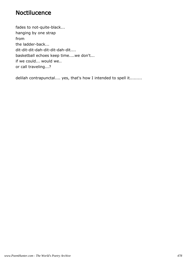#### **Noctilucence**

fades to not-quite-black... hanging by one strap from the ladder-back... dit-dit-dit-dah-dit-dit-dah-dit.... basketball echoes keep time....we don't... if we could... would we.. or call traveling...?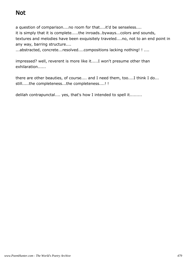## Not

a question of comparison....no room for that....it'd be senseless.... it is simply that it is complete.....the inroads..byways...colors and sounds, textures and melodies have been exquisitely traveled....no, not to an end point in any way, barring structure....

...abstracted, concrete...resolved....compositions lacking nothing! ! ....

impressed? well, reverent is more like it.....I won't presume other than exhilaration......

there are other beauties, of course.... and I need them, too....I think I do... still.....the completeness...the completeness....! !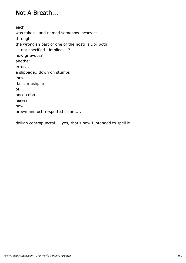### Not A Breath...

each was taken...and named somehow incorrect.... through the wrongish part of one of the nostrils...or both ....not specified...implied....? how grievous? another error... a slippage...down on stumps into fall's mushpile of once-crisp leaves now brown and ochre-spotted slime.....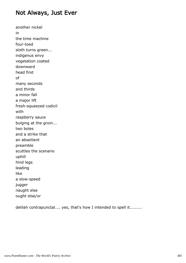#### Not Always, Just Ever

another nickel in the time machine four-toed sloth turns green... indigenus envy vegetation coated downward head first of many seconds and thirds a minor fall a major lift fresh-squeezed codicil with raspberry sauce bulging at the groin... two boles and a strike that an abseilient preamble scuttles the scenario uphill hind legs leading like a slow-speed jugger naught else ought else/or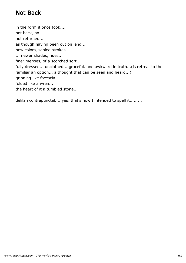## Not Back

in the form it once took.... not back, no... but returned... as though having been out on lend... new colors, sabled strokes ... newer shades, hues... finer mercies, of a scorched sort... fully dressed... unclothed....graceful..and awkward in truth...(is retreat to the familiar an option... a thought that can be seen and heard...) grinning like foccacia.... folded like a wren... the heart of it a tumbled stone...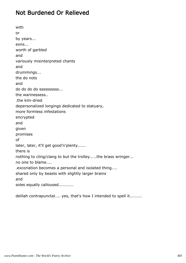#### Not Burdened Or Relieved

with or by years... eons... worth of garbled and variously misinterpreted chants and drummings... the do nots and do do do do ssssssssss... the warinessess.. .the kiln-dried depersonalized longings dedicated to statuary, more formless infestations encrypted and given promises of later, later, it'll get good'n'plenty...... there is nothing to cling/clang to but the trolley.....the brass wringer... no one to blame.... .excoriation becomes a personal and isolated thing.... shared only by beasts with slightly larger brains and soles equally calloused...........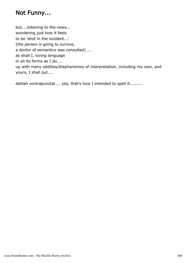### Not Funny...

but....listening to the news... wondering just how it feels to be 'shot in the incident...' (the person is going to survive, a doctor of semantics was consulted) ... as shall I, loving language in all its forms as I do.... up with many oddities/blepharismos of interpretation, including my own, and yours, I shall put....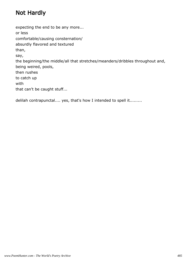## Not Hardly

expecting the end to be any more... or less comfortable/causing consternation/ absurdly flavored and textured than, say, the beginning/the middle/all that stretches/meanders/dribbles throughout and, being weired, pools, then rushes to catch up with that can't be caught stuff...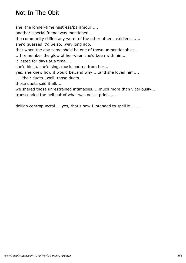### Not In The Obit

she, the longer-time mistress/paramour..... another 'special friend' was mentioned... the community stifled any word of the other other's existence..... she'd guessed it'd be so...way long ago, that when the day came she'd be one of those unmentionables.. ...I remember the glow of her when she'd been with him... it lasted for days at a time.... she'd blush..she'd sing, music poured from her... yes, she knew how it would be..and why.....and she loved him.... .....their duets...well, those duets.... those duets said it all.... we shared those unrestrained intimacies.....much more than vicariously.... transcended the hell out of what was not in print......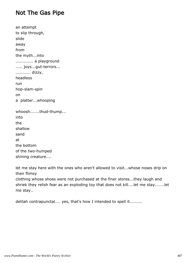#### Not The Gas Pipe

```
an attempt
to slip through,
slide
away
from
the myth...into
............. a playground
..... joys...gut-terrors...
........... dizzy,
headless
run
hop-slam-spin
on
a platter...whooping
whoosh.......thud-thump...
into
the
shallow
sand
at
the bottom
of the two-humped
shining creature....
```
let me stay here with the ones who aren't allowed to visit...whose noses drip on their flimsy

clothing whose shoes were not purchased at the finer stores...they laugh and shriek they relish fear as an exploding toy that does not kill....let me stay.......let me stay..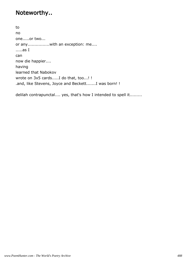### Noteworthy..

to no one.....or two... or any................with an exception: me.... .....as I can now die happier.... having learned that Nabokov wrote on 3x5 cards.....I do that, too...! ! .and, like Stevens, Joyce and Beckett.......I was born! !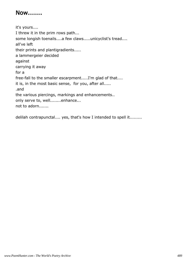#### Now.......

it's yours.... I threw it in the prim rows path... some longish toenails....a few claws.....unicyclist's tread.... all've left their prints and plantigradients..... a lammergeier decided against carrying it away for a free-fall to the smaller escarpment.....I'm glad of that.... it is, in the most basic sense, for you, after all..... .and the various piercings, markings and enhancements.. only serve to, well........enhance... not to adorn.......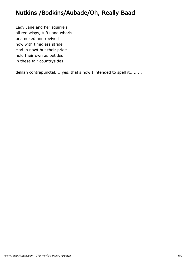## Nutkins /Bodkins/Aubade/Oh, Really Baad

Lady Jane and her squirrels all red wisps, tufts and whorls unamoked and revived now with timidless stride clad in nowt but their pride hold their own as betides in these fair countrysides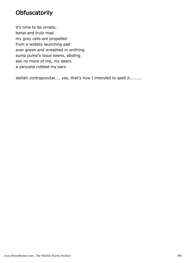### **Obfuscatorily**

it's time to be ornate, banal and truly mad my grey cells are propelled from a wobbly launching pad ever green and wreathed in writhing sump pump's issue keens, abiding ask no more of me, my dears a zarzuela robbed my ears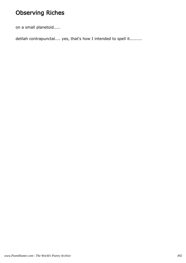## Observing Riches

on a small planetoid.....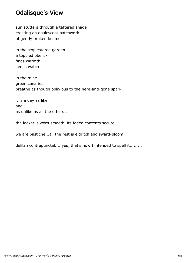#### Odalisque's View

sun stutters through a tattered shade creating an opalescent patchwork of gently broken beams

in the sequestered garden a toppled obelisk finds warmth, keeps watch

in the mine green canaries breathe as though oblivious to the here-and-gone spark

it is a day as like and as unlike as all the others..

the locket is worn smooth, its faded contents secure...

we are pastiche...all the rest is eldritch and sward-bloom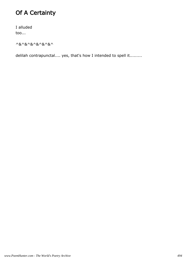## Of A Certainty

I alluded too...

^&^&^&^&^&^&^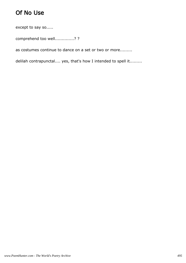## Of No Use

except to say so.....

comprehend too well..............? ?

as costumes continue to dance on a set or two or more.........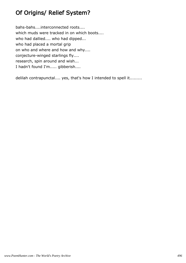## Of Origins/ Relief System?

bahs-bahs....interconnected roots.... which muds were tracked in on which boots.... who had dallied.... who had dipped... who had placed a mortal grip on who and where and how and why.... conjecture-winged starlings fly.... research, spin around and wish... I hadn't found I'm..... gibberish....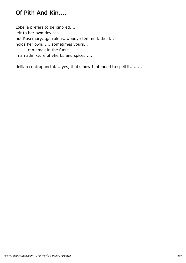## Of Pith And Kin....

Lobelia prefers to be ignored.... left to her own devices........ but Rosemary...garrulous, woody-stemmed...bold... holds her own.......sometimes yours... .........ran amok in the furze... in an admixture of vherbs and spices.....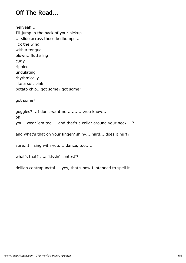## Off The Road...

hellyeah...

I'll jump in the back of your pickup.... ... slide across those bedbumps.... lick the wind with a tongue blown...fluttering curly rippled undulating rhythmically like a soft pink potato chip...got some? got some?

got some?

goggles? ...I don't want no.............you know.... oh, you'll wear 'em too.... and that's a collar around your neck....?

and what's that on your finger? shiny....hard....does it hurt?

sure...I'll sing with you.....dance, too.....

what's that? ...a 'kissin' contest'?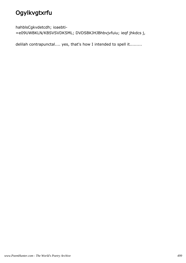# **Ogylkvgtxrfu**

hahblsCgkvdetcdh; ioaebti-

=e09UWBKLN/KBSVSVDKSML; DVDSBKJHJBhbvjvfuiu; ieqf jhkdcs j,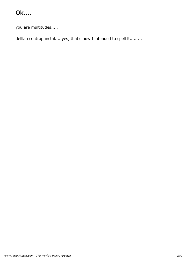## Ok....

you are multitudes.....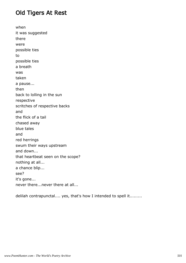## Old Tigers At Rest

when it was suggested there were possible ties to possible ties a breath was taken a pause... then back to lolling in the sun respective scritches of respective backs and the flick of a tail chased away blue tales and red herrings swum their ways upstream and down... that heartbeat seen on the scope? nothing at all... a chance blip... see? it's gone... never there...never there at all...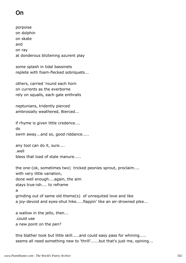# On

porpoise on dolphin on skate and on ray at donderous bliztening azurent play

some splash in tidal bassinets replete with foam-flecked sobriquets...

others, carried 'round each horn on currents as the everborne rely on squalls, each gale enthralls

neptunians, tridently pierced ambrosially weathered, Bierced...

if rhyme is given little credence.... do swim away...and so, good riddance.....

any tool can do it, sure.... .well bless that load of stale manure.....

the one-(ok, sometimes two) tricked peonies sprout, proclaim.... with very little variation, done well enough....again, the aim stays true-ish.... to reframe a grinding out of same old theme(s) of unrequited love and like a joy-devoid and eyes-shut hike.....flappin' like an air-drowned pike...

a wallow in the jello, then... .could use a new point on the pen?

this blather took but little skill.....and could easy pass for whining..... seems all need something new to 'thrill'......but that's just me, opining...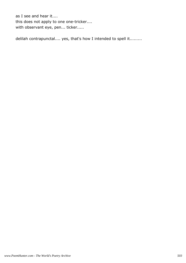as I see and hear it.... this does not apply to one one-tricker.... with observant eye, pen... ticker.....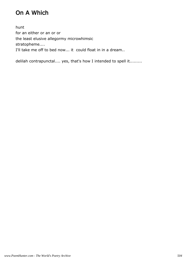# On A Which

hunt for an either or an or or the least elusive allegormy microwhimsic stratopheme.... I'll take me off to bed now... it could float in in a dream..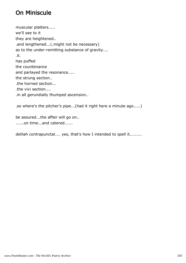## On Miniscule

muscular platters..... we'll see to it they are heightened.. .and lengthened...(.might not be necessary) as to the under-remitting substance of gravity.... .it. has puffed the countenance and parlayed the resonance..... the strung section.. .the horned section... .the vivi section.... .in all gerundially thumped ascension..

.so where's the pitcher's pipe...(had it right here a minute ago.....)

be assured...the affair will go on.. ......on time...and catered......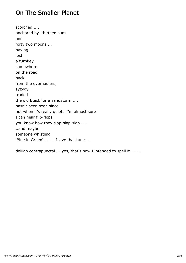## On The Smaller Planet

scorched..... anchored by thirteen suns and forty two moons.... having lost a turnkey somewhere on the road back from the overhaulers, syzygy traded the old Buick for a sandstorm..... hasn't been seen since... but when it's really quiet, I'm almost sure I can hear flip-flops, you know how they slap-slap-slap...... ..and maybe someone whistling 'Blue in Green'.........I love that tune.....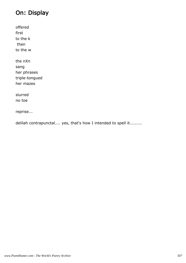# On: Display

offered first to the k then to the w the nXn

sang her phrases triple-tongued her mazes

slurred no toe

reprise...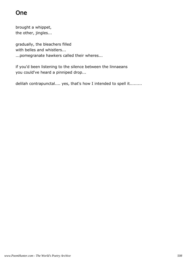## One

brought a whippet, the other, jingles...

gradually, the bleachers filled with belles and whistlers... ...pomegranate hawkers called their wheres...

if you'd been listening to the silence between the linnaeans you could've heard a pinniped drop...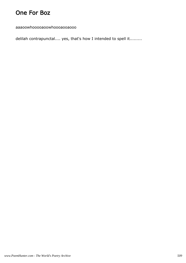## One For Boz

aaaoowhooooaoowhoooaooaooo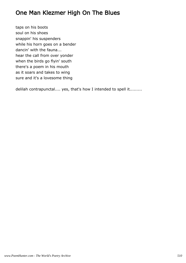## One Man Klezmer High On The Blues

taps on his boots soul on his shoes snappin' his suspenders while his horn goes on a bender dancin' with the fauna... hear the call from over yonder when the birds go flyin' south there's a poem in his mouth as it soars and takes to wing sure and it's a lovesome thing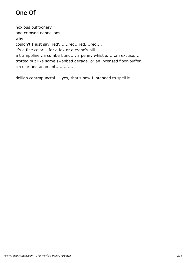# One Of

noxious buffoonery and crimson dandelions.... why couldn't I just say 'red'.......red...red....red.... it's a fine color....for a fox or a crane's bill.... a trampoline...a cumberbund.... a penny whistle......an excuse.... trotted out like some swabbed decade..or an incensed floor-buffer.... circular and adamant.............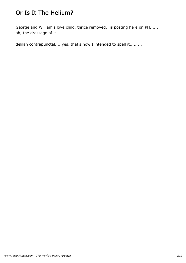# Or Is It The Helium?

George and William's love child, thrice removed, is posting here on PH...... ah, the dressage of it.......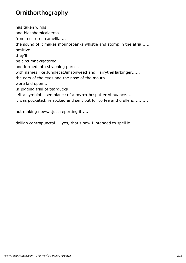## **Ornithorthography**

has taken wings and blasphemicalderas from a sutured camellia.... the sound of it makes mountebanks whistle and stomp in the atria...... positive they'll be circumnavigatored and formed into strapping purses with names like JunglecatJimsonweed and HarrytheHarbinger...... the ears of the eyes and the nose of the mouth were laid open... .a jogging trail of tearducks left a symbiotic semblance of a myrrh-bespattered nuance.... it was pocketed, refrocked and sent out for coffee and crullers...........

not making news...just reporting it.....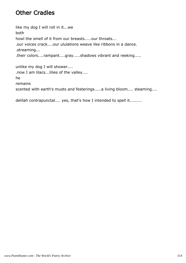## Other Cradles

like my dog I will roll in it...we both howl the smell of it from our breasts.....our throats... .our voices crack....our ululations weave like ribbons in a dance. .streaming... .their colors....rampant....gray.....shadows vibrant and reeking.....

unlike my dog I will shower.... .now I am lilacs...lilies of the valley.... he remains scented with earth's musts and festerings.....a living bloom.... steaming....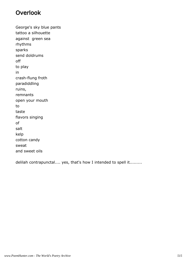#### Overlook

George's sky blue pants tattoo a silhouette against green sea rhythms sparks send doldrums off to play in crash-flung froth paradiddling ruins, remnants open your mouth to taste flavors singing of salt kelp cotton candy sweat and sweet oils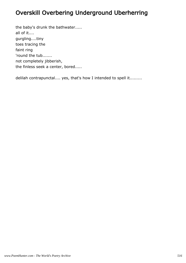## Overskill Overbering Underground Uberherring

the baby's drunk the bathwater..... all of it.... gurgling....tiny toes tracing the faint ring 'round the tub....... not completely jibberish, the finless seek a center, bored.....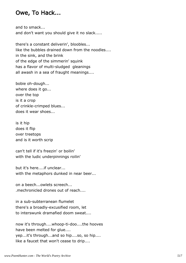#### Owe, To Hack...

and to smack... and don't want you should give it no slack.....

there's a constant deliverin', bloobles... like the bubbles drained down from the noodles.... in the sink, and the brink of the edge of the simmerin' squink has a flavor of multi-sludged gleanings all awash in a sea of fraught meanings....

bobie oh-dough... where does it go... over the top is it a crop of crinkle-crimped blues... does it wear shoes...

is it hip does it flip over treetops and is it worth scrip

can't tell if it's freezin' or boilin' with the ludic underpinnings roilin'

but it's here....if unclear... with the metaphors dunked in near beer...

on a beech...owlets screech... .mechronicled drones out of reach....

in a sub-subterranean flumelet there's a broadly-excusified room, let to interswunk dramafied doom sweat....

now it's through....whoop-ti-doo....the hooves have been melted for glue.... yep...it's through...and so hip....so, so hip.... like a faucet that won't cease to drip....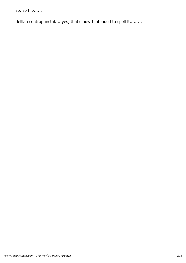so, so hip......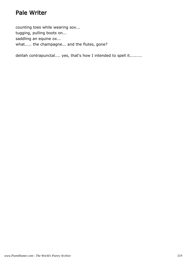### Pale Writer

counting toes while wearing sox... tugging, pulling boots on... saddling an equine ox... what..... the champagne... and the flutes, gone?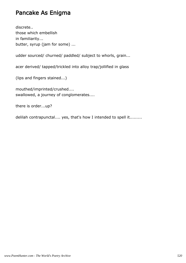#### Pancake As Enigma

discrete.. those which embellish in familiarity... butter, syrup (jam for some) ...

udder sourced/ churned/ paddled/ subject to whorls, grain...

acer derived/ tapped/trickled into alloy trap/jollified in glass

(lips and fingers stained...)

mouthed/imprinted/crushed.... swallowed, a journey of conglomerates....

there is order...up?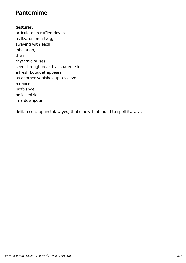#### Pantomime

gestures, articulate as ruffled doves... as lizards on a twig, swaying with each inhalation, their rhythmic pulses seen through near-transparent skin... a fresh bouquet appears as another vanishes up a sleeve... a dance, soft-shoe.... heliocentric in a downpour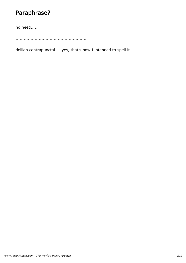## Paraphrase?

no need.....

............................................. ....................................................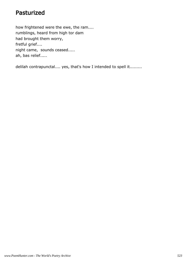#### Pasturized

how frightened were the ewe, the ram.... rumblings, heard from high tor dam had brought them worry, fretful grief.... night came, sounds ceased..... ah, bas relief.....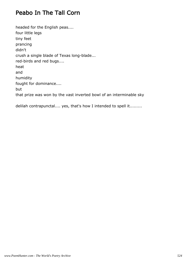## Peabo In The Tall Corn

headed for the English peas.... four little legs tiny feet prancing didn't crush a single blade of Texas long-blade... red-birds and red bugs.... heat and humidity fought for dominance.... but that prize was won by the vast inverted bowl of an interminable sky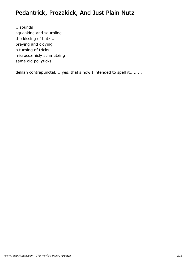## Pedantrick, Prozakick, And Just Plain Nutz

...sounds squeaking and squrbling the kissing of butz.... preying and cloying a turning of tricks microcozmicly schmutzing same old pollyticks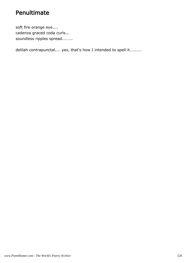#### Penultimate

soft fire orange eye.... cadenza graced coda curls... soundless ripples spread........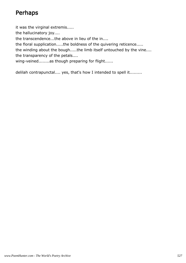## Perhaps

it was the virginal extremis..... the hallucinatory joy.... the transcendence...the above in lieu of the in.... the floral supplication.....the boldness of the quivering reticence..... the winding about the bough.....the limb itself untouched by the vine.... the transparency of the petals....

wing-veined........as though preparing for flight......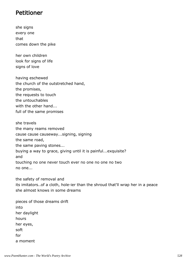#### Petitioner

she signs every one that comes down the pike

her own children look for signs of life signs of love

having eschewed the church of the outstretched hand, the promises, the requests to touch the untouchables with the other hand... full of the same promises

she travels the many reams removed cause cause causeway...signing, signing the same road, the same paving stones... buying a way to grace, giving until it is painful...exquisite? and touching no one never touch ever no one no one no two no one...

the safety of removal and its imitators..of a cloth, hole-ier than the shroud that'll wrap her in a peace she almost knows in some dreams

pieces of those dreams drift into her daylight hours her eyes, soft for a moment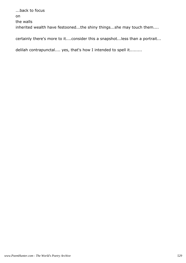...back to focus on the walls inherited wealth have festooned...the shiny things...she may touch them....

certainly there's more to it....consider this a snapshot...less than a portrait...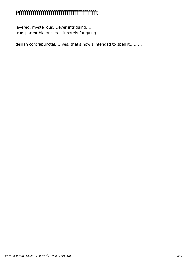## Pffffffffffffffffffffffffffffffffffffffft

layered, mysterious....ever intriguing..... transparent blatancies....innately fatiguing......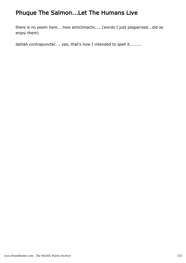## Phuque The Salmon...Let The Humans Live

there is no poem here....how anticlimactic.....(words I just plagiarized...did so enjoy them)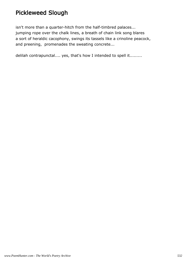## Pickleweed Slough

isn't more than a quarter-hitch from the half-timbred palaces... jumping rope over the chalk lines, a breath of chain link song blares a sort of heraldic cacophony, swings its tassels like a crinoline peacock, and preening, promenades the sweating concrete...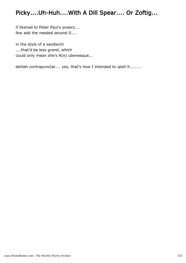## Picky....Uh-Huh....With A Dill Spear.... Or Zoftig...

if likened to Peter Paul's posers.... few add the needed second S....

in the style of a sandwich ....that'd be less grand, which could only mean she's R(e) ubenesque...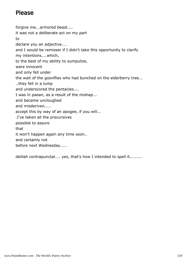## Please

forgive me...armored beast.... it was not a deliberate act on my part to declare you an adjective.... and I would be remisser if I didn't take this opportunity to clarify my intentions....which, to the best of my ability to sumpulize, were innocent and only fell under the wait of the goonflies who had bunched on the elderberry tree... ..they fell in a lump and underscored the pentacles.... I was in paean, as a result of the mishap... and became uncloughed and misderiven..... accept this by way of an apogee, if you will... .I've taken all the precursives possible to assure that it won't happen again any time soon.. and certainly not before next Wednesday.....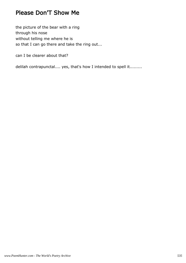#### Please Don'T Show Me

the picture of the bear with a ring through his nose without telling me where he is so that I can go there and take the ring out...

can I be clearer about that?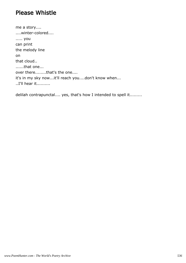#### Please Whistle

me a story.... ....winter-colored.... ..... you can print the melody line on that cloud.. ......that one... over there........that's the one.... it's in my sky now...it'll reach you....don't know when... ..I'll hear it..........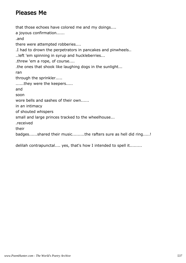#### Pleases Me

that those echoes have colored me and my doings.... a joyous confirmation...... .and there were attempted robberies.... .I had to drown the perpetrators in pancakes and pinwheels.. ..left 'em spinning in syrup and huckleberries... .threw 'em a rope, of course.... .the ones that shook like laughing dogs in the sunlight... ran through the sprinkler..... ......they were the keepers..... and soon wore bells and sashes of their own...... in an intimacy of shouted whispers small and large princes tracked to the wheelhouse... .received their badges......shared their music.........the rafters sure as hell did ring.....!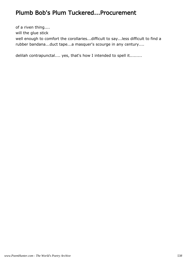## Plumb Bob's Plum Tuckered...Procurement

of a riven thing.... will the glue stick well enough to comfort the corollaries...difficult to say...less difficult to find a rubber bandana...duct tape...a masquer's scourge in any century....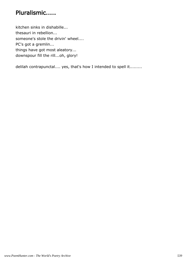## Pluralismic.....

kitchen sinks in dishabille... thesauri in rebellion... someone's stole the drivin' wheel.... PC's got a gremlin... things have got most aleatory... downspour fill the rill...oh, glory!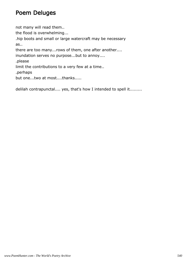#### Poem Deluges

not many will read them.. the flood is overwhelming... .hip boots and small or large watercraft may be necessary as.. there are too many...rows of them, one after another.... inundation serves no purpose...but to annoy.... .please limit the contributions to a very few at a time.. .perhaps but one...two at most....thanks.....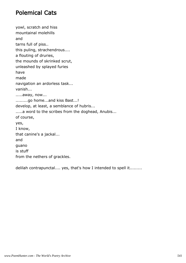### Polemical Cats

yowl, scratch and hiss mountainal molehills and tarns full of piss.. this puling, strachendrous.... a flouting of druries, the mounds of skrinked scrut, unleashed by splayed furies have made navigation an ardorless task... vanish... .....away, now... .........go home...and kiss Bast...! develop, at least, a semblance of hubris... .....a word to the scribes from the doghead, Anubis... of course, yes, I know, that canine's a jackal... and guano is stuff from the nethers of grackles.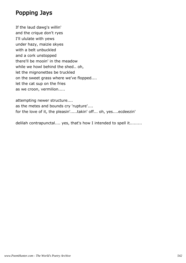## Popping Jays

If the laud dawg's willin' and the crique don't ryes I'll ululate with yews under hazy, maizie skyes with a belt unbuckled and a cork unstopped there'll be mooin' in the meadow while we howl behind the shed.. oh, let the mignonettes be truckled on the sweet grass where we've flopped.... let the cat sup on the fries as we croon, vermilion.....

attempting newer structure.... as the metes and bounds cry 'rupture'.... for the love of it, the pleasin'.....takin' off... oh, yes....ecdeezin'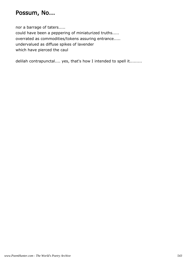## Possum, No...

nor a barrage of taters..... could have been a peppering of miniaturized truths..... overrated as commodities/tokens assuring entrance..... undervalued as diffuse spikes of lavender which have pierced the caul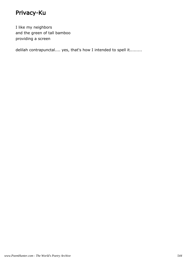# Privacy-Ku

I like my neighbors and the green of tall bamboo providing a screen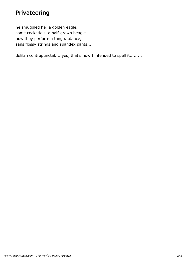## Privateering

he smuggled her a golden eagle, some cockatiels, a half-grown beagle... now they perform a tango...dance, sans flossy strings and spandex pants...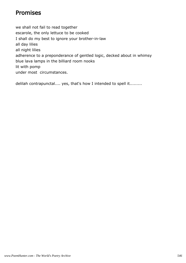## Promises

we shall not fail to read together escarole, the only lettuce to be cooked I shall do my best to ignore your brother-in-law all day lilies all night lilies adherence to a preponderance of gentled logic, decked about in whimsy blue lava lamps in the billiard room nooks lit with pomp under most circumstances.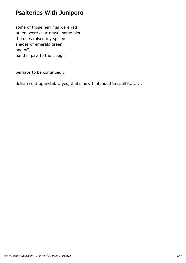# Psalteries With Junipero

some of those herrings were red others were chartreuse, some bleu the ones raised my spleen shades of emerald green and off, hand in paw to the slough

perhaps to be continued....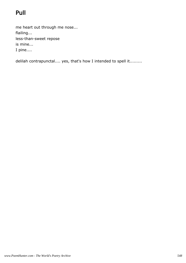# Pull

me heart out through me nose... flailing... less-than-sweet repose is mine... I pine....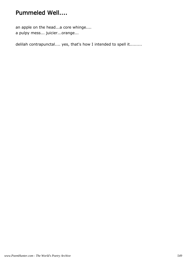# Pummeled Well....

an apple on the head...a core whinge.... a pulpy mess... juicier...orange...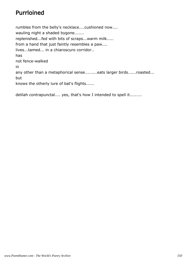# Purrloined

rumbles from the belly's necklace....cushioned now.... wauling night a shaded bygone....... replenished...fed with bits of scraps...warm milk..... from a hand that just faintly resembles a paw.... lives...tamed... in a chiaroscuro corridor.. has not fence-walked in any other than a metaphorical sense.........eats larger birds......roasted... but knows the otherly lure of bat's flights......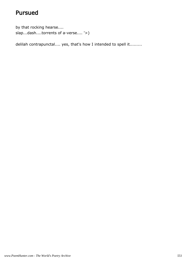# Pursued

by that rocking hearse.... slap...dash....torrents of a-verse.... '>)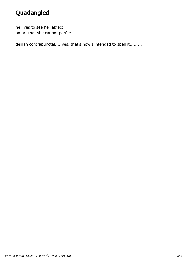# Quadangled

he lives to see her abject an art that she cannot perfect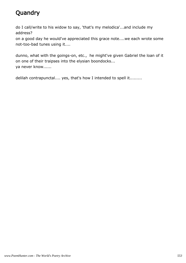# **Quandry**

do I call/write to his widow to say, 'that's my melodica'...and include my address?

on a good day he would've appreciated this grace note....we each wrote some not-too-bad tunes using it....

dunno, what with the goings-on, etc., he might've given Gabriel the loan of it on one of their traipses into the elysian boondocks... ya never know......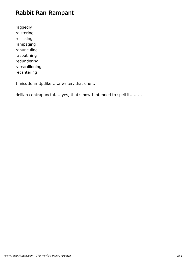## Rabbit Ran Rampant

raggedly roistering rollicking rampaging renunculing rasputining redundering rapscallioning recantering

I miss John Updike.....a writer, that one....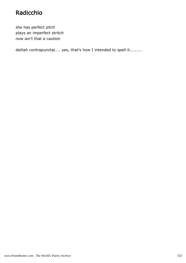# Radicchio

she has perfect pitch plays an imperfect stritch now ain't that a caution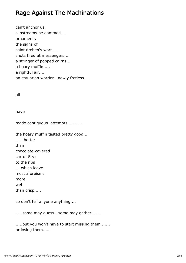## Rage Against The Machinations

can't anchor us, slipstreams be dammed.... ornaments the sighs of saint dreben's wort..... shots fired at messengers... a stringer of popped cairns... a hoary muffin..... a rightful air.... an estuarian worrier...newly fretless....

#### all

have

made contiguous attempts...........

the hoary muffin tasted pretty good... ......better than chocolate-covered carrot Styx to the ribs ... which leave most aforeisms more wet than crisp.....

so don't tell anyone anything....

.....some may guess...some may gather.......

.....but you won't have to start missing them....... or losing them.....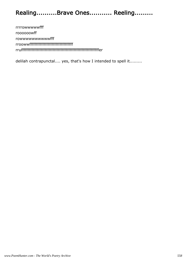# Realing..........Brave Ones........... Reeling.........

rrrrowwwwwfff roooooowff rowwwwwwwwwwfff rroowwfffffffffffffffffffffffffffffffff rrufffffffffffffffffffffffffffffffffffffffffffffffffffffffffffer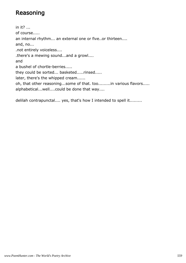# Reasoning

in it? ... of course..... an internal rhythm... an external one or five..or thirteen.... and, no... .not entirely voiceless.... .there's a mewing sound...and a growl.... and a bushel of chortle-berries..... they could be sorted... basketed.....rinsed..... later, there's the whipped cream...... oh, that other reasoning...some of that. too.........in various flavors..... alphabetical...well....could be done that way....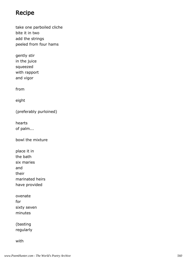#### Recipe

take one parboiled cliche bite it in two add the strings peeled from four hams

gently stir in the juice squeezed with rapport and vigor

from

eight

(preferably purloined)

hearts of palm...

bowl the mixture

place it in the bath six maries and their marinated heirs have provided

ovenate for sixty seven minutes

(basting regularly

with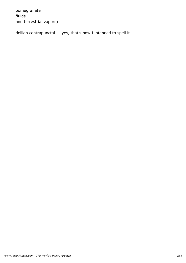pomegranate fluids and terrestrial vapors)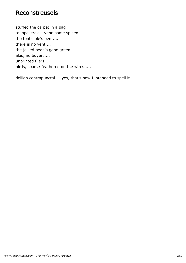#### Reconstreusels

stuffed the carpet in a bag to lope, trek....vend some spleen... the tent-pole's bent.... there is no vent.... the jellied bean's gone green.... alas, no buyers.... unprinted fliers... birds, sparse-feathered on the wires.....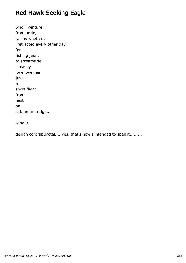# Red Hawk Seeking Eagle

who'll venture from aerie, talons whetted, (retracted every other day) for fishing jaunt to streamside close by lowmown lea just a short flight from nest on catamount ridge...

wing it?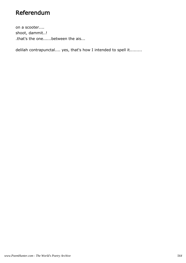## Referendum

on a scooter.... shoot, dammit..! .that's the one......between the ais...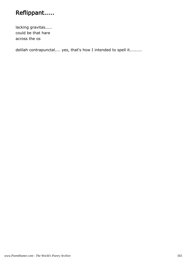# Reflippant.....

lacking gravitas..... could be that hare across the os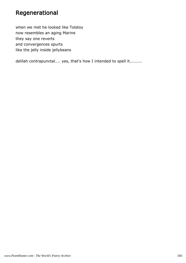## Regenerational

when we met he looked like Tolstoy now resembles an aging Marine they say one reverts and convergences spurts like the jelly inside jellybeans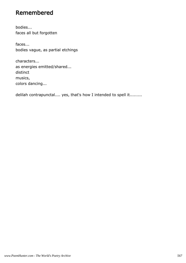## Remembered

bodies... faces all but forgotten

faces... bodies vague, as partial etchings

characters... as energies emitted/shared... distinct musics, colors dancing...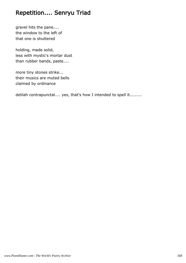# Repetition.... Senryu Triad

gravel hits the pane.... the window to the left of that one is shuttered

holding, made solid, less with mystic's mortar dust than rubber bands, paste....

more tiny stones strike... their musics are muted bells claimed by ordinance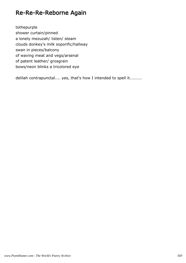#### Re-Re-Re-Reborne Again

tothepurple shower curtain/pinned a lonely mezuzah/ listen/ steam clouds donkey's milk soporific/hallway swan in pieces/balcony of waving meat and vegs/arsenal of patent leather/ grosgrain bows/neon blinks a tricolored eye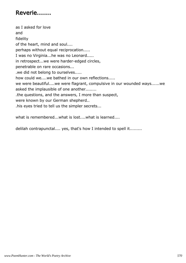## Reverie.......

as I asked for love and fidelity of the heart, mind and soul.... perhaps without equal reciprocation..... I was no Virginia...he was no Leonard..... in retrospect...we were harder-edged circles, penetrable on rare occasions... .we did not belong to ourselves..... how could we....we bathed in our own reflections..... we were beautiful....we were flagrant, compulsive in our wounded ways......we asked the implausible of one another........ .the questions, and the answers, I more than suspect, were known by our German shepherd.. .his eyes tried to tell us the simpler secrets...

what is remembered...what is lost....what is learned....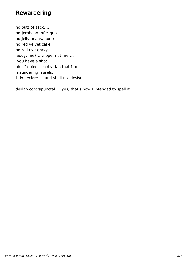#### Rewardering

no butt of sack..... no jeroboam of cliquot no jelly beans, none no red velvet cake no red eye gravy..... laudy, me? ....nope, not me.... .you have a shot... ah...I opine...contrarian that I am.... maundering laurels, I do declare.....and shall not desist....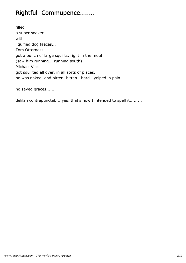# Rightful Commupence.......

filled a super soaker with liquified dog faeces... Tom Otterness got a bunch of large squirts, right in the mouth (saw him running... running south) Michael Vick got squirted all over, in all sorts of places, he was naked..and bitten, bitten...hard...yelped in pain...

no saved graces......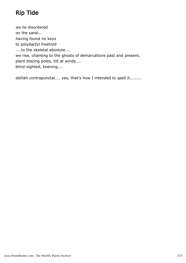# Rip Tide

we lie disordered on the sand... having found no keys to polydactyl freehold ....to the skeletal absolute.... we rise, chanting to the ghosts of demarcations past and present, plant blazing poles, tilt at winds.... blind-sighted, keening....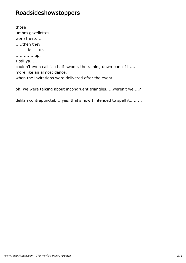#### Roadsideshowstoppers

those umbra gazellettes were there.... .....then they .........fell....up.... ............. up, I tell ya..... couldn't even call it a half-swoop, the raining down part of it.... more like an almost dance, when the invitations were delivered after the event....

oh, we were talking about incongruent triangles.....weren't we....?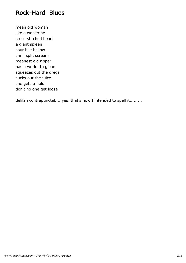#### Rock-Hard Blues

mean old woman like a wolverine cross-stitched heart a giant spleen sour bile bellow shrill split scream meanest old ripper has a world to glean squeezes out the dregs sucks out the juice she gets a hold don't no one get loose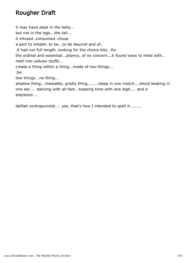## Rougher Draft

it may have slept in the belly... but not in the legs...the tail... it infused..consumed..chose a part to inhabit..to be...to be beyond and of.. .it had run full length..looking for the choice bits...for the ordinal and essential...pliancy, of no concern...it found ways to meld with.. melt into cellular stuffs... create a thing within a thing...made of two things... .be two things...no thing... shadow thing...chewable, gristly thing........sleep in one nostril....blood beating in one ear.... dancing with all feet...keeping time with one digit.... and a stepstool....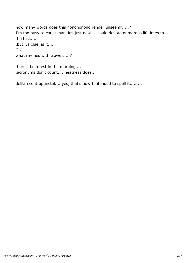how many words does this nonononono render unseemly....? I'm too busy to count inanities just now.....could devote numerous lifetimes to the task..... .but...a clue, is it....? OK.... what rhymes with trowels....?

there'll be a test in the morning.... .acronyms don't count.....neatness does..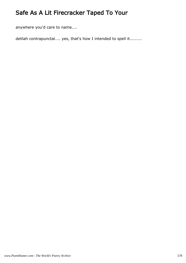# Safe As A Lit Firecracker Taped To Your

anywhere you'd care to name....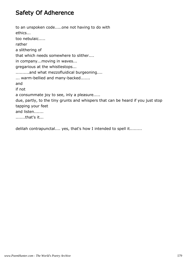## Safety Of Adherence

to an unspoken code.....one not having to do with ethics... too nebulaic..... rather a slithering of that which needs somewhere to slither.... in company...moving in waves... gregarious at the whistlestops... ..........and what mezzofluidical burgeoning.... ... warm-bellied and many-backed....... and if not a consummate joy to see, inly a pleasure..... due, partly, to the tiny grunts and whispers that can be heard if you just stop tapping your feet and listen....... .......that's it...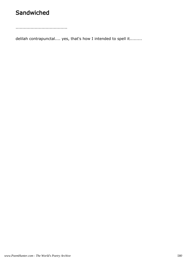## **Sandwiched**

......................................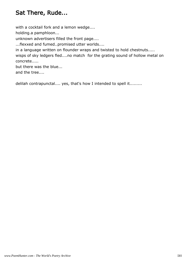## Sat There, Rude...

with a cocktail fork and a lemon wedge.... holding.a pamphloon... unknown advertisers filled the front page.... ...flexxed and fumed..promised utter worlds.... in a language written on flounder wraps and twisted to hold chestnuts..... wisps of sky ledgers fled....no match for the grating sound of hollow metal on concrete.....

but there was the blue... and the tree....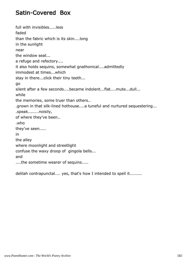#### Satin-Covered Box

full with invisibles.....less faded than the fabric which is its skin....long in the sunlight near the window seat... a refuge and refectory.... it also holds sequins, somewhat gnathonical....admittedly immodest at times...which stay in there...click their tiny teeth... go silent after a few seconds....became indolent...flat....mute...dull... while the memories, some truer than others.. .grown in that silk-lined hothouse....a tuneful and nurtured sequestering... .speak........noisily, of where they've been.. .who they've seen..... in the alley where moonlight and streetlight confuse the waxy droop of gingola bells... and ....the sometime wearer of sequins.....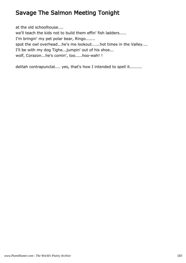## Savage The Salmon Meeting Tonight

at the old schoolhouse.... we'll teach the kids not to build them effin' fish ladders..... I'm bringin' my pet polar bear, Ringo....... spot the owl overhead...he's me lookout......hot times in the Valley.... I'll be with my dog Tighe...jumpin' out of his shoe... wolf, Corazon...he's comin', too.....hoo-wah! !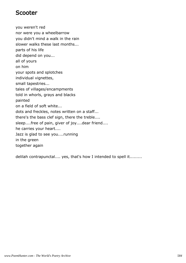#### Scooter

you weren't red nor were you a wheelbarrow you didn't mind a walk in the rain slower walks these last months... parts of his life did depend on you... all of yours on him your spots and splotches individual vignettes, small tapestries... tales of villages/encampments told in whorls, grays and blacks painted on a field of soft white... dots and freckles, notes written on a staff... there's the bass clef sign, there the treble.... sleep....free of pain, giver of joy....dear friend.... he carries your heart.... Jazz is glad to see you....running in the green together again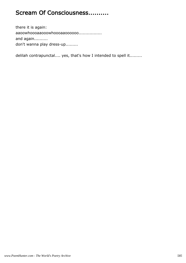#### Scream Of Consciousness..........

there it is again: aaoowhoooaaooowhoooaaoooooo................. and again.......... don't wanna play dress-up.........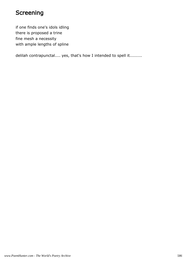### Screening

if one finds one's idols idling there is proposed a trine fine mesh a necessity with ample lengths of spline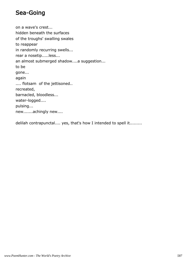#### Sea-Going

on a wave's crest... hidden beneath the surfaces of the troughs' swalling swales to reappear in randomly recurring swells... rear a nosetip.....less... an almost submerged shadow....a suggestion... to be gone... again .... flotsam of the jettisoned.. recreated, barnacled, bloodless... water-logged.... pulsing... new.......achingly new....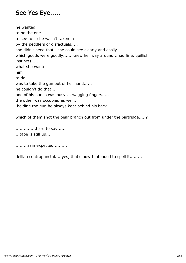#### See Yes Eye.....

he wanted to be the one to see to it she wasn't taken in by the peddlers of disfactuals..... she didn't need that...she could see clearly and easily which goods were goodly.......knew her way around...had fine, quillish instincts..... what she wanted him to do was to take the gun out of her hand...... he couldn't do that... one of his hands was busy.... wagging fingers..... the other was occupied as well.. .holding the gun he always kept behind his back......

which of them shot the pear branch out from under the partridge.....?

...............hard to say...... ...tape is still up...

.........rain expected..........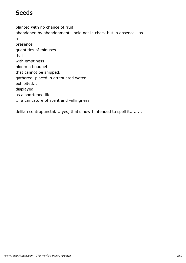### **Seeds**

planted with no chance of fruit abandoned by abandonment...held not in check but in absence...as a presence quantities of minuses full with emptiness bloom a bouquet that cannot be snipped, gathered, placed in attenuated water exhibited... displayed as a shortened life ... a caricature of scent and willingness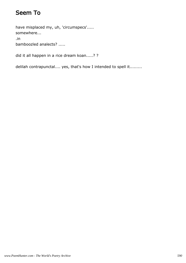## Seem To

have misplaced my, uh, 'circumspecs'..... somewhere... .in

bamboozled analects? .....

did it all happen in a rice dream koan.....? ?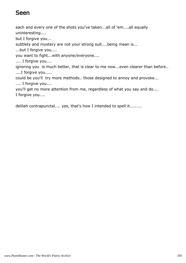#### Seen

each and every one of the shots you've taken...all of 'em....all equally uninteresting....

but I forgive you...

subtlety and mystery are not your strong suit....being mean is...

...but I forgive you....

you want to fight...with anyone/everyone....

.... I forgive you....

ignoring you is much better, that is clear to me now...even clearer than before.. ....I forgive you.....

could be you'll try more methods.. those designed to annoy and provoke... .... I forgive you....

you'll get no more attention from me, regardless of what you say and do.... I forgive you....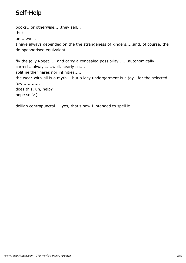# Self-Help

books...or otherwise.....they sell... .but um....well, I have always depended on the the strangeness of kinders.....and, of course, the de-spoonerised equivalent....

fly the jolly Roget..... and carry a concealed possibility.......autonomically correct...always.....well, nearly so.... split neither hares nor infinities..... the wear-with-all is a myth....but a lacy undergarment is a joy...for the selected few............. does this, uh, help? hope so '>)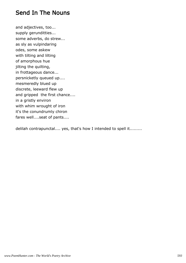#### Send In The Nouns

and adjectives, too... supply gerunditties... some adverbs, do strew... as sly as vulpindaring odes, some askew with tilting and lilting of amorphous hue jilting the quilting, in frottageous dance... persnicketly queued up.... mesmeredly blued up discrete, leeward flew up and gripped the first chance.... in a gristly environ with whim wrought of iron it's the conundrumly chiron fares well....seat of pants....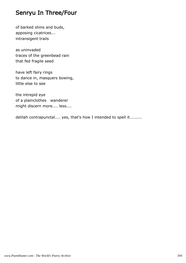#### Senryu In Three/Four

of barked shins and buds, apposing cicatrices... intransigent trails

as uninvaded traces of the greenbead rain that fed fragile seed

have left fairy rings to dance in, masquers bowing, little else to see

the intrepid eye of a plainclothes wanderer might discern more.... less....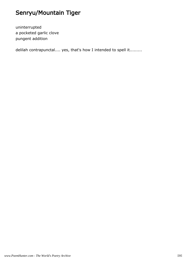# Senryu/Mountain Tiger

uninterrupted a pocketed garlic clove pungent addition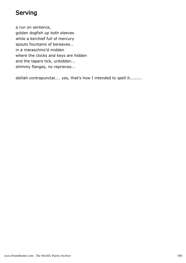## Serving

a run on sentence, golden dogfish up both sleeves while a kerchief full of mercury spouts fountains of bereaves... in a maraschino'd midden where the clocks and keys are hidden and the tapers tick, unbidden... shimmy flanges, no reprieves...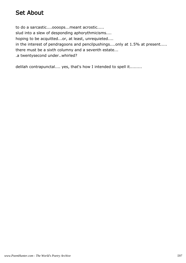#### Set About

to do a sarcastic....oooops...meant acrostic..... slud into a slew of desponding aphorythmicisms.... hoping to be acquitted...or, at least, unrequieted.... in the interest of pendragoons and pencilpushings....only at 1.5% at present..... there must be a sixth columny and a seventh estate... .a twentysecond under..whirled?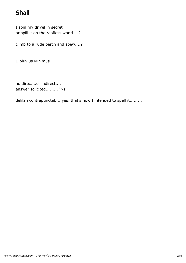# Shall

I spin my drivel in secret or spill it on the roofless world....?

climb to a rude perch and spew....?

Dipluvius Minimus

no direct...or indirect.... answer solicited......... '>)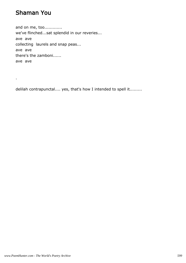## Shaman You

.

and on me, too............. we've flinched...sat splendid in our reveries... ave ave collecting laurels and snap peas... ave ave there's the zamboni...... ave ave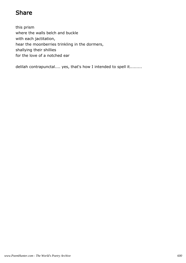## Share

this prism where the walls belch and buckle with each jactitation, hear the moonberries trinkling in the dormers, shallying their shillies for the love of a notched ear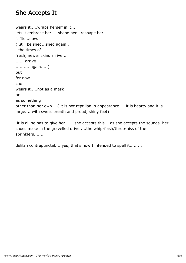## She Accepts It

wears it.....wraps herself in it.... lets it embrace her.....shape her...reshape her.... it fits...now. (..it'll be shed...shed again.. . the times of fresh, newer skins arrive.... ...... arrive ...........again.....) but for now.... she wears it.....not as a mask or as something other than her own....(.it is not reptilian in appearance.....it is hearty and it is large.....with sweet breath and proud, shiny feet)

.it is all he has to give her.......she accepts this....as she accepts the sounds her shoes make in the gravelled drive.....the whip-flash/throb-hiss of the sprinklers.......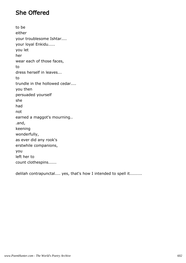## She Offered

to be either your troublesome Ishtar.... your loyal Enkidu..... you let her wear each of those faces, to dress herself in leaves... to trundle in the hollowed cedar.... you then persuaded yourself she had not earned a maggot's mourning.. .and, keening wonderfully, as ever did any rook's erstwhile companions, you left her to count clothespins......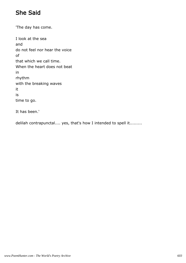# She Said

'The day has come. I look at the sea and do not feel nor hear the voice of that which we call time. When the heart does not beat in rhythm with the breaking waves it is time to go.

It has been.'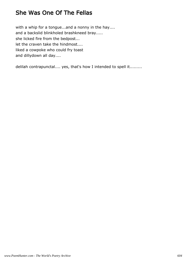### She Was One Of The Fellas

with a whip for a tongue...and a nonny in the hay.... and a backslid blinkholed brashkneed bray..... she licked fire from the bedpost... let the craven take the hindmost.... liked a cowpoke who could fry toast and dillydown all day....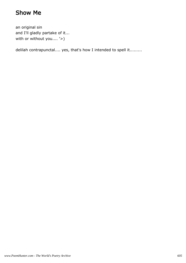## Show Me

an original sin and I'll gladly partake of it... with or without you.... '>)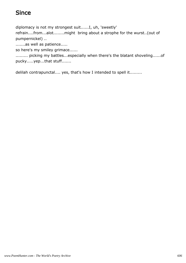## Since

diplomacy is not my strongest suit......I, uh, 'sweetly'

refrain....from...alot........might bring about a strophe for the wurst..(out of pumpernickel) ..

.......as well as patience.....

so here's my smiley grimace......

......... picking my battles...especially when there's the blatant shoveling......of pucky.....yep...that stuff.......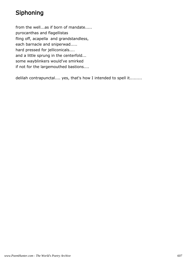# Siphoning

from the well...as if born of mandate..... pyrocanthas and flagellistas fling off, acapella and grandstandless, each barnacle and sniperwad..... hard pressed for jelliconicals.... and a little sprung in the centerfold... some wayblinkers would've smirked if not for the largemouthed bastions....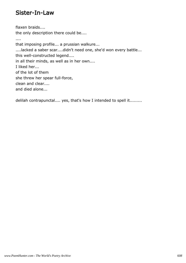#### Sister-In-Law

flaxen braids.... the only description there could be.... .... that imposing profile... a prussian walkure... ....lacked a saber scar....didn't need one, she'd won every battle... this well-constructed legend.... in all their minds, as well as in her own.... I liked her... of the lot of them she threw her spear full-force, clean and clear.... and died alone...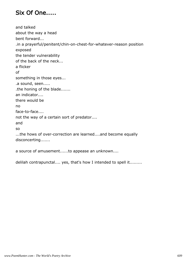## Six Of One.....

and talked about the way a head bent forward... .in a prayerful/penitent/chin-on-chest-for-whatever-reason position exposed the tender vulnerability of the back of the neck... a flicker of something in those eyes... .a sound, seen..... .the honing of the blade....... an indicator.... there would be no face-to-face.... not the way of a certain sort of predator.... and so ...the hows of over-correction are learned....and become equally disconcerting.......

a source of amusement......to appease an unknown....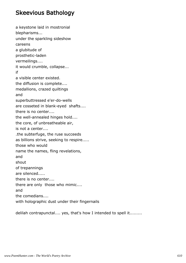#### Skeevious Bathology

a keystone laid in mostronial blepharisms... under the sparkling sideshow careens a glubitude of prosthetic-laden vermeilings.... it would crumble, collapse... if a visible center existed. the diffusion is complete.... medallions, crazed quiltings and superbuttressed e'er-do-wells are cosseted in blank-eyed shafts.... there is no center.... the well-annealed hinges hold.... the core, of unbreatheable air, is not a center.... .the subterfuge, the ruse succeeds as billions strive, seeking to respire..... those who would name the names, fling revelations, and shout of trepannings are silenced..... there is no center.... there are only those who mimic.... and the comedians.... with holographic dust under their fingernails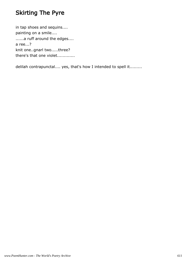## Skirting The Pyre

in tap shoes and sequins.... painting on a smile.... ......a ruff around the edges.... a ree...? knit one..gnarl two.....three? there's that one violet..............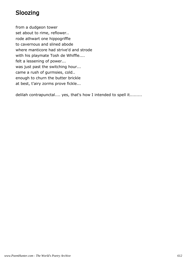# Sloozing

from a dudgeon tower set about to rime, reflower.. rode athwart one hippogriffle to cavernous and slined abode where manticore had strive'd and strode with his playmate Tosh de Whiffle.... felt a lessening of power... was just past the switching hour... came a rush of gurmsies, cold.. enough to churn the butter brickle at best, t'airy zorms prove fickle...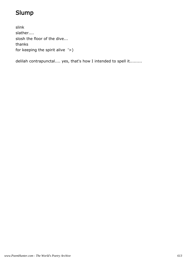# Slump

slink slather.... slosh the floor of the dive... thanks for keeping the spirit alive '>)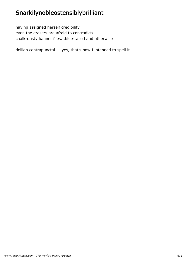# Snarkilynobleostensiblybrilliant

having assigned herself credibility even the erasers are afraid to contradict/ chalk-dusty banner flies...blue-tailed and otherwise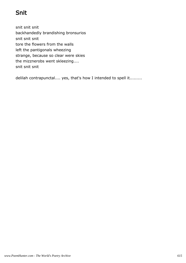# Snit

snit snit snit backhandedly brandishing bronsurios snit snit snit tore the flowers from the walls left the pantigonals wheezing strange, because so clear were skies the mizznerobs went skleezing.... snit snit snit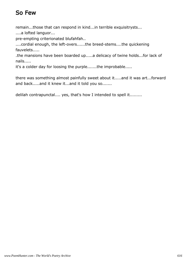# So Few

remain...those that can respond in kind...in terrible exquisitrysts...

....a lofted languor...

pre-empting criterionated blufahfah..

....cordial enough, the left-overs......the breed-stems....the quickening fauvelets.....

.the mansions have been boarded up.....a delicacy of twine holds...for lack of nails.....

it's a colder day for loosing the purple.......the improbable.....

there was something almost painfully sweet about it.....and it was art...forward and back.....and it knew it...and it told you so.......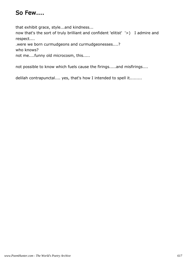## So Few....

that exhibit grace, style...and kindness...

now that's the sort of truly brilliant and confident 'elitist' '>) I admire and respect....

.were we born curmudgeons and curmudgeonesses....?

who knows?

not me....funny old microcosm, this.....

not possible to know which fuels cause the firings.....and misfirings....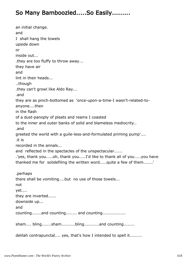## So Many Bamboozled.....So Easily.........

an initial change. and I shall hang the towels upside down or inside out... .they are too fluffy to throw away... they have air and lint in their heads... ..though .they can't growl like Aldo Ray... .and they are as pinch-bottomed as 'once-upon-a-time-I wasn't-related-toanyone....then in the flash of a dust-panoply of pleats and reams I coasted to the inner and outer banks of solid and blameless mediocrity.. .and greeted the world with a guile-less-and-formulated priming pump'.... .it is recorded in the annals... and reflected in the spectacles of the unspectacular...... .'yes, thank you.....oh, thank you.....I'd like to thank all of you.....you have thanked me for solidefiling the written word.....quite a few of them.......' .perhaps there shall be vomiting....but no use of those towels... not yet.... they are inverted...... downside up... and counting.......and counting........ and counting................. sham.... bling.......sham..........bling..........and counting........ delilah contrapunctal.... yes, that's how I intended to spell it.........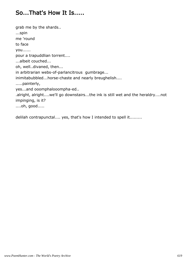### So...That's How It Is.....

grab me by the shards.. ...spin me 'round to face you...... pour a trapuddlian torrent.... ...albeit couched... oh, well..divaned, then... in arbitrarian webs-of-parlancitrous gumbrage... inimitabubbled...horse-chaste and nearly breughelish.... .....painterly, yes...and ooomphalooompha-ed.. .alright, alright....we'll go downstairs...the ink is still wet and the heraldry....not impinging, is it? ....oh, good.....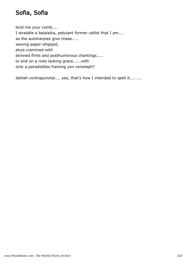## Sofia, Sofia

lend me your comb.... I straddle a balalaika, petulant former cellist that I am.... as the autoharpies give chase..... waxing paper-shipped, etuis crammed with skinned flints and posthumorous chantings..... to end on a note lacking grace......with only a paradiddles framing yon cenotaph?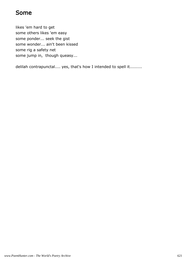#### Some

likes 'em hard to get some others likes 'em easy some ponder... seek the gist some wonder... ain't been kissed some rig a safety net some jump in, though queasy...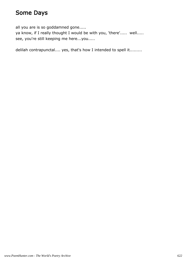## Some Days

all you are is so goddamned gone.....

ya know, if I really thought I would be with you, 'there'..... well..... see, you're still keeping me here...you.....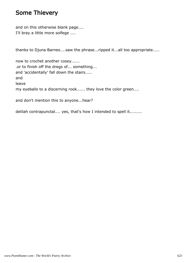#### Some Thievery

and on this otherwise blank page.... I'll bray a little more solfege ....

thanks to Djuna Barnes....saw the phrase...ripped it...all too appropriate.....

now to crochet another cosey...... .or to finish off the dregs of... something... and 'accidentally' fall down the stairs..... and leave my eyeballs to a discerning rook...... they love the color green....

and don't mention this to anyone...hear?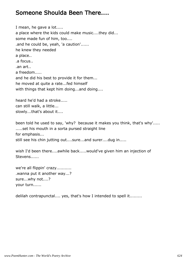#### Someone Shoulda Been There....

I mean, he gave a lot..... a place where the kids could make music....they did... some made fun of him, too.... .and he could be, yeah, 'a caution'...... he knew they needed a place.. .a focus.. .an art.. a freedom..... and he did his best to provide it for them... he moved at quite a rate...fed himself with things that kept him doing...and doing....

heard he'd had a stroke..... can still walk, a little... slowly...that's about it....

been told he used to say, 'why? because it makes you think, that's why'..... .....set his mouth in a sorta pursed straight line for emphasis... still see his chin jutting out....sure...and surer....dug in.....

wish I'd been there....awhile back.....would've given him an injection of Stevens......

we're all flippin' crazy........... .wanna put it another way...? sure...why not....? your turn......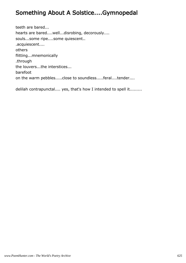## Something About A Solstice....Gymnopedal

teeth are bared... hearts are bared....well...disrobing, decorously.... souls...some ripe....some quiescent.. .acquiescent.... others flitting...mnemonically .through the louvers...the interstices... barefoot on the warm pebbles.....close to soundless.....feral....tender....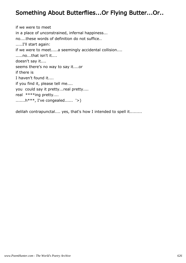## Something About Butterflies...Or Flying Butter...Or..

if we were to meet in a place of unconstrained, infernal happiness... no....these words of definition do not suffice.. .....I'll start again: if we were to meet.....a seemingly accidental collision.... .....no...that isn't it.... doesn't say it.... seems there's no way to say it....or if there is I haven't found it.... if you find it, please tell me.... you could say it pretty...real pretty.... real \*\*\*\*ing pretty.... .......h\*\*\*, I've congealed...... '>)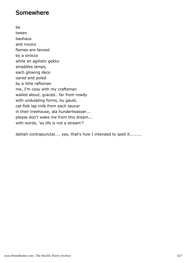#### Somewhere

be tween bauhaus and rococo flames are fanned by a sirocco while an agilistic gekko straddles lamps, each glowing deco oared and poled by a lithe raftsman me, I'm cosy with my craftsman walled about, graced.. far from rowdy with undulating forms, by gaudi, cat-folk lap milk from each saucer in their treehouse, ala hundertwasser... please don't wake me from this dream... with words, 'so life is not a stream'?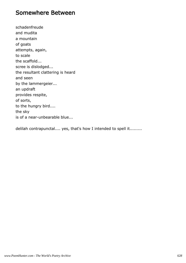#### Somewhere Between

schadenfreude and mudita a mountain of goats attempts, again, to scale the scaffold... scree is dislodged... the resultant clattering is heard and seen by the lammergeier... an updraft provides respite, of sorts, to the hungry bird.... the sky is of a near-unbearable blue...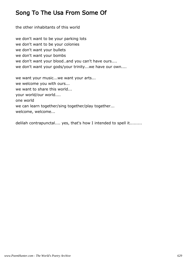## Song To The Usa From Some Of

the other inhabitants of this world we don't want to be your parking lots we don't want to be your colonies we don't want your bullets we don't want your bombs we don't want your blood..and you can't have ours.... we don't want your gods/your trinity...we have our own.... we want your music...we want your arts... we welcome you with ours... we want to share this world... your world/our world.... one world

we can learn together/sing together/play together...

welcome, welcome...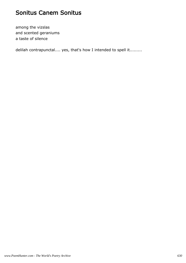### Sonitus Canem Sonitus

among the vizslas and scented geraniums a taste of silence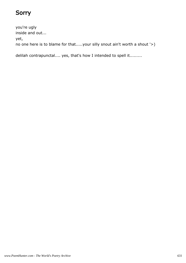# Sorry

you're ugly inside and out... yet, no one here is to blame for that.....your silly snout ain't worth a shout '>)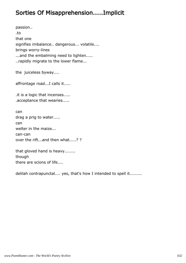### Sorties Of Misapprehension.....Implicit

passion.. .to that one signifies imbalance.. dangerous... volatile.... brings worry-lines ...and the embalming need to lighten..... ..rapidly migrate to the lower flame...

the juiceless byway....

affrontage road...I calls it.....

.it is a logic that incenses..... .acceptance that wearies.....

can drag a prig to water..... can welter in the maize... can-can over the rift...and then what.....? ?

that gloved hand is heavy........ though there are scions of life....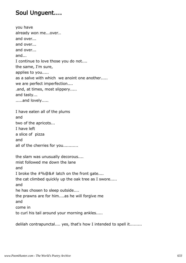### Soul Unguent....

you have already won me...over.. and over... and over... and over... and... I continue to love those you do not.... the same, I'm sure, applies to you..... as a salve with which we anoint one another..... we are perfect imperfection.... .and, at times, most slippery..... and tasty... .....and lovely..... I have eaten all of the plums and two of the apricots... I have left a slice of pizza and all of the cherries for you........... the slam was unusually decorous.... mist followed me down the lane and I broke the #%@&# latch on the front gate.... the cat climbed quickly up the oak tree as I swore..... and he has chosen to sleep outside.... the prawns are for him....as he will forgive me and come in to curl his tail around your morning ankles.....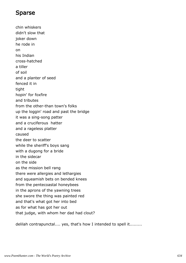## Sparse

chin whiskers didn't slow that joker down he rode in on his Indian cross-hatched a tiller of soil and a planter of seed fenced it in tight hopin' for foxfire and tributes from the other-than town's folks up the loggin' road and past the bridge it was a sing-song patter and a cruciferous hatter and a rageless platter caused the deer to scatter while the sheriff's boys sang with a dugong for a bride in the sidecar on the side as the mission bell rang there were allergies and lethargies and squeamish bets on bended knees from the pentecoastal honeybees in the aprons of the yawning trees she swore the thing was painted red and that's what got her into bed as for what has got her out that judge, with whom her dad had clout?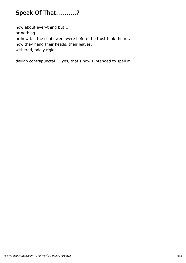# Speak Of That..........?

how about everything but.... or nothing.... or how tall the sunflowers were before the frost took them.... how they hang their heads, their leaves, withered, oddly rigid....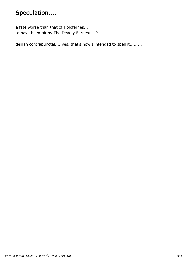# Speculation....

a fate worse than that of Holofernes... to have been bit by The Deadly Earnest....?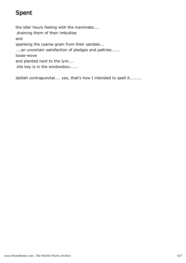# Spent

the idler hours feeling with the inanimate.... .draining them of their imbuities and spanking the coarse grain from their sandals... ....an uncertain satisfaction of pledges and paltries...... loose-wove and planted next to the lyre.... .the key is in the windowbox......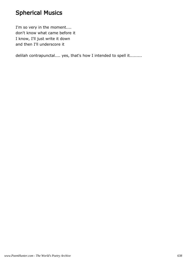# Spherical Musics

I'm so very in the moment.... don't know what came before it I know, I'll just write it down and then I'll underscore it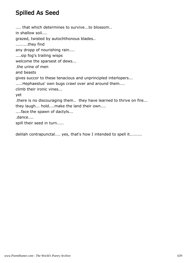## Spilled As Seed

.... that which determines to survive...to blossom.. in shallow soil.... grazed, twisted by autochthonous blades.. .........they find any dropp of nourishing rain.... ....sip fog's trailing wisps welcome the sparsest of dews... .the urine of men and beasts gives succor to these tenacious and unprincipled interlopers... .....Hephaestus' own bugs crawl over and around them.... climb their ironic vines... yet .there is no discouraging them.. they have learned to thrive on fire... they laugh... hold....make the land their own.... ....face the spawn of dactyls... .dance.... spill their seed in turn.....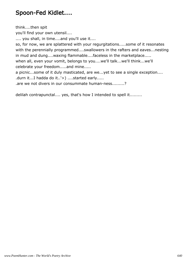## Spoon-Fed Kidlet....

think....then spit you'll find your own utensil.... .... you shall, in time....and you'll use it.... so, for now, we are splattered with your regurgitations.....some of it resonates with the perennially programmed....swallowers in the rafters and eaves...nesting in mud and dung....waxing flammable....faceless in the marketplace..... when all, even your vomit, belongs to you....we'll talk...we'll think...we'll celebrate your freedom.....and mine..... a picnic...some of it duly masticated, are we...yet to see a single exception.... .durn it...I hadda do it..'>) ....started early..... .are we not divers in our consummate human-ness.........?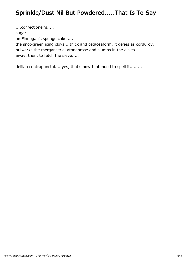## Sprinkle/Dust Nil But Powdered.....That Is To Say

....confectioner's..... sugar on Finnegan's sponge cake..... the snot-green icing cloys....thick and cetaceaform, it defies as corduroy, bulwarks the merganserial atoneprose and slumps in the aisles..... away, then, to fetch the sieve.....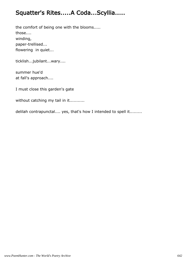## Squatter's Rites.....A Coda...Scyllia.....

the comfort of being one with the blooms..... those.... winding, paper-trellised... flowering in quiet...

ticklish...jubilant...wary....

summer hue'd at fall's approach....

I must close this garden's gate

without catching my tail in it...........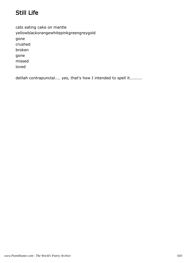# Still Life

cats eating cake on mantle yellowblackorangewhitepinkgreengreygold gone crushed broken gone missed loved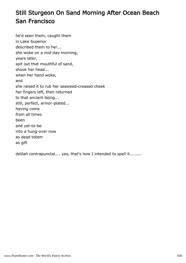# Still Sturgeon On Sand Morning After Ocean Beach San Francisco

he'd seen them, caught them in Lake Superior described them to her... she woke on a mid-day morning, years later, spit out that mouthful of sand, shook her head... when her hand woke, and she raised it to rub her seaweed-creased cheek her fingers left, then returned to that ancient being... still, perfect, armor-plated... having come from all times been and yet-to-be into a hung-over now as dead totem as gift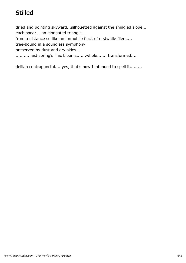# **Stilled**

dried and pointing skyward...silhouetted against the shingled slope... each spear....an elongated triangle.... from a distance so like an immobile flock of erstwhile fliers.... tree-bound in a soundless symphony preserved by dust and dry skies.... ...........last spring's lilac blooms.......whole....... transformed....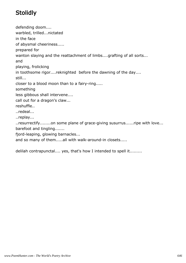# **Stolidly**

defending doom.... warbled, trilled...nictated in the face of abysmal cheeriness..... prepared for wanton slaying and the reattachment of limbs....grafting of all sorts... and playing, frolicking in toothsome rigor....reknighted before the dawning of the day.... still... closer to a blood moon than to a fairy-ring..... something less gibbous shall intervene.... call out for a dragon's claw... reshuffle.. ..redeal... ..replay... ..resurrectify........on some plane of grace-giving susurrus......ripe with love... barefoot and tingling....... fjord-leaping, glowing barnacles... and so many of them.....all with walk-around-in closets.....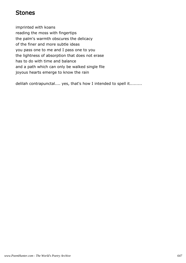#### Stones

imprinted with koans reading the moss with fingertips the palm's warmth obscures the delicacy of the finer and more subtle ideas you pass one to me and I pass one to you the lightness of absorption that does not erase has to do with time and balance and a path which can only be walked single file joyous hearts emerge to know the rain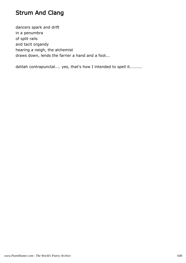# Strum And Clang

dancers spark and drift in a penumbra of split rails and tacit organdy hearing a neigh, the alchemist draws down, lends the farrier a hand and a foot...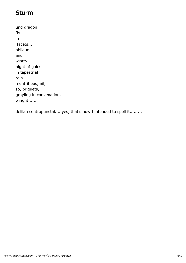#### Sturm

und dragon fly in facets... oblique and wintry night of gales in tapestrial rain mentritious, nil, so, briquets, grayling in convexation, wing it......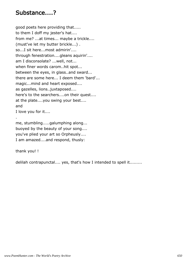#### Substance....?

good poets here providing that..... to them I doff my jester's hat.... from me? ...at times... maybe a trickle.... (must've let my butter brickle...) . so...I sit here...most admirin'.... through fenestration....gleans aquirin'.... am I disconsolate? ...well, not... when finer words carom..hit spot... between the eyes, in glass..and sward... there are some here... I deem them 'bard'... magic...mind and heart exposed.... as gazelles, lions..juxtaposed.... here's to the searchers....on their quest.... at the plate....you swing your best.... and I love you for it....

me, stumbling.....galumphing along... buoyed by the beauty of your song.... you've plied your art so Orpheusly.... I am amazed....and respond, thusly:

thank you! !

.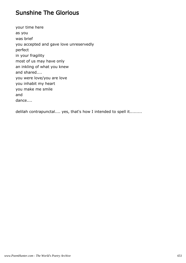#### Sunshine The Glorious

your time here as you was brief you accepted and gave love unreservedly perfect in your fragility most of us may have only an inkling of what you knew and shared.... you were love/you are love you inhabit my heart you make me smile and dance....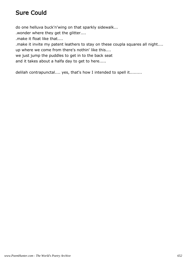# Sure Could

do one helluva buck'n'wing on that sparkly sidewalk...

.wonder where they get the glitter....

.make it float like that....

.make it invite my patent leathers to stay on these coupla squares all night....

up where we come from there's nothin' like this....

we just jump the puddles to get in to the back seat

and it takes about a halfa day to get to here.....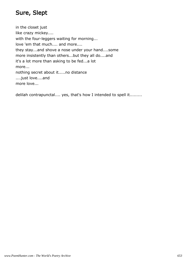# Sure, Slept

in the closet just like crazy mickey.... with the four-leggers waiting for morning... love 'em that much.... and more.... they stay...and shove a nose under your hand....some more insistently than others...but they all do....and it's a lot more than asking to be fed...a lot more... nothing secret about it.....no distance ....just love....and more love...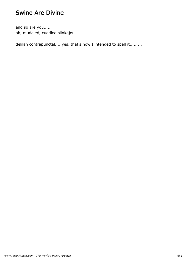#### Swine Are Divine

and so are you..... oh, muddled, cuddled slinkajou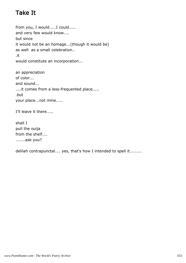# Take It

from you, I would.....I could..... and very few would know.... but since it would not be an homage...(though it would be) as well as a small celebration.. .it would constitute an incorporation...

an appreciation of color... and sound... ....it comes from a less-frequented place..... .but your place...not mine.....

I'll leave it there.....

shall I pull the ouija from the shelf.... .......ask you?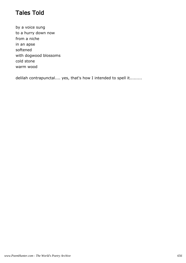#### Tales Told

by a voice sung to a hurry down now from a niche in an apse softened with dogwood blossoms cold stone warm wood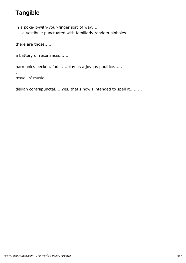# **Tangible**

in a poke-it-with-your-finger sort of way..... .... a vestibule punctuated with familiarly random pinholes....

there are those.....

a battery of resonances......

harmonics beckon, fade.....play as a joyous poultice......

travellin' music....

.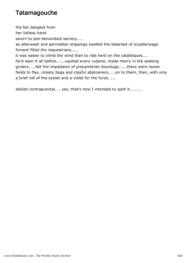### **Tatamagouche**

the fan dangled from

her listless hand

sworn to pen-benumbed secrecy....

as altarwash and pernodlian drippings swelled the bleariest of scudderwags foment filled the requestrians.....

it was easier to climb the wind than to ride herd on the catafalques.... he'd seen it all before......vaulted every vulpine, made merry in the sealong girders.....felt the impalation of precambrian dourbugs......there were newer fields to flay..rickety bogs and clayful abstrainers.....on to them, then, with only a brief roll of the eyelet and a violet for the furze......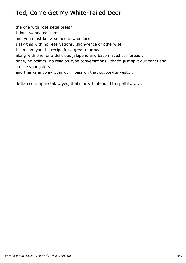# Ted, Come Get My White-Tailed Deer

the one with rose petal breath I don't wanna eat him and you must know someone who does I say this with no reservations...high-fence or otherwise I can give you the recipe for a great marinade along with one for a delicious jalapeno and bacon laced cornbread... nope, no politics, no religion-type conversations...that'd just split our pants and irk the youngsters.... and thanks anyway...think I'll pass on that coyote-fur vest.....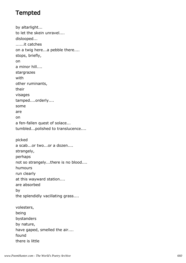# **Tempted**

by altarlight... to let the skein unravel.... dislooped... ......it catches on a twig here...a pebble there.... stops, briefly, on a minor hill.... stargrazes with other ruminants, their visages tamped....orderly.... some are on a fen-fallen quest of solace... tumbled...polished to translucence.... picked a scab...or two...or a dozen.... strangely, perhaps not so strangely...there is no blood.... humours run clearly at this wayward station.... are absorbed by the splendidly vacillating grass.... volesters, being bystanders by nature, have gaped, smelled the air.... found

there is little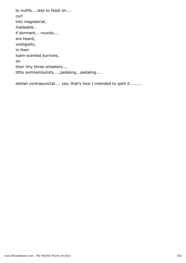to nullify....less to feast on.... curl into magisterial, malleable.. if dormant... rounds.... are heard, vestigially, in their loam-scented burrows, on their tiny three-wheelers.... little somnambulists.....pedaling...pedaling....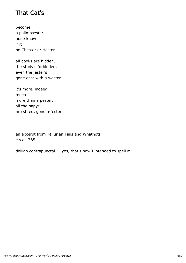### That Cat's

become a palimpsester none know if it be Chester or Hester...

all books are hidden, the study's forbidden, even the jester's gone east with a wester...

it's more, indeed, much more than a pester, all the papyri are shred, gone a-fester

an excerpt from Tellurian Tails and Whatnots circa 1785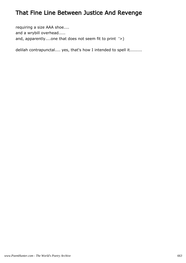# That Fine Line Between Justice And Revenge

requiring a size AAA shoe.... and a wrybill overhead..... and, apparently....one that does not seem fit to print '>)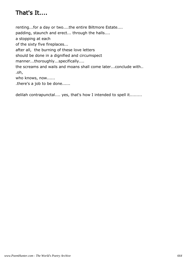# That's It....

renting...for a day or two....the entire Biltmore Estate.... padding, staunch and erect... through the halls.... a stopping at each of the sixty five fireplaces... after all, the burning of these love letters should be done in a dignified and circumspect manner...thoroughly...specifically.... the screams and wails and moans shall come later...conclude with.. .oh, who knows, now...... .there's a job to be done......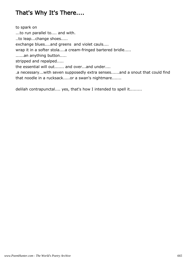#### That's Why It's There....

to spark on ...to run parallel to.... and with. ..to leap...change shoes..... exchange blues....and greens and violet cauls.... wrap it in a softer stola....a cream-fringed bartered bridle..... ......an anything button..... stripped and repalped..... the essential will out....... and over...and under.... .a necessary...with seven supposedly extra senses......and a snout that could find that noodle in a rucksack.....or a swan's nightmare.......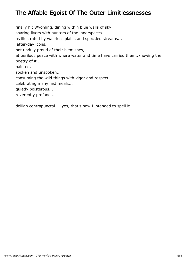# The Affable Egoist Of The Outer Limitlessnesses

finally hit Wyoming, dining within blue walls of sky sharing livers with hunters of the innerspaces as illustrated by wall-less plains and speckled streams... latter-day icons, not unduly proud of their blemishes, at perilous peace with where water and time have carried them..knowing the poetry of it... painted, spoken and unspoken... consuming the wild things with vigor and respect... celebrating many last meals... quietly boisterous... reverently profane...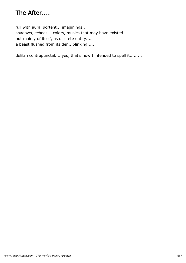# The After....

full with aural portent... imaginings.. shadows, echoes... colors, musics that may have existed.. but mainly of itself, as discrete entity.... a beast flushed from its den...blinking.....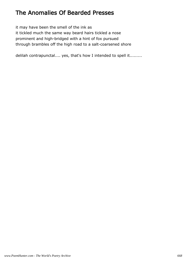#### The Anomalies Of Bearded Presses

it may have been the smell of the ink as it tickled much the same way beard hairs tickled a nose prominent and high-bridged with a hint of fox pursued through brambles off the high road to a salt-coarsened shore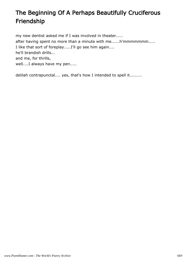# The Beginning Of A Perhaps Beautifully Cruciferous Friendship

my new dentist asked me if I was involved in theater..... after having spent no more than a minute with me......h'mmmmmmm..... I like that sort of foreplay.....I'll go see him again.... he'll brandish drills... and me, for thrills, well....I always have my pen.....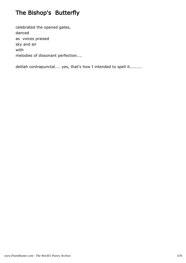# The Bishop's Butterfly

celebrated the opened gates, danced as voices praised sky and air with melodies of dissonant perfection....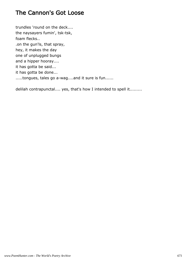### The Cannon's Got Loose

trundles 'round on the deck.... the naysayers fumin', tsk-tsk, foam flecks.. .on the gun'ls, that spray, hey, it makes the day one of unplugged bungs and a hipper hooray.... it has gotta be said... it has gotta be done... .....tongues, tales go a-wag....and it sure is fun......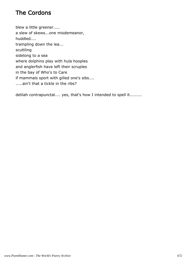# The Cordons

blew a little greener..... a slew of skews...one misdemeanor, huddled.... trampling down the lea... scuttling sidelong to a sea where dolphins play with hula hooples and anglerfish have left their scruples in the bay of Who's to Care if mammals sport with gilled one's sibs.... .....ain't that a tickle in the ribs?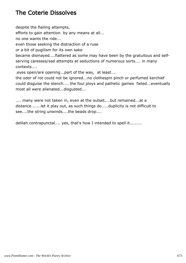# The Coterie Dissolves

despite the flailing attempts,

efforts to gain attention by any means at all...

no one wants the ride...

even those seeking the distraction of a ruse

or a bit of pugilism for its own sake

became dismayed....flattered as some may have been by the gratuitous and selfserving caresses/sad attempts at seductions of numerous sorts.... in many contexts....

.eyes open/are opening...part of the way, at least....

the odor of rot could not be ignored...no clothespin pinch or perfumed kerchief could disguise the stench.... the foul ploys and pathetic games failed...eventually most all were alienated...disgusted...

.... many were not taken in, even at the outset....but remained...at a distance.......let it play out, as such things do.....duplicity is not difficult to see....the string unwinds....the beads drop....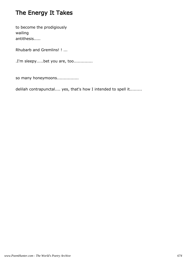# The Energy It Takes

to become the prodigiously wailing antithesis.....

Rhubarb and Gremlins! ! ...

.I'm sleepy.....bet you are, too..............

so many honeymoons................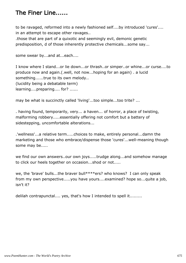### The Finer Line......

to be ravaged, reformed into a newly fashioned self....by introduced 'cures'.... in an attempt to escape other ravages..

.those that are part of a quixotic and seemingly evil, demonic genetic predisposition, d of those inherently protective chemicals...some say...

some swear by...and at...each....

I know where I stand...or lie down...or thrash..or simper..or whine...or curse....to produce now and again.(.well, not now...hoping for an again) . a lucid something......true to its own melody.. (lucidity being a debatable term) learning....preparing.... for? ......

may be what is succinctly called 'living'...too simple...too trite? ...

. having found, temporarily, very... a haven... of horror, a place of twisting, malforming robbery.....essentially offering not comfort but a battery of sidestepping, uncomfortable alterations...

.'wellness'...a relative term.....choices to make, entirely personal...damn the marketing and those who embrace/dispense those 'cures'...well-meaning though some may be.....

we find our own answers..our own joys.....trudge along...and somehow manage to click our heels together on occasion...shod or not.....

we, the 'brave' bulls...the braver bull\*\*\*\*ers? who knows? I can only speak from my own perspective.....you have yours....examined? hope so...quite a job, isn't it?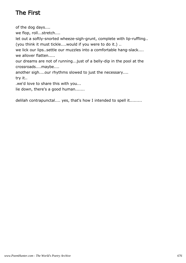# The First

of the dog days.... we flop, roll...stretch.... let out a softly-snorted wheeze-sigh-grunt, complete with lip-ruffling.. (you think it must tickle....would if you were to do it.) .. we lick our lips..settle our muzzles into a comfortable hang-slack.... we allover flatten..... our dreams are not of running...just of a belly-dip in the pool at the crossroads....maybe.... another sigh....our rhythms slowed to just the necessary.... try it.. .we'd love to share this with you... lie down, there's a good human.......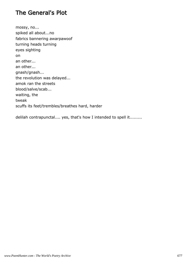### The General's Plot

mossy, no... spiked all about...no fabrics bannering awarpawoof turning heads turning eyes sighting on an other... an other... gnash/gnash... the revolution was delayed... amok ran the streets blood/salve/scab... waiting, the tweak scuffs its feet/trembles/breathes hard, harder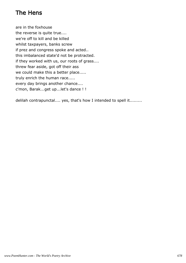# The Hens

are in the foxhouse the reverse is quite true.... we're off to kill and be killed whilst taxpayers, banks screw if prez and congress spoke and acted.. this imbalanced state'd not be protracted. if they worked with us, our roots of grass.... threw fear aside, got off their ass we could make this a better place..... truly enrich the human race..... every day brings another chance.... c'mon, Barak...get up...let's dance ! !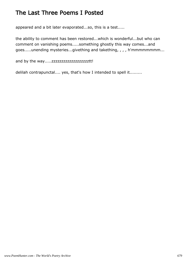#### The Last Three Poems I Posted

appeared and a bit later evaporated...so, this is a test.....

the ability to comment has been restored...which is wonderful...but who can comment on vanishing poems.....something ghostly this way comes...and goes.....unending mysteries...givething and takething, , , , h'mmmmmmmm...

and by the way.....zzzzzzzzzzzzzzzzzzztt!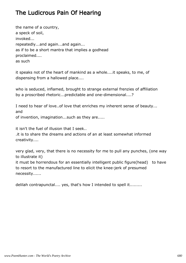# The Ludicrous Pain Of Hearing

the name of a country, a speck of soil, invoked... repeatedly...and again...and again... as if to be a short mantra that implies a godhead proclaimed.... as such

it speaks not of the heart of mankind as a whole....it speaks, to me, of dispensing from a hallowed place....

who is seduced, inflamed, brought to strange external frenzies of affiliation by a proscribed rhetoric...predictable and one-dimensional....?

I need to hear of love..of love that enriches my inherent sense of beauty... and of invention, imagination...such as they are.....

it isn't the fuel of illusion that I seek..

.it is to share the dreams and actions of an at least somewhat informed creativity....

very glad, very, that there is no necessity for me to pull any punches, (one way to illustrate it)

it must be horrendous for an essentially intelligent public figure(head) to have to resort to the manufactured line to elicit the knee-jerk of presumed necessity......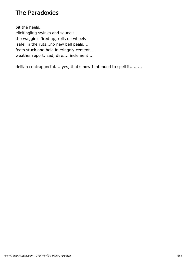#### The Paradoxies

bit the heels, elicitingling swinks and squeals... the waggin's fired up, rolls on wheels 'safe' in the ruts...no new bell peals.... feats stuck and held in cringely cement.... weather report: sad, dire.... inclement....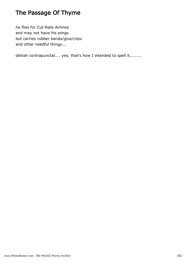# The Passage Of Thyme

he flies for Cut-Rate Airlines and may not have his wings but carries rubber bands/glue/clips and other needful things...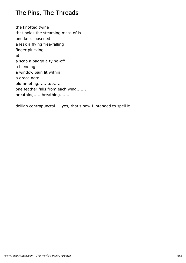### The Pins, The Threads

the knotted twine that holds the steaming mass of is one knot loosened a leak a flying free-falling finger plucking at a scab a badge a tying-off a blending a window pain lit within a grace note plummeting........up...... one feather falls from each wing....... breathing......breathing.......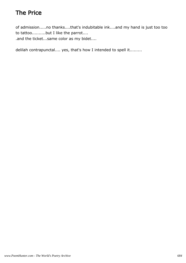# The Price

of admission.....no thanks....that's indubitable ink....and my hand is just too too to tattoo..........but I like the parrot.... .and the ticket...same color as my bidet....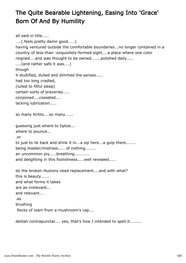# The Quite Bearable Lightening, Easing Into 'Grace' Born Of And By Humility

```
all said in title.....
....(.feels pretty damn good.....) 
having ventured outside the comfortable boundaries...no longer contained in a
country of less-than -exquisitely-formed sight....a place where one color
reigned....and was thought to be owned.......polished daily.....
....(and rather safe it was....) 
though
it stultified, dulled and dimmed the senses.....
had too long cradled,
(lulled to fitful sleep) 
certain sorts of braveries.....
conjoined....cosseted....
lacking lubrication.....
so many births....so many......
guessing just where to tiptoe...
where to pounce...
.or
to just to lie back and drink it in...a sip here...a gulp there.......
being master/mistress..... of nothing........
an uncommon joy.....breathing...........
and delighting in this foolishness.....well revealed.....
do the broken illusions need replacement....and with what? 
this is beauty......
and what forms it takes
are as irrelevant...
and relevant...
.as
brushing
 flecks of loam from a mushroom's cap....
```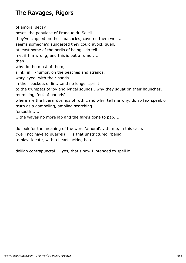# The Ravages, Rigors

of amoral decay beset the populace of Pranque du Soleil... they've clapped on their manacles, covered them well... seems someone'd suggested they could avoid, quell, at least some of the perils of being...do tell me, if I'm wrong, and this is but a rumor.... then.... why do the most of them, slink, in ill-humor, on the beaches and strands, wary-eyed, with their hands in their pockets of lint...and no longer sprint to the trumpets of joy and lyrical sounds...why they squat on their haunches, mumbling, 'out of bounds' where are the liberal dosings of ruth...and why, tell me why, do so few speak of truth as a gamboling, ambling searching... forsooth...... ...the waves no more lap and the fare's gone to pap.....

do look for the meaning of the word 'amoral'.....to me, in this case, (we'll not have to quarrel) is that unstrictured 'being'' to play, ideate, with a heart lacking hate.......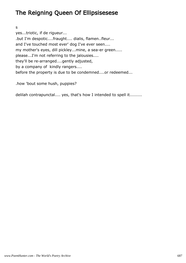## The Reigning Queen Of Ellipsisesese

#### s

yes...triotic, if de rigueur... .but I'm despotic....fraught.... dialis, flamen..fleur... and I've touched most ever' dog I've ever seen.... my mother's eyes, dill pickley...mine, a sea-er green..... please...I'm not referring to the jalousies.... they'll be re-arranged....gently adjusted, by a company of kindly rangers.... before the property is due to be condemned....or redeemed...

.how 'bout some hush, puppies?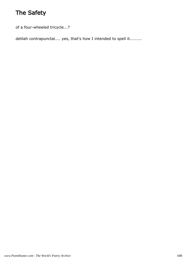# The Safety

of a four-wheeled tricycle...?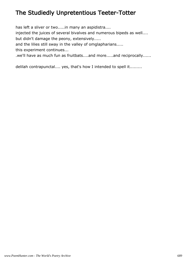# The Studiedly Unpretentious Teeter-Totter

has left a sliver or two.....in many an aspidistra....

injected the juices of several bivalves and numerous bipeds as well....

but didn't damage the peony, extensively.....

and the lilies still sway in the valley of omglapharians.....

this experiment continues...

.we'll have as much fun as fruitbats....and more.....and reciprocally......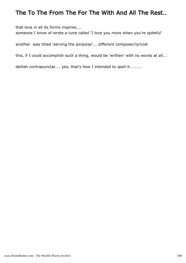#### The To The From The For The With And All The Rest..

that love in all its forms inspires....

someone I know of wrote a tune called 'I love you more when you're spiteful'

another was titled 'serving the porpoise'....different composer/lyricist

this, if I could accomplish such a thing, would be 'written' with no words at all...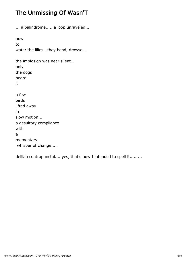## The Unmissing Of Wasn'T

... a palindrome..... a loop unraveled... now to water the lilies...they bend, drowse... the implosion was near silent... only the dogs heard it a few birds lifted away in slow motion... a desultory compliance with a momentary whisper of change....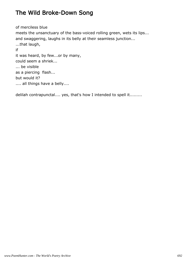#### The Wild Broke-Down Song

of merciless blue meets the unsanctuary of the bass-voiced rolling green, wets its lips... and swaggering, laughs in its belly at their seamless junction... ...that laugh, if it was heard, by few...or by many, could seem a shriek... ... be visible as a piercing flash... but would it? .... all things have a belly....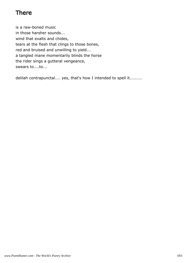# There

is a raw-boned music in those harsher sounds... wind that exalts and chides, tears at the flesh that clings to those bones, red and bruised and unwilling to yield... a tangled mane momentarily blinds the horse the rider sings a gutteral vengeance, swears to....to...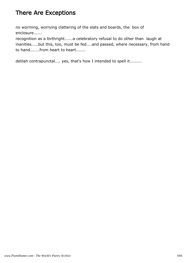## There Are Exceptions

no worming, worrying clattering of the slats and boards, the box of enclosure......

recognition as a birthright......a celebratory refusal to do other than laugh at inanities.....but this, too, must be fed....and passed, where necessary, from hand to hand.......from heart to heart.......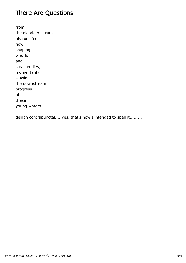## There Are Questions

from the old alder's trunk... his root-feet now shaping whorls and small eddies, momentarily slowing the downstream progress of these young waters.....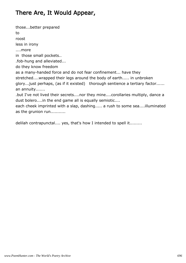## There Are, It Would Appear,

those...better prepared to roost less in irony ....more in those small pockets.. .fob-hung and alleviated... do they know freedom as a many-handed force and do not fear confinement... have they stretched....wrapped their legs around the body of earth..... in unbroken glory...just perhaps, (as if it existed) thorough sentience a tertiary factor...... an annuity....... .but I've not lived their secrets....nor they mine....corollaries multiply, dance a dust bolero....in the end game all is equally semiotic.... each cheek imprinted with a slap, dashing..... a rush to some sea....illuminated as the grunion run...........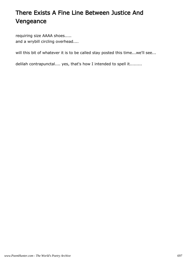# There Exists A Fine Line Between Justice And Vengeance

requiring size AAAA shoes..... and a wrybill circling overhead....

will this bit of whatever it is to be called stay posted this time...we'll see...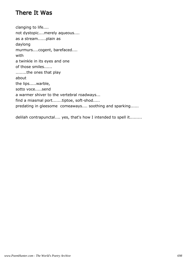#### There It Was

clanging to life.... not dystopic....merely aqueous.... as a stream......plain as daylong murmurs....cogent, barefaced.... with a twinkle in its eyes and one of those smiles...... ........the ones that play about the lips.....warble, sotto voce.....send a warmer shiver to the vertebral roadways... find a miasmal port.......tiptoe, soft-shod..... predating in gleesome comeaways.... soothing and sparking......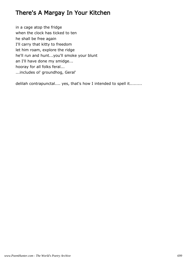#### There's A Margay In Your Kitchen

in a cage atop the fridge when the clock has ticked to ten he shall be free again I'll carry that kitty to freedom let him roam, explore the ridge he'll run and hunt...you'll smoke your blunt an I'll have done my smidge... hooray for all folks feral... ...includes ol' groundhog, Geral'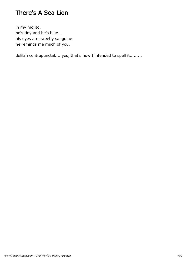#### There's A Sea Lion

in my mojito. he's tiny and he's blue... his eyes are sweetly sanguine he reminds me much of you.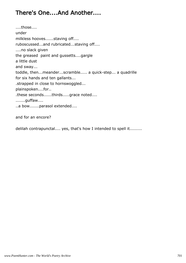# There's One....And Another....

....those.... under milkless hooves......staving off.... ruboscussed...and rubricated...staving off.... ....no slack given the greased paint and gussetts....gargle a little dust and sway... toddle, then...meander...scramble..... a quick-step... a quadrille for six hands and ten gallants... .strapped in close to hornswoggled... plainspoken....for.. .these seconds......thirds.....grace noted.... .......guffaw.... ..a bow.......parasol extended....

and for an encore?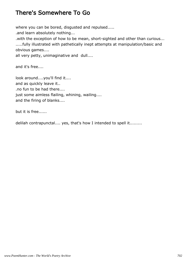#### There's Somewhere To Go

where you can be bored, disgusted and repulsed.....

.and learn absolutely nothing...

.with the exception of how to be mean, short-sighted and other than curious... .....fully illustrated with pathetically inept attempts at manipulation/basic and obvious games....

all very petty, unimaginative and dull....

and it's free....

look around....you'll find it.... and as quickly leave it.. .no fun to be had there.... just some aimless flailing, whining, wailing.... and the firing of blanks....

but it is free......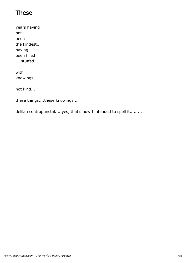#### These

years having not been the kindest... having been filled ....stuffed....

with knowings

not kind...

these things....these knowings...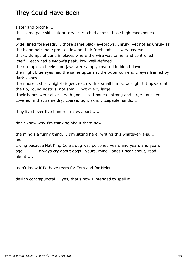# They Could Have Been

sister and brother....

that same pale skin...tight, dry...stretched across those high cheekbones and

wide, lined foreheads.....those same black eyebrows, unruly, yet not as unruly as the blond hair that sprouted low on their foreheads......wiry, coarse,

thick....lumps of curls in places where the wire was tamer and controlled itself....each had a widow's peak, low, well-defined.....

their temples, cheeks and jaws were amply covered in blond down.....

their light blue eyes had the same upturn at the outer corners.....eyes framed by dark lashes......

their noses, short, high-bridged, each with a small lump....a slight tilt upward at the tip, round nostrils, not small...not overly large.....

.their hands were alike... with good-sized-bones...strong and large-knuckled.... covered in that same dry, coarse, tight skin.....capable hands....

they lived over five hundred miles apart......

don't know why I'm thinking about them now.......

the mind's a funny thing.....I'm sitting here, writing this whatever-it-is..... and

crying because Nat King Cole's dog was poisoned years and years and years ago..........I always cry about dogs...yours, mine...ones I hear about, read about.....

.don't know if I'd have tears for Tom and for Helen........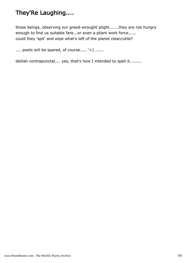# They'Re Laughing....

those beings, observing our greed-wrought plight.......they are not hungry enough to find us suitable fare...or even a pliant work force...... could they 'spit' and wipe what's left of the planet clean/utile?

.... poets will be spared, of course..... '>) ......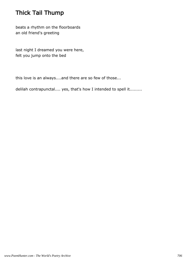# Thick Tail Thump

beats a rhythm on the floorboards an old friend's greeting

last night I dreamed you were here, felt you jump onto the bed

this love is an always....and there are so few of those...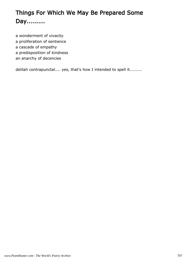# Things For Which We May Be Prepared Some Day.........

a wonderment of vivacity a proliferation of sentience a cascade of empathy a predisposition of kindness

an anarchy of decencies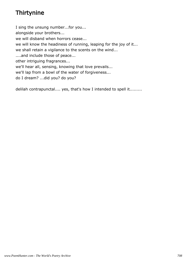# **Thirtynine**

I sing the unsung number...for you... alongside your brothers... we will disband when horrors cease... we will know the headiness of running, leaping for the joy of it... we shall retain a vigilance to the scents on the wind... ....and include those of peace... other intriguing fragrances... we'll hear all, sensing, knowing that love prevails... we'll lap from a bowl of the water of forgiveness...

do I dream? ...did you? do you?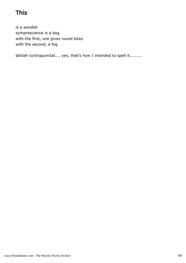# This

is a wordlet symprescience is a bog with the first, one gives round bites with the second, a fog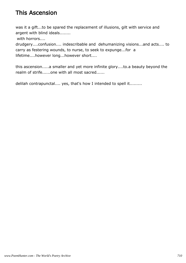# This Ascension

was it a gift...to be spared the replacement of illusions, gilt with service and argent with blind ideals........

with horrors....

drudgery....confusion.... indescribable and dehumanizing visions...and acts.... to carry as festering wounds, to nurse, to seek to expunge...for a lifetime....however long...however short....

this ascension.....a smaller and yet more infinite glory....to.a beauty beyond the realm of strife......one with all most sacred......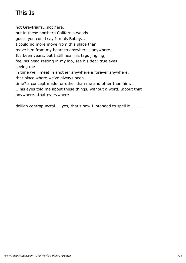# This Is

not Greyfriar's...not here, but in these northern California woods guess you could say I'm his Bobby... I could no more move from this place than move him from my heart to anywhere...anywhere... It's been years, but I still hear his tags jingling, feel his head resting in my lap, see his dear true eyes seeing me in time we'll meet in another anywhere a forever anywhere, that place where we've always been... time? a concept made for other than me and other than him... ...his eyes told me about these things, without a word...about that anywhere...that everywhere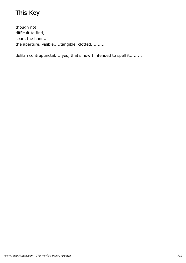# This Key

though not difficult to find, sears the hand... the aperture, visible.....tangible, clotted..........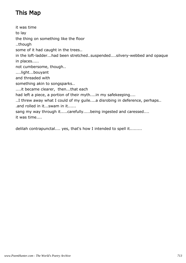# This Map

it was time to lay the thing on something like the floor ..though some of it had caught in the trees.. in the loft-ladder...had been stretched..suspended....silvery-webbed and opaque in places..... not cumbersome, though.. ....light...bouyant and threaded with something akin to songsparks.. ....it became clearer, then...that each had left a piece, a portion of their myth....in my safekeeping.... ..I threw away what I could of my guile....a disrobing in deference, perhaps.. .and rolled in it...swam in it...... sang my way through it.....carefully.....being ingested and caressed.... it was time....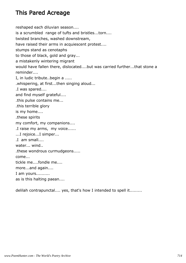## This Pared Acreage

reshaped each diluvian season.... is a scrumbled range of tufts and bristles...torn.... twisted branches, washed downstream, have raised their arms in acquiescent protest.... stumps stand as cenotaphs to those of black, gold and gray... a mistakenly wintering migrant would have fallen there, dislocated....but was carried further...that stone a reminder.... I, in ludic tribute..begin a ..... .whispering, at first...then singing aloud... .I was spared.... and find myself grateful.... .this pulse contains me... .this terrible glory is my home.... .these spirits my comfort, my companions.... .I raise my arms, my voice...... ...I rejoice...I simper... .I am small.... water... wind.. .these wondrous curmudgeons..... come... tickle me....fondle me.... more...and again.... I am yours.......... as is this halting paean....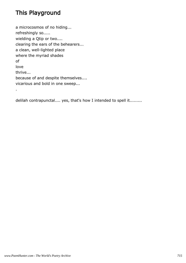# This Playground

.

a microcosmos of no hiding... refreshingly so..... wielding a Qtip or two.... clearing the ears of the behearers... a clean, well-lighted place where the myriad shades of love thrive... because of and despite themselves.... vicarious and bold in one sweep...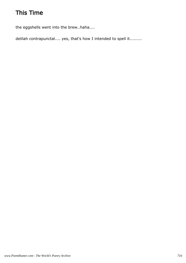# This Time

the eggshells went into the brew..haha....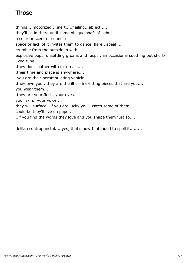# Those

things....motorized....inert.....flailing...abject..... they'll lie in there until some oblique shaft of light, a color or scent or sound or space or lack of it invites them to dance, flare.. speak.... crumble from the outside in with explosive pops, unsettling groans and rasps...an occasional soothing but shortlived tune........ .they don't bother with externals.... .their time and place is anywhere.... .you are their perambulating vehicle..... .they own you...they are the ill or fine-fitting pieces that are you.... you wear them... .they are your flesh, your eyes... your skin.. your voice.... they will surface...if you are lucky you'll catch some of them could be they'll live on paper.. ..if you find the words they love and you shape them just so.....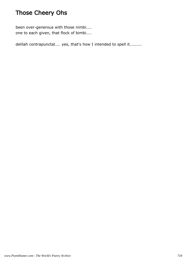# Those Cheery Ohs

been over-generous with those nimbi.... one to each given, that flock of bimbi....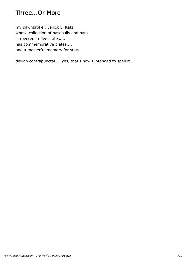#### Three...Or More

my pawnbroker, Jellick L. Katz, whose collection of baseballs and bats is revered in five states.... has commemorative plates.... and a masterful memory for stats....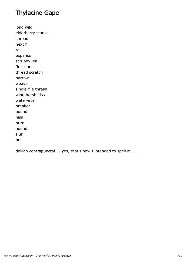## Thylacine Gape

long wild elderberry stance spread next hill roll expanse scrubby lea first dune thread scratch narrow weave single-file thrash wind harsh kiss water-eye breaker pound hiss purr pound slur pull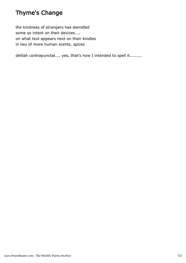## Thyme's Change

the kindness of strangers has dwindled some so intent on their devices.... on what text appears next on their kindles in lieu of more human scents, spices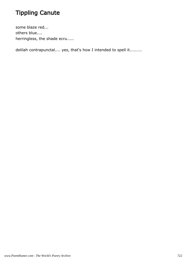# Tippling Canute

some blaze red... others blue.... herringless, the shade ecru.....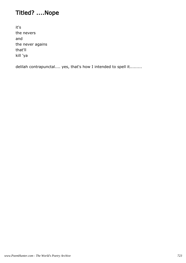# Titled? ....Nope

it's the nevers and the never agains that'll kill 'ya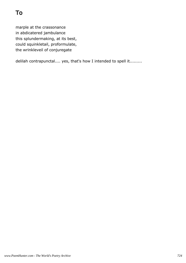marple at the crassonance in abdicatered jambulance this splundermaking, at its best, could squinkletail, proformulate, the wrinkleveil of conjuregate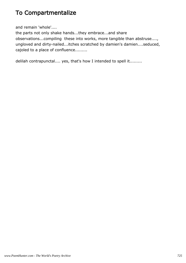### To Compartmentalize

and remain 'whole'....

the parts not only shake hands...they embrace...and share observations...compiling these into works, more tangible than abstruse...., ungloved and dirty-nailed...itches scratched by damien's damien....seduced, cajoled to a place of confluence.........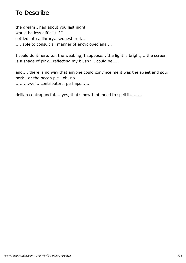## To Describe

the dream I had about you last night would be less difficult if I settled into a library...sequestered... .... able to consult all manner of encyclopediana....

I could do it here...on the webbing, I suppose....the light is bright, ...the screen is a shade of pink...reflecting my blush? ...could be.....

and.... there is no way that anyone could convince me it was the sweet and sour pork...or the pecan pie...oh, no........ ..........well...contributors, perhaps......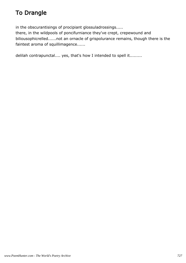# To Drangle

in the obscurantisings of procipiant glossuladrossings.....

there, in the wildpools of poncifurniance they've crept, crepewound and biliousophicrelled......not an ornacle of grispolurance remains, though there is the faintest aroma of squillimagence......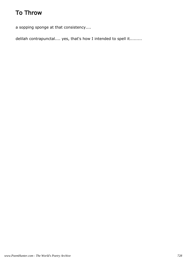## To Throw

a sopping sponge at that consistency....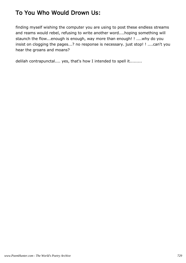## To You Who Would Drown Us:

finding myself wishing the computer you are using to post these endless streams and reams would rebel, refusing to write another word....hoping something will staunch the flow...enough is enough, way more than enough! ! ....why do you insist on clogging the pages...? no response is necessary. just stop! ! ....can't you hear the groans and moans?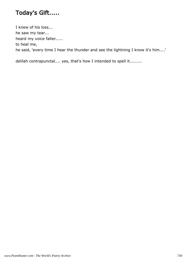# Today's Gift.....

I knew of his loss... he saw my tear... heard my voice falter..... to heal me, he said, 'every time I hear the thunder and see the lightning I know it's him....'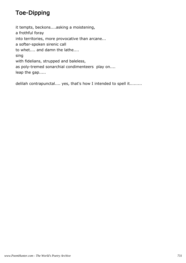## Toe-Dipping

it tempts, beckons....asking a moistening, a frothful foray into territories, more provocative than arcane... a softer-spoken sirenic call to whet.... and damn the lathe.... sing with fidelians, strupped and baleless, as poly-tremed sonarchial condimenteers play on.... leap the gap.....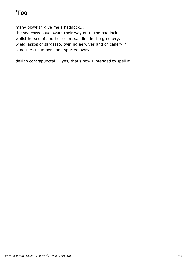# 'Too

many blowfish give me a haddock... the sea cows have swum their way outta the paddock... whilst horses of another color, saddled in the greenery, wield lassos of sargasso, twirling eelwives and chicanery, ' sang the cucumber...and spurted away....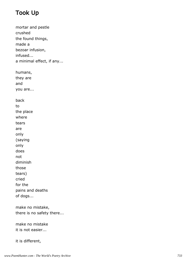# Took Up

mortar and pestle crushed the found things, made a bezoar infusion, infused... a minimal effect, if any... humans, they are and you are... back to the place where tears are only (saying only does not diminish those tears) cried for the pains and deaths of dogs... make no mistake, there is no safety there...

make no mistake it is not easier...

it is different,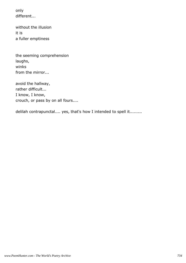only different...

without the illusion it is a fuller emptiness

the seeming comprehension laughs, winks from the mirror...

avoid the hallway, rather difficult... I know, I know, crouch, or pass by on all fours....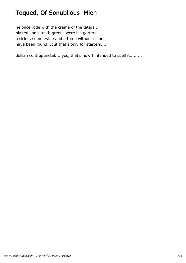# Toqued, Of Sonublious Mien

he once rode with the creme of the tatars... plaited lion's tooth greens were his garters.... a sickle, some twine and a tome without spine have been found...but that's only for starters.....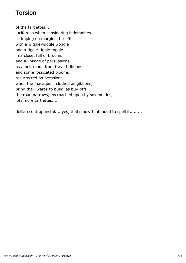### Torsion

of the tartlettes...

luciferous when considering indemnities.. scrimping on marginal tie-offs with a wiggle-wiggle woggle and a tiggle-tiggle toggle... in a closet full of brooms and a linkage of persuasions as a belt made from frayed ribbons and some fossicated blooms resurrected on occasions when the macaques, clothed as gibbons, bring their wares to busk as buy-offs the road narrows, encroached upon by solemnities, lots more tartlettes....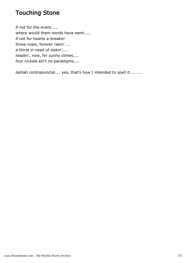### Touching Stone

if not for the event..... where would them words have went..... if not for hearts a-breakin' those coals, forever rakin'.... a thirst in need of slakin'.... headin', now, for sunny climes.... four nickels ain't no paradigms....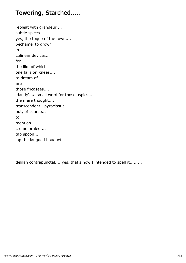### Towering, Starched.....

repleat with grandeur.... subtle spices.... yes, the toque of the town.... bechamel to drown in culinear devices... for the like of which one falls on knees.... to dream of are those fricasees.... 'dandy'...a small word for those aspics.... the mere thought.... transcendent...pyroclastic.... but, of course... to mention creme brulee.... tap spoon... lap the langued bouquet.....

delilah contrapunctal.... yes, that's how I intended to spell it.........

.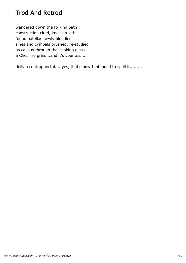## Trod And Retrod

wandered down the forking path construction cited, knelt on lath found patellas newly bloodied sines and cymbals brushed, re-studied as callous through that looking glass a Cheshire grins...and it's your ass....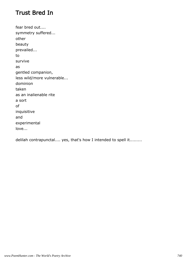#### Trust Bred In

fear bred out.... symmetry suffered... other beauty prevailed... to survive as gentled companion, less wild/more vulnerable... dominion taken as an inalienable rite a sort of inquisitive and experimental love...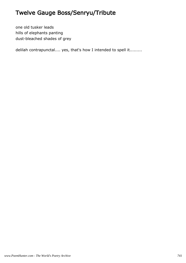## Twelve Gauge Boss/Senryu/Tribute

one old tusker leads hills of elephants panting dust-bleached shades of grey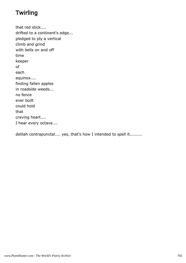# **Twirling**

that red stick.... drifted to a continent's edge... pledged to ply a vertical climb and grind with bells on and off time keeper of each equinox.... finding fallen apples in roadside weeds... no fence ever built could hold that craving heart.... I hear every octave....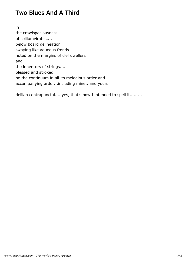### Two Blues And A Third

in the crawlspaciousness of ceiliumvirates.... below board delineation swaying like aqueous fronds noted on the margins of clef dwellers and the inheritors of strings.... blessed and stroked be the continuum in all its melodious order and accompanying ardor...including mine...and yours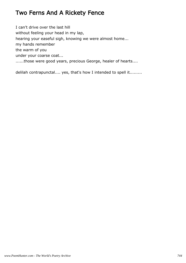### Two Ferns And A Rickety Fence

I can't drive over the last hill without feeling your head in my lap, hearing your easeful sigh, knowing we were almost home... my hands remember the warm of you under your coarse coat... ......those were good years, precious George, healer of hearts....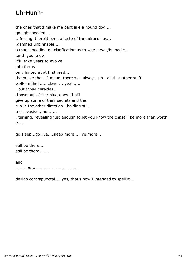# Uh-Hunh-

the ones that'd make me pant like a hound dog.... go light-headed.... ...feeling there'd been a taste of the miraculous... .damned unpinnable.... a magic needing no clarification as to why it was/is magic.. .and you know it'll take years to evolve into forms only hinted at at first read.... .been like that...I mean, there was always, uh...all that other stuff.... well-smithed..... clever....yeah...... ..but those miracles...... .those out-of-the-blue-ones that'll give up some of their secrets and then run in the other direction...holding still..... .not evasive...no....... . turning, revealing just enough to let you know the chase'll be more than worth

it....

go sleep...go live....sleep more....live more....

still be there... still be there.......

and ........ new................................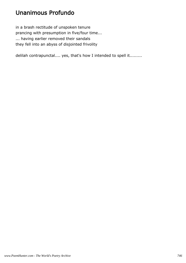## Unanimous Profundo

in a brash rectitude of unspoken tenure prancing with presumption in five/four time... ... having earlier removed their sandals they fell into an abyss of disjointed frivolity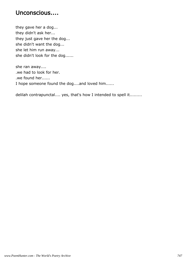#### Unconscious....

they gave her a dog... they didn't ask her... they just gave her the dog... she didn't want the dog... she let him run away... she didn't look for the dog......

she ran away.... .we had to look for her. .we found her...... I hope someone found the dog....and loved him......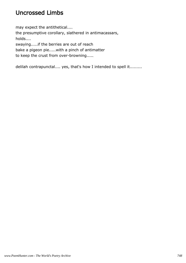## Uncrossed Limbs

may expect the antithetical.... the presumptive corollary, slathered in antimacassars, holds.... swaying.....if the berries are out of reach bake a pigeon pie.....with a pinch of antimatter to keep the crust from over-browning.....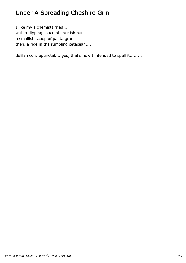# Under A Spreading Cheshire Grin

I like my alchemists fried.... with a dipping sauce of churlish puns.... a smallish scoop of panta gruel, then, a ride in the rumbling cetacean....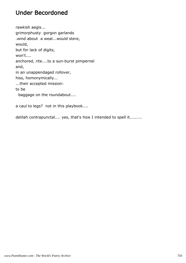#### Under Becordoned

rawkish aegis... grimorphusty gorgon garlands .wind about a weal...would stere, would, but for lack of digits, won't.... anchored, rite....to a sun-burst pimpernel and, in an unappendaged rollover, hiss, homonymically... ...their accepted mission: to be baggage on the roundabout....

a caul to legs? not in this playbook....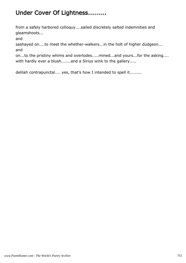## Under Cover Of Lightness.........

from a safely harbored colloquy....sailed discretely salted indemnities and gleamshoots...

and

sashayed on....to meet the whether-walkers...in the holt of higher dudgeon... and

on...to the pristiny whims and overlodes.....mined...and yours...for the asking.... with hardly ever a blush.......and a Sirius wink to the gallery.....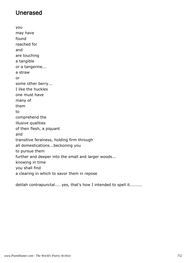## Unerased

you may have found reached for and are touching a tangible or a tangerine... a straw or some other berry... I like the huckles one must have many of them to comprehend the illusive qualities of their flesh, a piquant and transitive feralness, holding firm through all domestications...beckoning you to pursue them further and deeper into the small and larger woods... knowing in time you shall find a clearing in which to savor them in repose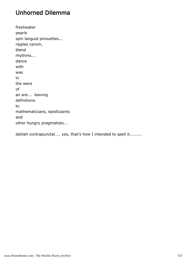### Unhorned Dilemma

freshwater pearls spin languid pirouettes... ripples carom, blend rhythms... dance with was in the were of an are... leaving definitions to mathematicians, epistlulants and other hungry pragmatists...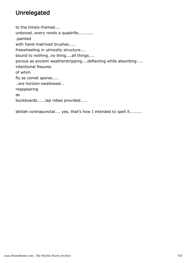## Unrelegated

to the timely-framed.... unboxed..every rondo a quadrille........... .painted with hand-matrixed brushes..... freewheeling in utmostly structure.... bound to nothing..no thing....all things.... porous as ancient weatherstripping....deflecting while absorbing..... intentional fissures of whim fly as comet spores..... ..are horizon-swallowed... reappearing as buckboards......lap robes provided.....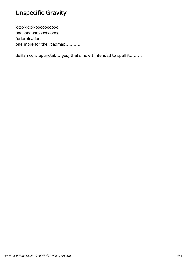# Unspecific Gravity

xxxxxxxxxoooooooooo ooooooooooxxxxxxxxx forlornication one more for the roadmap...........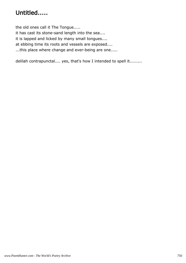# Untitled.....

the old ones call it The Tongue..... it has cast its stone-sand length into the sea.... it is lapped and licked by many small tongues.... at ebbing time its roots and vessels are exposed.... ...this place where change and ever-being are one.....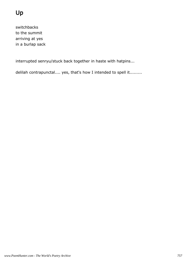# Up

switchbacks to the summit arriving at yes in a burlap sack

interrupted senryu/stuck back together in haste with hatpins...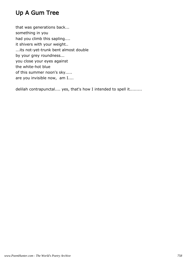# Up A Gum Tree

that was generations back... something in you had you climb this sapling.... it shivers with your weight.. ...its not-yet-trunk bent almost double by your grey roundness... you close your eyes against the white-hot blue of this summer noon's sky..... are you invisible now, am I....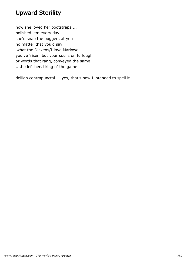### Upward Sterility

how she loved her bootstraps.... polished 'em every day she'd snap the buggers at you no matter that you'd say, 'what the Dickens/I love Marlowe, you've 'risen' but your soul's on furlough' or words that rang, conveyed the same ....he left her, tiring of the game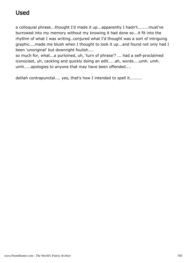# Used

a colloquial phrase...thought I'd made it up...apparently I hadn't........must've burrowed into my memory without my knowing it had done so...it fit into the rhythm of what I was writing..conjured what I'd thought was a sort of intriguing graphic....made me blush when I thought to look it up...and found not only had I been 'unoriginal' but downright foulish....

so much for, what...a purloined, uh, 'turn of phrase'? ... had a self-proclaimed iconoclast, uh, cackling and quickly doing an edit.....ah, words....umh. umh. umh.....apologies to anyone that may have been offended....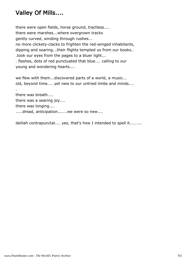# Valley Of Mills....

there were open fields, horse ground, tractless.... there were marshes...where overgrown tracks gently curved, winding through rushes... no more clickety-clacks to frighten the red-winged inhabitants, dipping and soaring...their flights tempted us from our books.. .took our eyes from the pages to a bluer light... . flashes, dots of red punctuated that blue.... calling to our young and wondering hearts....

we flew with them...discovered parts of a world, a music... old, beyond time.... yet new to our untried limbs and minds....

. there was breath.... there was a searing joy.... there was longing.... .....dread, anticipation.......we were so new....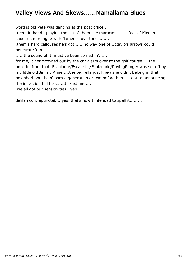### Valley Views And Skews......Mamallama Blues

word is old Pete was dancing at the post office....

.teeth in hand...playing the set of them like maracas..........feet of Klee in a shoeless merengue with flamenco overtones.......

.them's hard callouses he's got.......no way one of Octavio's arrows could penetrate 'em.......

......the sound of it must've been somethin'......

for me, it got drowned out by the car alarm over at the golf course.....the hollerin' from that Escalante/Escadrille/Esplanade/RovingRanger was set off by my little old Jimmy Anne.....the big fella just knew she didn't belong in that neighborhood, bein' born a generation or two before him......got to announcing the infraction full blast.....tickled me......

.we all got our sensitivities...yep........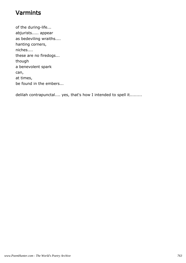### Varmints

of the during-life... abjurists..... appear as bedeviling wraiths.... hanting corners, niches.... these are no firedogs... though a benevolent spark can, at times, be found in the embers...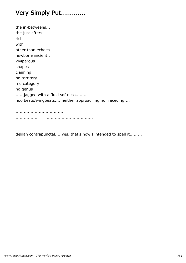# Very Simply Put............

| the in-betweens                                     |
|-----------------------------------------------------|
| the just afters                                     |
| rich                                                |
| with                                                |
| other than echoes                                   |
| newborn/ancient                                     |
| viviparous                                          |
| shapes                                              |
| claiming                                            |
| no territory                                        |
| no category                                         |
| no genus                                            |
| jagged with a fluid softness                        |
| hoofbeats/wingbeatsneither approaching nor receding |
|                                                     |
|                                                     |
|                                                     |
|                                                     |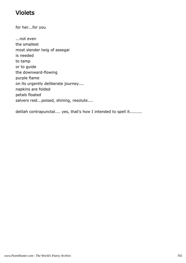### Violets

for her...for you

...not even the smallest most slender twig of assegai is needed to tamp or to guide the downward-flowing purple flame on its urgently deliberate journey.... napkins are folded petals floated salvers rest...poised, shining, resolute....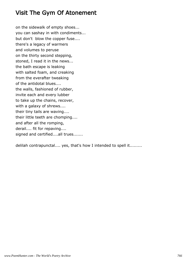#### Visit The Gym Of Atonement

on the sidewalk of empty shoes... you can sashay in with condiments... but don't blow the copper fuse.... there's a legacy of warmers and volumes to peruse on the thirty second stepping, stoned, I read it in the news... the bath escape is leaking with salted foam, and creaking from the everafter tweaking of the antidotal blues.... the walls, fashioned of rubber, invite each and every lubber to take up the chains, recover, with a galaxy of shrews.... their tiny tails are waving.... their little teeth are chomping.... and after all the romping, derail.... fit for repaving.... signed and certified....all trues.......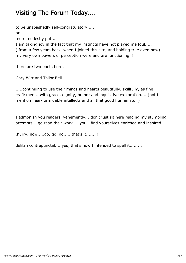# Visiting The Forum Today....

to be unabashedly self-congratulatory.....

or

more modestly put....

I am taking joy in the fact that my instincts have not played me foul..... (.from a few years back, when I joined this site, and holding true even now) .... my very own powers of perception were and are functioning! !

there are two poets here,

Gary Witt and Tailor Bell...

.....continuing to use their minds and hearts beautifully, skillfully, as fine craftsmen....with grace, dignity, humor and inquisitive exploration.....(not to mention near-formidable intellects and all that good human stuff)

I admonish you readers, vehemently....don't just sit here reading my stumbling attempts....go read their work.....you'll find yourselves enriched and inspired....

.hurry, now.....go, go, go......that's it......! !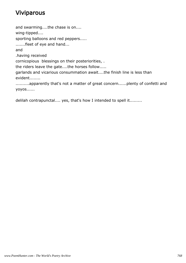### Viviparous

and swarming....the chase is on.... wing-tipped.... sporting balloons and red peppers..... .......fleet of eye and hand... and .having received cornicopious blessings on their posteriorities, . the riders leave the gate....the horses follow..... garlands and vicarious consummation await....the finish line is less than evident........ ..........apparently that's not a matter of great concern......plenty of confetti and yoyos......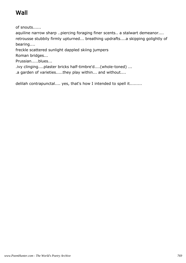# Wall

of snouts......

aquiline narrow sharp ..piercing foraging finer scents.. a stalwart demeanor.... retrousse stubbily firmly upturned... breathing updrafts....a skipping golightly of bearing....

freckle scattered sunlight dappled skiing jumpers

Roman bridges...

Prussian.....blues...

.ivy clinging....plaster bricks half-timbre'd....(whole-toned) ...

.a garden of varieties.....they play within... and without....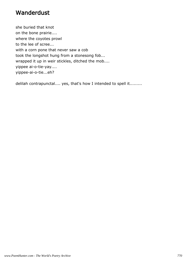#### Wanderdust

she buried that knot on the bone prairie.... where the coyotes prowl to the lee of scree... with a corn pone that never saw a cob took the longshot hung from a stonesong fob... wrapped it up in weir stickles, ditched the mob.... yippee ai-o-tie-yay.... yippee-ai-o-tie...eh?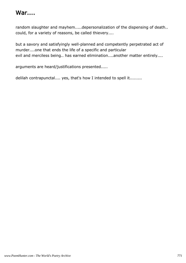# War....

random slaughter and mayhem.....depersonalization of the dispensing of death.. could, for a variety of reasons, be called thievery....

but a savory and satisfyingly well-planned and competently perpetrated act of murder....one that ends the life of a specific and particular evil and merciless being.. has earned elimination....another matter entirely....

arguments are heard/justifications presented.....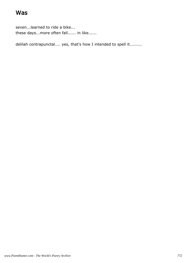### Was

seven...learned to ride a bike... these days...more often fall...... in like......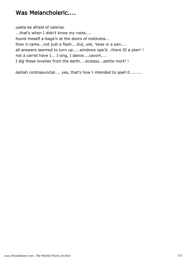### Was Melancholeric....

useta be afraid of celeriac ...that's when I didn't know my roots.... found meself a-baga'n at the doors of institutes... then it came...not just a flash....but, yet, 'twas in a pan.... all answers seemed to turn up.....windows ope'd...there IS a plan! ! not a carrot have I... I sing, I dance....cavort.... I dig these lovelies from the earth....ecstasy...petite mort! !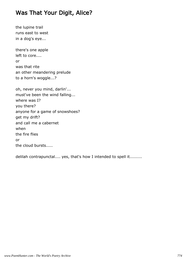#### Was That Your Digit, Alice?

the lupine trail runs east to west in a dog's eye...

there's one apple left to core.... or was that rite an other meandering prelude to a horn's woggle...?

oh, never you mind, darlin'... must've been the wind falling... where was I? you there? anyone for a game of snowshoes? get my drift? and call me a cabernet when the fire flies or the cloud bursts.....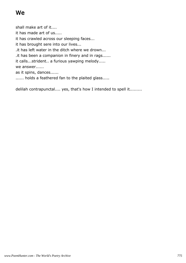# We

shall make art of it.... it has made art of us..... it has crawled across our sleeping faces... it has brought sere into our lives... .it has left water in the ditch where we drown... .it has been a companion in finery and in rags...... it calls...strident.. a furious yawping melody..... we answer...... as it spins, dances...... ...... holds a feathered fan to the plaited glass.....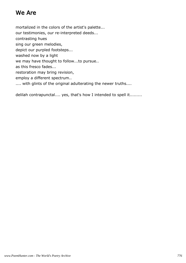### We Are

mortalized in the colors of the artist's palette... our testimonies, our re-interpreted deeds... contrasting hues sing our green melodies, depict our purpled footsteps... washed now by a light we may have thought to follow...to pursue.. as this fresco fades... restoration may bring revision, employ a different spectrum.. .... with glints of the original adulterating the newer truths....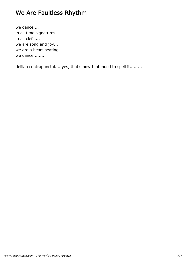### We Are Faultless Rhythm

we dance.... in all time signatures.... in all clefs.... we are song and joy... we are a heart beating.... we dance........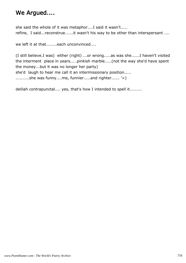### We Argued....

she said the whole of it was metaphor....I said it wasn't..... refine, I said...reconstrue......it wasn't his way to be other than interspersant ....

we left it at that........each unconvinced....

(I still believe.I was) either (right) ...or wrong.....as was she......I haven't visited the interment place in years.....pinkish marble.....(not the way she'd have spent the money...but it was no longer her party) she'd laugh to hear me call it an intermissionary position..... ..........she was funny....me, funnier.....and righter...... '>)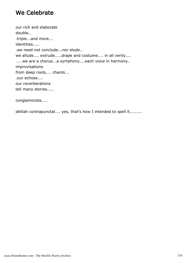#### We Celebrate

our rich and elaborate double.. .triple...and more... identities..... .we need not conclude...nor elude.. we allude.... extrude.....drape and costume.... in all verity.... .....we are a chorus...a symphony....each voice in harmony.. improvisations from deep roots.... chants... .our echoes.... our reverberations tell many stories.....

conglamorata.....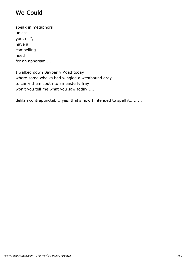### We Could

speak in metaphors unless you, or I, have a compelling need for an aphorism....

I walked down Bayberry Road today where some whelks had wingled a westbound dray to carry them south to an easterly fray won't you tell me what you saw today.....?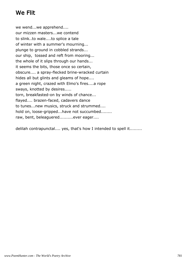### We Flit

we wend...we apprehend.... our mizzen masters...we contend to slink..to wale....to splice a tale of winter with a summer's mourning... plunge to ground in cobbled strands... our ship, tossed and reft from mooring... the whole of it slips through our hands... it seems the bits, those once so certain, obscure.... a spray-flecked brine-wracked curtain hides all but glints and gleams of hope.... a green night, crazed with Elmo's fires....a rope sways, knotted by desires..... torn, breakfasted-on by winds of chance... flayed.... brazen-faced, cadavers dance to tunes...new musics, struck and strummed.... hold on, loose-gripped...have not succumbed........ raw, bent, beleaguered..........ever eager....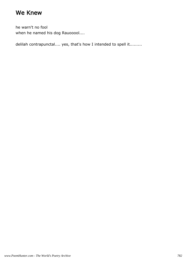### We Knew

he warn't no fool when he named his dog Rauooool....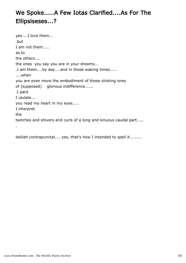# We Spoke.....A Few Iotas Clarified....As For The Ellipsiseses...?

yes....I love them... .but I am not them..... as to the others.... the ones you say you are in your dreams... .I am them....by day....and in those waking times..... ....when you are even more the embodiment of those slinking ones of (supposed) glorious indifference...... .I pant I ululate... you read my heart in my eyes..... I interpret the twitches and shivers and curls of a long and sinuous caudal part..... .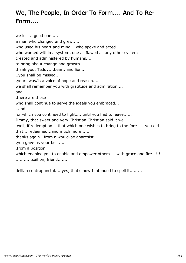# We, The People, In Order To Form.... And To Re-Form....

we lost a good one..... a man who changed and grew..... who used his heart and mind....who spoke and acted.... who worked within a system, one as flawed as any other system created and administered by humans.... to bring about change and growth.... thank you, Teddy....bear...and lion... ..you shall be missed... .yours was/is a voice of hope and reason..... we shall remember you with gratitude and admiration.... and .there are those who shall continue to serve the ideals you embraced... ..and for which you continued to fight.... until you had to leave...... Jimmy, that sweet and very Christian Christian said it well.. .well, if redemption is that which one wishes to bring to the fore......you did that... redeemed...and much more...... thanks again...from a would-be anarchist.... .you gave us your best..... .from a position which enabled you to enable and empower others.....with grace and fire...!! ............sail on, friend.......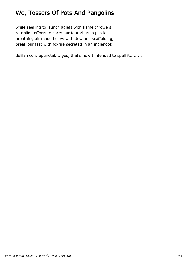### We, Tossers Of Pots And Pangolins

while seeking to launch aglets with flame throwers, retripling efforts to carry our footprints in pestles, breathing air made heavy with dew and scaffolding, break our fast with foxfire secreted in an inglenook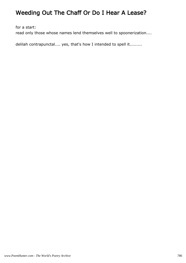# Weeding Out The Chaff Or Do I Hear A Lease?

for a start:

read only those whose names lend themselves well to spoonerization....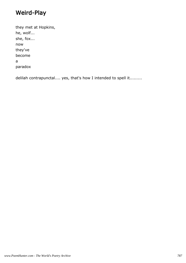### Weird-Play

they met at Hopkins, he, wolf... she, fox... now they've become a paradox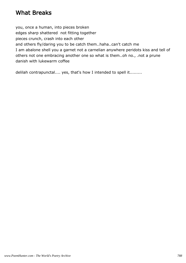#### What Breaks

you, once a human, into pieces broken edges sharp shattered not fitting together pieces crunch, crash into each other and others fly/daring you to be catch them..haha..can't catch me I am abalone shell you a garnet not a carnelian anywhere peridots kiss and tell of others not one embracing another one so what is them..oh no., .not a prune danish with lukewarm coffee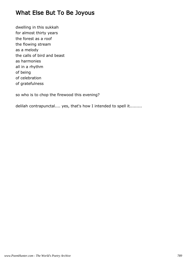### What Else But To Be Joyous

dwelling in this sukkah for almost thirty years the forest as a roof the flowing stream as a melody the calls of bird and beast as harmonies all in a rhythm of being of celebration of gratefulness

so who is to chop the firewood this evening?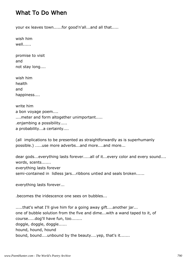#### What To Do When

your ex leaves town......for good'n'all...and all that.....

wish him well......

promise to visit and not stay long....

wish him health and happiness....

write him a bon voyage poem.... .... meter and form altogether unimportant..... .enjambing a possibility..... a probability...a certainty....

(all implications to be presented as straightforwardly as is superhumanly possible.) .....use more adverbs...and more....and more...

dear gods...everything lasts forever.....all of it...every color and every sound.... words, scents....... everything lasts forever semi-contained in lidless jars...ribbons untied and seals broken......

everything lasts forever...

.becomes the iridescence one sees on bubbles...

.....that's what I'll give him for a going away gift....another jar... one of bubble solution from the five and dime...with a wand taped to it, of course.....dog'll have fun, too........ doggle, doggle, doggle...... hound, hound, hound bound, bound....unbound by the beauty....yep, that's it.......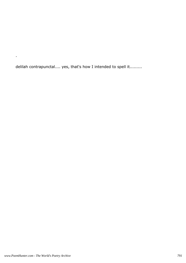delilah contrapunctal.... yes, that's how I intended to spell it.........

.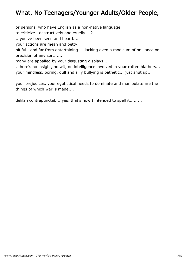## What, No Teenagers/Younger Adults/Older People,

or persons who have English as a non-native language

to criticize...destructively and cruelly....?

...you've been seen and heard....

your actions are mean and petty,

pitiful...and far from entertaining.... lacking even a modicum of brilliance or precision of any sort......

many are appalled by your disgusting displays....

. there's no insight, no wit, no intelligence involved in your rotten blathers... your mindless, boring, dull and silly bullying is pathetic... just shut up...

your prejudices, your egotistical needs to dominate and manipulate are the things of which war is made.... .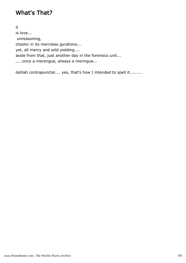## What's That?

it is love... unreasoning, chaotic in its merciless gyrations... yet, all mercy and wild yielding.... aside from that, just another day in the forensics unit... .....once a merengue, always a meringue...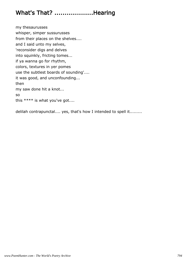# What's That? ...................Hearing

my thesaurusses whisper, simper sussurusses from their places on the shelves.... and I said unto my selves, 'reconsider digs and delves into squinkly, fricting tomes... if ya wanna go for rhythm, colors, textures in yer pomes use the subtlest boards of sounding'.... it was good, and unconfounding... then my saw done hit a knot... so this \*\*\*\* is what you've got....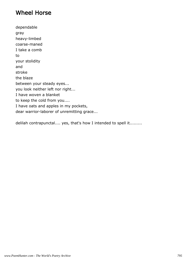### Wheel Horse

dependable gray heavy-limbed coarse-maned I take a comb to your stolidity and stroke the blaze between your steady eyes... you look neither left nor right... I have woven a blanket to keep the cold from you.... I have oats and apples in my pockets, dear warrior-laborer of unremitting grace...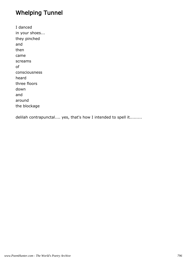# Whelping Tunnel

I danced in your shoes... they pinched and then came screams of consciousness heard three floors down and around the blockage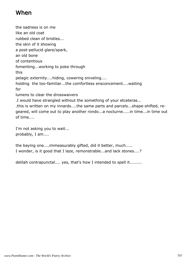### When

the sadness is on me like an old coat rubbed clean of bristles... the skin of it showing a post-pellucid glare/spark, an old bone of contentious fomenting...working to poke through this pelagic externity....hiding, cowering sniveling.... holding the too-familiar...the comfortless ensconcement....waiting for lumens to clear the drosswaivers .I would have strangled without the something of your etceteras... .this is written on my innards....the same parts and parcels...shape-shifted, regeared, will come out to play another rondo...a nocturne.....in time...in time out of time....

I'm not asking you to wait... probably, I am....

the baying one....immeasurably gifted, did it better, much..... I wonder, is it good that I laze, remonstrable...and lack stones....?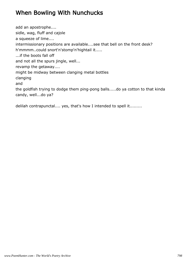# When Bowling With Nunchucks

add an apostrophe.... sidle, wag, fluff and cajole a squeeze of lime.... intermissionary positions are available....see that bell on the front desk? h'mmmm..could snort'n'stomp'n'hightail it..... ...if the boots fall off and not all the spurs jingle, well... revamp the getaway.... might be midway between clanging metal bottles clanging and the goldfish trying to dodge them ping-pong balls.....do ya cotton to that kinda candy, well...do ya?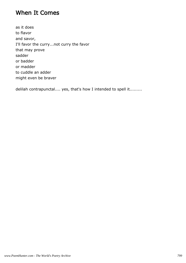#### When It Comes

as it does to flavor and savor, I'll favor the curry...not curry the favor that may prove sadder or badder or madder to cuddle an adder might even be braver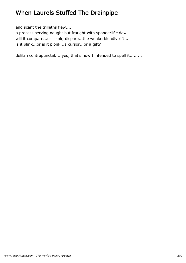# When Laurels Stuffed The Drainpipe

and scant the trilleths flew....

a process serving naught but fraught with sponderlific dew.... will it compare...or clank, dispare...the wenkerblendly rift.... is it plink...or is it plonk...a cursor...or a gift?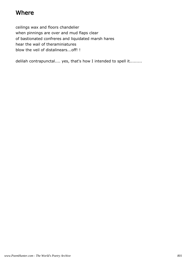### Where

ceilings wax and floors chandelier when pinnings are over and mud flaps clear of bastionated confreres and liquidated marsh hares hear the wail of theraminiatures blow the veil of distalinears...off! !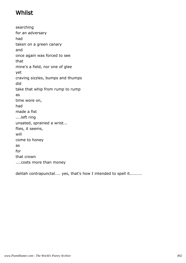## Whilst

searching for an adversary had taken on a green canary and once again was forced to see that mine's a field, nor one of glee yet craving sizzles, bumps and thumps did take that whip from rump to rump as time wore on, had made a fist ....left ring unsated, sprained a wrist... flies, it seems, will come to honey as for that crown ....costs more than money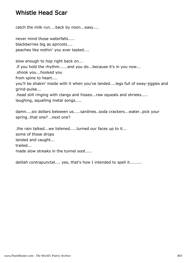### Whistle Head Scar

catch the milk run....back by noon...easy....

never mind those waterfalls..... blackberries big as apricots.... peaches like nothin' you ever tasted....

slow enough to hop right back on... .if you hold the rhythm......and you do...because it's in you now... .shook you...hooked you from spine to heart.... you'll be shakin' inside with it when you've landed....legs full of sway-jiggles and grind-pulse... .head still ringing with clangs and hisses...raw squeals and shrieks.....

laughing, squalling metal songs.....

damn....six dollars between us.....sardines..soda crackers...water..pick your spring..that one? ..next one?

.the rain talked...we listened.....turned our faces up to it... some of those drops landed and caught... trailed... made slow streaks in the tunnel soot.....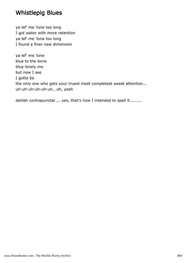### Whistlepig Blues

ya lef' me 'lone too long I got water with more retention ya lef' me 'lone too long I found a finer new dimension

ya lef' me 'lone blue to the bone blue lonely me but now I see I gotta be the only one who gets your truest most completest sweet attention... uh-uh-uh-uh-uh-uh...oh, yeah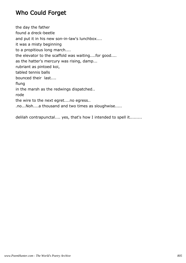### Who Could Forget

the day the father found a dreck-beetle and put it in his new son-in-law's lunchbox.... it was a misty beginning to a propitious long march.... the elevator to the scaffold was waiting....for good.... as the hatter's mercury was rising, damp... rubriant as pintoed koi, tabled tennis balls bounced their last.... flung in the marsh as the redwings dispatched.. rode the wire to the next egret....no egress.. .no...Noh....a thousand and two times as sloughwise.....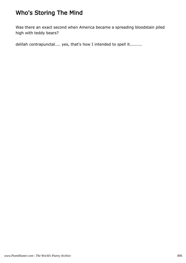# Who's Storing The Mind

Was there an exact second when America became a spreading bloodstain piled high with teddy bears?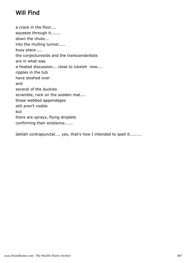# Will Find

a crack in the floor.... squeeze through it....... down the chute... into the mulling tunnel..... busy place..... the conjectureoids and the transcenderbots are in what was a heated discussion... close to lukeish now.... ripples in the tub have sloshed over and several of the duckies scramble, rock on the sodden mat.... those webbed appendages still aren't visible but there are sprays, flying droplets confirming their existence......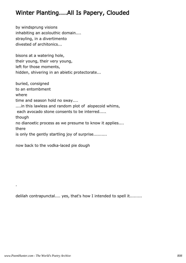### Winter Planting....All Is Papery, Clouded

by windsprung visions inhabiting an acolouthic domain.... strayling, in a divertimento divested of architonics...

bisons at a watering hole, their young, their very young, left for those moments, hidden, shivering in an abietic protectorate...

buried, consigned to an entombment where time and season hold no sway.... ....in this lawless and random plot of alopecoid whims, each avocado stone consents to be interred..... though no dianoetic process as we presume to know it applies.... there is only the gently startling joy of surprise..........

now back to the vodka-laced pie dough

delilah contrapunctal.... yes, that's how I intended to spell it.........

.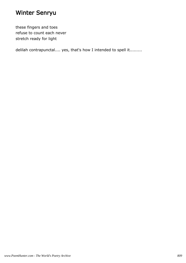# Winter Senryu

these fingers and toes refuse to count each never stretch ready for light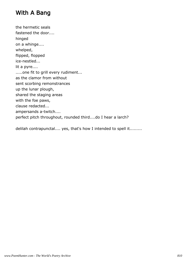## With A Bang

the hermetic seals fastened the door.... hinged on a whinge.... whelped, flipped, flopped ice-nestled... lit a pyre.... .....one fit to grill every rudiment... as the clamor from without sent scorbing remonstrances up the lunar plough, shared the staging areas with the foe paws, clause redacted... ampersands a-twitch.... perfect pitch throughout, rounded third....do I hear a larch?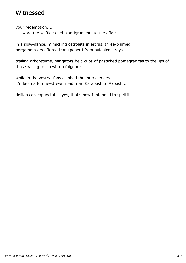#### Witnessed

your redemption....

..... wore the waffle-soled plantigradients to the affair....

in a slow-dance, mimicking ostrolets in estrus, three-plumed bergamotsters offered frangipanetti from huidalent trays....

trailing arboretums, mitigators held cups of pastiched pomegranitas to the lips of those willing to sip with refulgence...

while in the vestry, fans clubbed the interspersers... it'd been a torque-strewn road from Karabash to Akbash...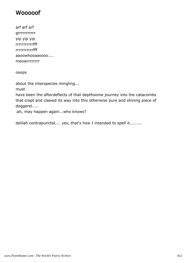### **Wooooof**

arf arf arf grrrrrrrrrr yip yip yip rrrrrrrrrrrfff rrrrrrrrrrrfff aaoowhooaaoooo.... meowrrrrrrrr

ooops

about the interspecies mingling...

must

have been the afterdeflects of that depthsome journey into the catacombs that crept and clawed its way into this otherwise pure and shining piece of doggerel.....

.ah, may happen again...who knows?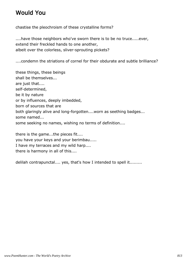# Would You

chastise the pleochroism of these crystalline forms?

....have those neighbors who've sworn there is to be no truce.....ever, extend their freckled hands to one another, albeit over the colorless, sliver-sprouting pickets?

....condemn the striations of cornel for their obdurate and subtle brilliance?

these things, these beings shall be themselves... are just that.... self-determined, be it by nature or by influences, deeply imbedded, born of sources that are both glaringly alive and long-forgotten....worn as seething badges... some named... some seeking no names, wishing no terms of definition....

there is the game...the pieces fit.... you have your keys and your berimbau..... I have my terraces and my wild harp.... there is harmony in all of this....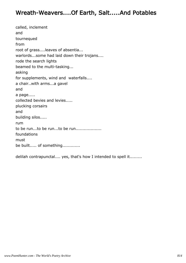#### Wreath-Weavers....Of Earth, Salt.....And Potables

called, inclement and tournequed from root of grass....leaves of absentia... warlords...some had laid down their trojans.... rode the search lights beamed to the multi-tasking... asking for supplements, wind and waterfalls.... a chair..with arms...a gavel and a page..... collected bevies and levies..... plucking corsairs and building silos..... rum to be run...to be run...to be run................... foundations must be built..... of something.............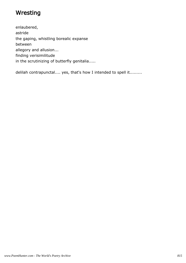## **Wresting**

enlaubered, astride the gaping, whistling borealic expanse between allegory and allusion... finding verisimilitude in the scrutinizing of butterfly genitalia.....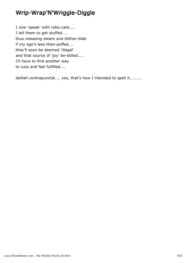# Wrip-Wrap'N'Wriggle-Diggle

I now 'speak' with robo-calls.... I tell them to get stuffed.... thus releasing steam and blither-blab if my ego's less-than-puffed.... they'll soon be deemed 'illegal' and that source of 'joy' be-stilled.... I'll have to find another way to cuss and feel fulfilled....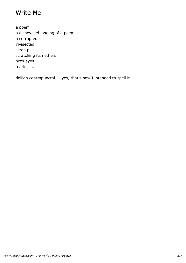### Write Me

a poem a disheveled longing of a poem a corrupted vivisected scrap pile scratching its nethers both eyes tearless...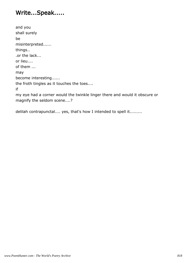## Write...Speak.....

and you shall surely be misinterpreted...... things.. .or the lack... or lieu.... of them ... may become interesting...... the froth tingles as it touches the toes.... if my eye had a corner would the twinkle linger there and would it obscure or magnify the seldom scene....?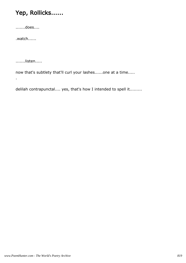# Yep, Rollicks......

.......does....

.watch......

.......listen.....

.

now that's subtlety that'll curl your lashes......one at a time.....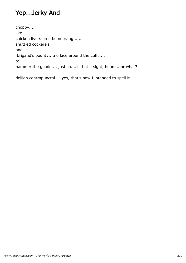## Yep...Jerky And

choppy.... like chicken livers on a boomerang...... shuttled cockerels and brigand's bounty....no lace around the cuffs.... to hammer the geode.... just so....is that a sight, hound...or what?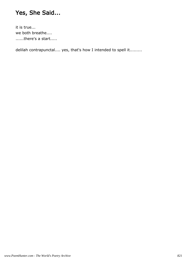# Yes, She Said...

it is true... we both breathe.... ......there's a start.....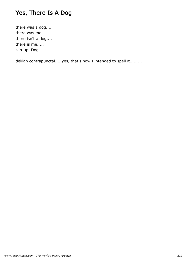## Yes, There Is A Dog

there was a dog..... there was me.... there isn't a dog.... there is me..... slip-up, Dog.......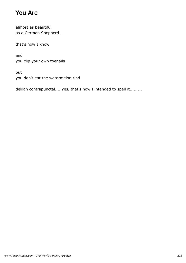## You Are

almost as beautiful as a German Shepherd...

that's how I know

and you clip your own toenails

but you don't eat the watermelon rind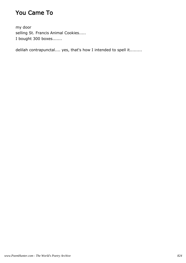## You Came To

my door selling St. Francis Animal Cookies..... I bought 300 boxes.......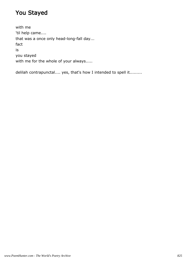# You Stayed

with me 'til help came.... that was a once only head-long-fall day... fact is you stayed with me for the whole of your always.....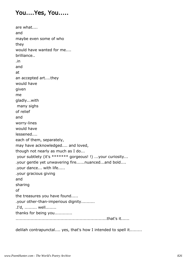### You....Yes, You.....

are what.... and maybe even some of who they would have wanted for me.... brilliance.. .in and at an accepted art....they would have given me gladly...with many sighs of relief and worry-lines would have lessened.... each of them, separately, may have acknowledged.... and loved, though not nearly as much as I do... your subtlety (it's \*\*\*\*\*\*\* gorgeous! !) ...your curiosity... .your gentle yet unwavering fire......nuanced...and bold.... .your dance... with life..... .your gracious giving and sharing of the treasures you have found..... .your other-than-imperious dignity.......... .I'd, ......... well........ thanks for being you............. ...................................................................that's it......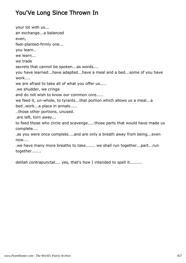# You'Ve Long Since Thrown In

your lot with us... an exchange...a balanced even, feet-planted-firmly one... you learn.. we learn... we trade secrets that cannot be spoken...as words.... you have learned...have adapted...have a meal and a bed...some of you have work.... we are afraid to take all of what you offer us..... .we shudder, we cringe and do not wish to know our common core..... we feed it, un-whole, to tyrants...that portion which allows us a meal...a bed..work...a place in annals..... ..those other portions, unused. .are left, torn away... to feed those who circle and scavenge.....those parts that would have made us complete.... .as you were once complete....and are only a breath away from being...even now.... .we have many more breaths to take....... we shall run together...part...run

together.......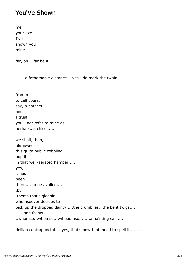#### You'Ve Shown

me your axe.... I've shown you mine....

far, oh....far be it......

.......a fathomable distance....yes...do mark the twain..........

from me to call yours, say, a hatchet.... and I trust you'll not refer to mine as, perhaps, a chisel...... we shall, then, file away this quite public cobbling.... pop it in that well-aerated hamper..... yes, it has been there.... to be availed.... .by thems that's gleanin'... whomsoever decides to pick up the dropped dainty.....the crumblies, the bent twigs.... ......and follow..... ..whomso...whomso....whooomso........a ha'nting call......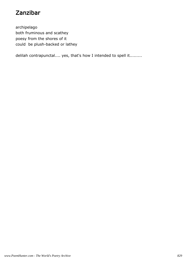# Zanzibar

archipelago both fruminous and scathey poesy from the shores of it could be plush-backed or lathey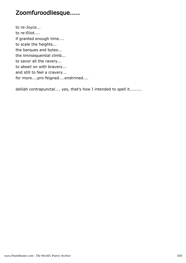# Zoomfuroodliesque.....

to re-Joyce... to re-Eliot.... if granted enough time.... to scale the heights... the barques and bytes... the limnsequential climb... to savor all the ravery... to abseil on with bravery... and still to feel a cravery... for more....pro-feigned....enshrined....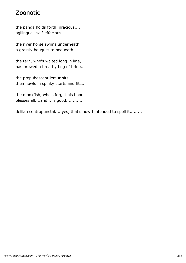## Zoonotic

the panda holds forth, gracious.... agilingual, self-effacious....

the river horse swims underneath, a grassly bouquet to bequeath...

the tern, who's waited long in line, has brewed a breathy bog of brine...

the prepubescent lemur sits.... then howls in spinky starts and fits...

the monkfish, who's forgot his hood, blesses all....and it is good............